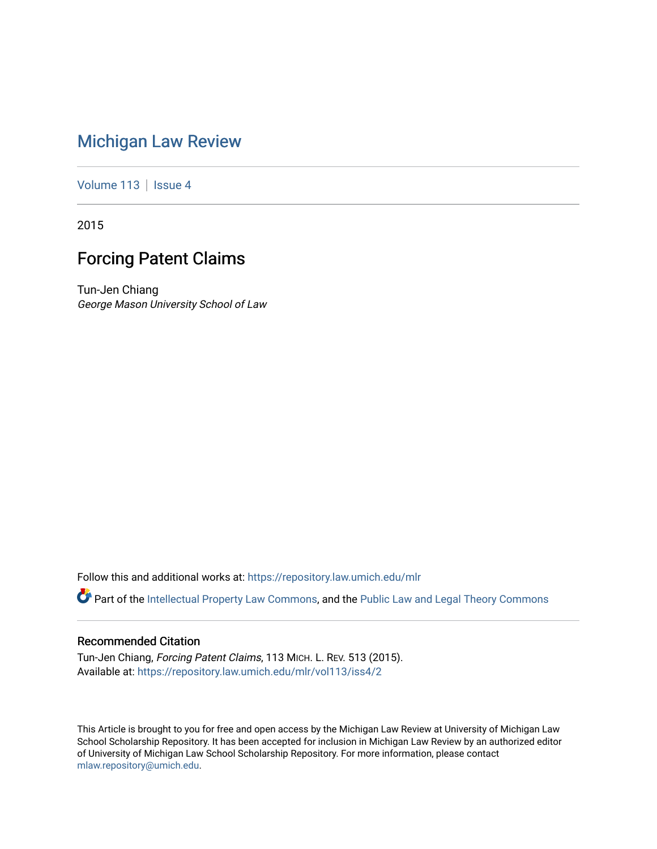# [Michigan Law Review](https://repository.law.umich.edu/mlr)

[Volume 113](https://repository.law.umich.edu/mlr/vol113) | [Issue 4](https://repository.law.umich.edu/mlr/vol113/iss4)

2015

# Forcing Patent Claims

Tun-Jen Chiang George Mason University School of Law

Follow this and additional works at: [https://repository.law.umich.edu/mlr](https://repository.law.umich.edu/mlr?utm_source=repository.law.umich.edu%2Fmlr%2Fvol113%2Fiss4%2F2&utm_medium=PDF&utm_campaign=PDFCoverPages) 

Part of the [Intellectual Property Law Commons,](http://network.bepress.com/hgg/discipline/896?utm_source=repository.law.umich.edu%2Fmlr%2Fvol113%2Fiss4%2F2&utm_medium=PDF&utm_campaign=PDFCoverPages) and the [Public Law and Legal Theory Commons](http://network.bepress.com/hgg/discipline/871?utm_source=repository.law.umich.edu%2Fmlr%2Fvol113%2Fiss4%2F2&utm_medium=PDF&utm_campaign=PDFCoverPages) 

# Recommended Citation

Tun-Jen Chiang, Forcing Patent Claims, 113 MICH. L. REV. 513 (2015). Available at: [https://repository.law.umich.edu/mlr/vol113/iss4/2](https://repository.law.umich.edu/mlr/vol113/iss4/2?utm_source=repository.law.umich.edu%2Fmlr%2Fvol113%2Fiss4%2F2&utm_medium=PDF&utm_campaign=PDFCoverPages) 

This Article is brought to you for free and open access by the Michigan Law Review at University of Michigan Law School Scholarship Repository. It has been accepted for inclusion in Michigan Law Review by an authorized editor of University of Michigan Law School Scholarship Repository. For more information, please contact [mlaw.repository@umich.edu.](mailto:mlaw.repository@umich.edu)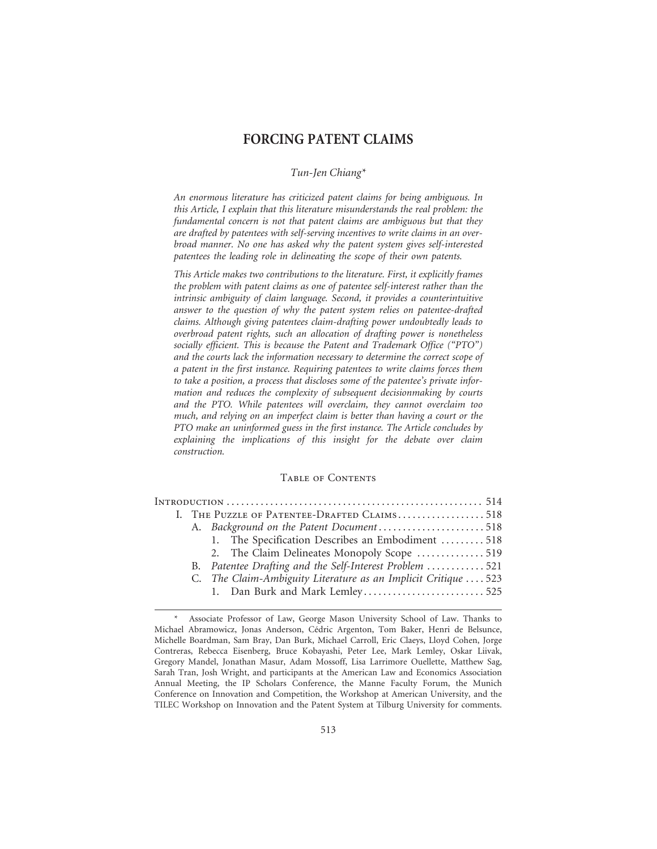# **FORCING PATENT CLAIMS**

## *Tun-Jen Chiang\**

*An enormous literature has criticized patent claims for being ambiguous. In this Article, I explain that this literature misunderstands the real problem: the fundamental concern is not that patent claims are ambiguous but that they are drafted by patentees with self-serving incentives to write claims in an overbroad manner. No one has asked why the patent system gives self-interested patentees the leading role in delineating the scope of their own patents.*

*This Article makes two contributions to the literature. First, it explicitly frames the problem with patent claims as one of patentee self-interest rather than the intrinsic ambiguity of claim language. Second, it provides a counterintuitive answer to the question of why the patent system relies on patentee-drafted claims. Although giving patentees claim-drafting power undoubtedly leads to overbroad patent rights, such an allocation of drafting power is nonetheless socially efficient. This is because the Patent and Trademark Office ("PTO") and the courts lack the information necessary to determine the correct scope of a patent in the first instance. Requiring patentees to write claims forces them to take a position, a process that discloses some of the patentee's private information and reduces the complexity of subsequent decisionmaking by courts and the PTO. While patentees will overclaim, they cannot overclaim too much, and relying on an imperfect claim is better than having a court or the PTO make an uninformed guess in the first instance. The Article concludes by explaining the implications of this insight for the debate over claim construction.*

## Table of Contents

|  | I. THE PUZZLE OF PATENTEE-DRAFTED CLAIMS518 |                                                                |  |
|--|---------------------------------------------|----------------------------------------------------------------|--|
|  |                                             | A. Background on the Patent Document518                        |  |
|  |                                             | 1. The Specification Describes an Embodiment  518              |  |
|  |                                             | 2. The Claim Delineates Monopoly Scope  519                    |  |
|  |                                             | B. Patentee Drafting and the Self-Interest Problem 521         |  |
|  |                                             | C. The Claim-Ambiguity Literature as an Implicit Critique  523 |  |
|  |                                             |                                                                |  |
|  |                                             |                                                                |  |

Associate Professor of Law, George Mason University School of Law. Thanks to Michael Abramowicz, Jonas Anderson, Cédric Argenton, Tom Baker, Henri de Belsunce, Michelle Boardman, Sam Bray, Dan Burk, Michael Carroll, Eric Claeys, Lloyd Cohen, Jorge Contreras, Rebecca Eisenberg, Bruce Kobayashi, Peter Lee, Mark Lemley, Oskar Liivak, Gregory Mandel, Jonathan Masur, Adam Mossoff, Lisa Larrimore Ouellette, Matthew Sag, Sarah Tran, Josh Wright, and participants at the American Law and Economics Association Annual Meeting, the IP Scholars Conference, the Manne Faculty Forum, the Munich Conference on Innovation and Competition, the Workshop at American University, and the TILEC Workshop on Innovation and the Patent System at Tilburg University for comments.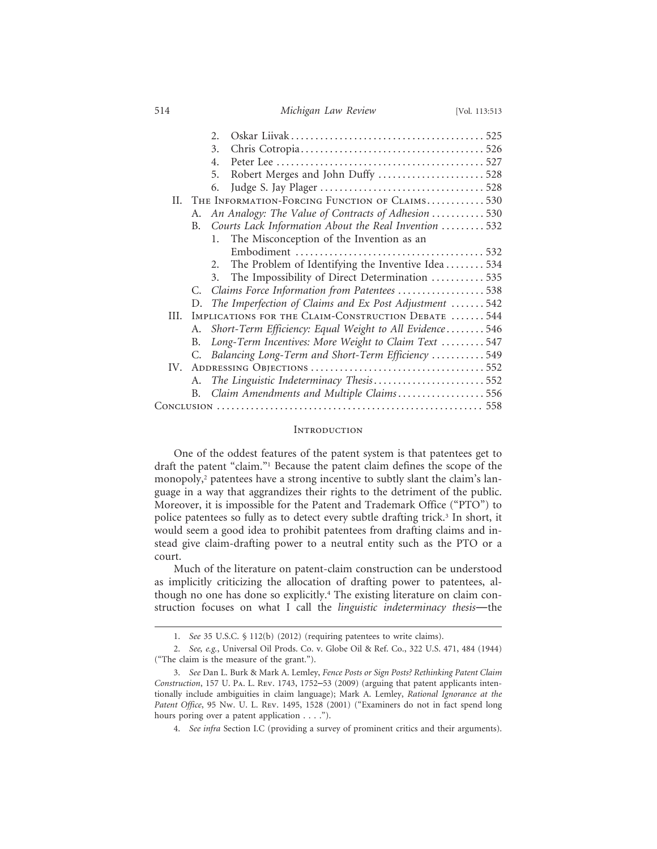514 *Michigan Law Review* [Vol. 113:513

|      |                                                     | $\mathcal{D}$                                              |  |
|------|-----------------------------------------------------|------------------------------------------------------------|--|
|      |                                                     | 3.                                                         |  |
|      |                                                     | 4.                                                         |  |
|      |                                                     | 5.                                                         |  |
|      |                                                     | 6.                                                         |  |
|      |                                                     | II. THE INFORMATION-FORCING FUNCTION OF CLAIMS530          |  |
|      | А.                                                  | An Analogy: The Value of Contracts of Adhesion 530         |  |
|      | B.                                                  | Courts Lack Information About the Real Invention 532       |  |
|      |                                                     | The Misconception of the Invention as an<br>$\mathbf{1}$ . |  |
|      |                                                     |                                                            |  |
|      |                                                     | The Problem of Identifying the Inventive Idea  534         |  |
|      |                                                     | The Impossibility of Direct Determination  535<br>3.       |  |
|      | C.                                                  | Claims Force Information from Patentees 538                |  |
|      |                                                     | D. The Imperfection of Claims and Ex Post Adjustment 542   |  |
| III. | IMPLICATIONS FOR THE CLAIM-CONSTRUCTION DEBATE  544 |                                                            |  |
|      | A.                                                  | Short-Term Efficiency: Equal Weight to All Evidence546     |  |
|      | В.                                                  | Long-Term Incentives: More Weight to Claim Text  547       |  |
|      | C.                                                  | Balancing Long-Term and Short-Term Efficiency 549          |  |
|      |                                                     |                                                            |  |
|      | А.                                                  | The Linguistic Indeterminacy Thesis552                     |  |
|      |                                                     | B. Claim Amendments and Multiple Claims556                 |  |
|      |                                                     |                                                            |  |

## **INTRODUCTION**

One of the oddest features of the patent system is that patentees get to draft the patent "claim."1 Because the patent claim defines the scope of the monopoly,2 patentees have a strong incentive to subtly slant the claim's language in a way that aggrandizes their rights to the detriment of the public. Moreover, it is impossible for the Patent and Trademark Office ("PTO") to police patentees so fully as to detect every subtle drafting trick.<sup>3</sup> In short, it would seem a good idea to prohibit patentees from drafting claims and instead give claim-drafting power to a neutral entity such as the PTO or a court.

Much of the literature on patent-claim construction can be understood as implicitly criticizing the allocation of drafting power to patentees, although no one has done so explicitly.4 The existing literature on claim construction focuses on what I call the *linguistic indeterminacy thesis*—the

<sup>1.</sup> *See* 35 U.S.C. § 112(b) (2012) (requiring patentees to write claims).

<sup>2.</sup> *See, e.g.*, Universal Oil Prods. Co. v. Globe Oil & Ref. Co., 322 U.S. 471, 484 (1944) ("The claim is the measure of the grant.").

<sup>3.</sup> *See* Dan L. Burk & Mark A. Lemley, *Fence Posts or Sign Posts? Rethinking Patent Claim Construction*, 157 U. Pa. L. Rev. 1743, 1752–53 (2009) (arguing that patent applicants intentionally include ambiguities in claim language); Mark A. Lemley, *Rational Ignorance at the Patent Office*, 95 Nw. U. L. Rev. 1495, 1528 (2001) ("Examiners do not in fact spend long hours poring over a patent application . . . .").

<sup>4.</sup> *See infra* Section I.C (providing a survey of prominent critics and their arguments).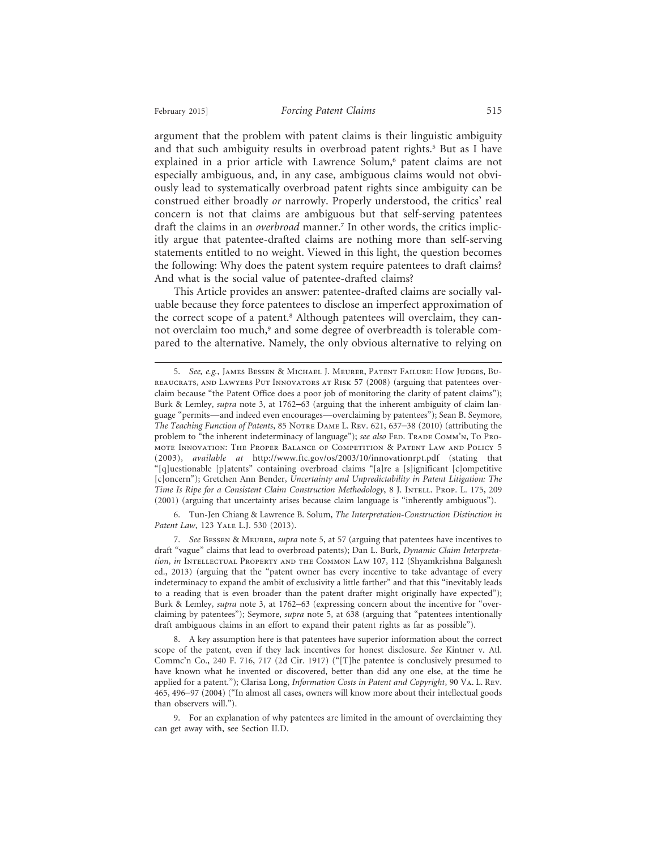argument that the problem with patent claims is their linguistic ambiguity and that such ambiguity results in overbroad patent rights.<sup>5</sup> But as I have explained in a prior article with Lawrence Solum,<sup>6</sup> patent claims are not especially ambiguous, and, in any case, ambiguous claims would not obviously lead to systematically overbroad patent rights since ambiguity can be construed either broadly *or* narrowly. Properly understood, the critics' real concern is not that claims are ambiguous but that self-serving patentees draft the claims in an *overbroad* manner.7 In other words, the critics implicitly argue that patentee-drafted claims are nothing more than self-serving statements entitled to no weight. Viewed in this light, the question becomes the following: Why does the patent system require patentees to draft claims? And what is the social value of patentee-drafted claims?

This Article provides an answer: patentee-drafted claims are socially valuable because they force patentees to disclose an imperfect approximation of the correct scope of a patent.<sup>8</sup> Although patentees will overclaim, they cannot overclaim too much,<sup>9</sup> and some degree of overbreadth is tolerable compared to the alternative. Namely, the only obvious alternative to relying on

6. Tun-Jen Chiang & Lawrence B. Solum, *The Interpretation-Construction Distinction in Patent Law*, 123 Yale L.J. 530 (2013).

7. *See* Bessen & Meurer, *supra* note 5, at 57 (arguing that patentees have incentives to draft "vague" claims that lead to overbroad patents); Dan L. Burk, *Dynamic Claim Interpretation*, *in* Intellectual Property and the Common Law 107, 112 (Shyamkrishna Balganesh ed., 2013) (arguing that the "patent owner has every incentive to take advantage of every indeterminacy to expand the ambit of exclusivity a little farther" and that this "inevitably leads to a reading that is even broader than the patent drafter might originally have expected"); Burk & Lemley, *supra* note 3, at 1762–63 (expressing concern about the incentive for "overclaiming by patentees"); Seymore, *supra* note 5, at 638 (arguing that "patentees intentionally draft ambiguous claims in an effort to expand their patent rights as far as possible").

8. A key assumption here is that patentees have superior information about the correct scope of the patent, even if they lack incentives for honest disclosure. *See* Kintner v. Atl. Commc'n Co., 240 F. 716, 717 (2d Cir. 1917) ("[T]he patentee is conclusively presumed to have known what he invented or discovered, better than did any one else, at the time he applied for a patent."); Clarisa Long, *Information Costs in Patent and Copyright*, 90 Va. L. Rev. 465, 496–97 (2004) ("In almost all cases, owners will know more about their intellectual goods than observers will.").

9. For an explanation of why patentees are limited in the amount of overclaiming they can get away with, see Section II.D.

<sup>5.</sup> *See, e.g.*, James Bessen & Michael J. Meurer, Patent Failure: How Judges, Bureaucrats, and Lawyers Put Innovators at Risk 57 (2008) (arguing that patentees overclaim because "the Patent Office does a poor job of monitoring the clarity of patent claims"); Burk & Lemley, *supra* note 3, at 1762–63 (arguing that the inherent ambiguity of claim language "permits—and indeed even encourages—overclaiming by patentees"); Sean B. Seymore, *The Teaching Function of Patents*, 85 Notre Dame L. Rev. 621, 637–38 (2010) (attributing the problem to "the inherent indeterminacy of language"); *see also* FED. ТRADE COMM'N, То PROmote Innovation: The Proper Balance of Competition & Patent Law and Policy 5 (2003), *available at* http://www.ftc.gov/os/2003/10/innovationrpt.pdf (stating that "[q]uestionable [p]atents" containing overbroad claims "[a]re a [s]ignificant [c]ompetitive [c]oncern"); Gretchen Ann Bender, *Uncertainty and Unpredictability in Patent Litigation: The Time Is Ripe for a Consistent Claim Construction Methodology*, 8 J. Intell. Prop. L. 175, 209 (2001) (arguing that uncertainty arises because claim language is "inherently ambiguous").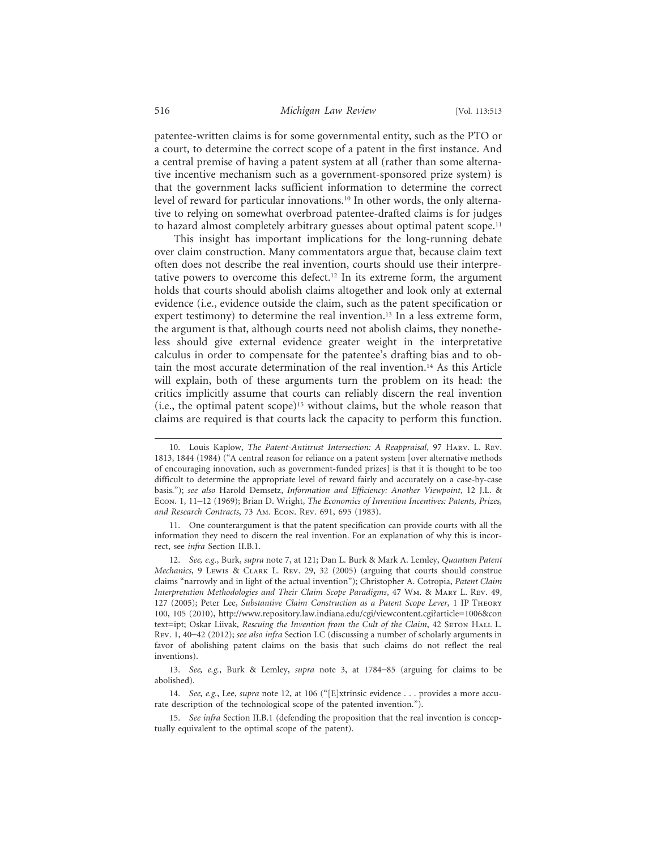patentee-written claims is for some governmental entity, such as the PTO or a court, to determine the correct scope of a patent in the first instance. And a central premise of having a patent system at all (rather than some alternative incentive mechanism such as a government-sponsored prize system) is that the government lacks sufficient information to determine the correct level of reward for particular innovations.<sup>10</sup> In other words, the only alternative to relying on somewhat overbroad patentee-drafted claims is for judges to hazard almost completely arbitrary guesses about optimal patent scope.<sup>11</sup>

This insight has important implications for the long-running debate over claim construction. Many commentators argue that, because claim text often does not describe the real invention, courts should use their interpretative powers to overcome this defect.<sup>12</sup> In its extreme form, the argument holds that courts should abolish claims altogether and look only at external evidence (i.e., evidence outside the claim, such as the patent specification or expert testimony) to determine the real invention.<sup>13</sup> In a less extreme form, the argument is that, although courts need not abolish claims, they nonetheless should give external evidence greater weight in the interpretative calculus in order to compensate for the patentee's drafting bias and to obtain the most accurate determination of the real invention.14 As this Article will explain, both of these arguments turn the problem on its head: the critics implicitly assume that courts can reliably discern the real invention (i.e., the optimal patent scope)15 without claims, but the whole reason that claims are required is that courts lack the capacity to perform this function.

11. One counterargument is that the patent specification can provide courts with all the information they need to discern the real invention. For an explanation of why this is incorrect, see *infra* Section II.B.1.

12. *See, e.g.*, Burk, *supra* note 7, at 121; Dan L. Burk & Mark A. Lemley, *Quantum Patent Mechanics*, 9 Lewis & Clark L. Rev. 29, 32 (2005) (arguing that courts should construe claims "narrowly and in light of the actual invention"); Christopher A. Cotropia, *Patent Claim Interpretation Methodologies and Their Claim Scope Paradigms*, 47 Wm. & Mary L. Rev. 49, 127 (2005); Peter Lee, *Substantive Claim Construction as a Patent Scope Lever*, 1 IP Theory 100, 105 (2010), http://www.repository.law.indiana.edu/cgi/viewcontent.cgi?article=1006&con text=ipt; Oskar Liivak, *Rescuing the Invention from the Cult of the Claim*, 42 Seron Hall L. Rev. 1, 40–42 (2012); *see also infra* Section I.C (discussing a number of scholarly arguments in favor of abolishing patent claims on the basis that such claims do not reflect the real inventions).

<sup>10.</sup> Louis Kaplow, *The Patent-Antitrust Intersection: A Reappraisal*, 97 Harv. L. Rev. 1813, 1844 (1984) ("A central reason for reliance on a patent system [over alternative methods of encouraging innovation, such as government-funded prizes] is that it is thought to be too difficult to determine the appropriate level of reward fairly and accurately on a case-by-case basis."); *see also* Harold Demsetz, *Information and Efficiency: Another Viewpoint*, 12 J.L. & Econ. 1, 11–12 (1969); Brian D. Wright, *The Economics of Invention Incentives: Patents, Prizes, and Research Contracts*, 73 Am. Econ. Rev. 691, 695 (1983).

<sup>13.</sup> *See, e.g.*, Burk & Lemley, *supra* note 3, at 1784–85 (arguing for claims to be abolished).

<sup>14.</sup> *See, e.g.*, Lee, *supra* note 12, at 106 ("[E]xtrinsic evidence . . . provides a more accurate description of the technological scope of the patented invention.").

<sup>15.</sup> *See infra* Section II.B.1 (defending the proposition that the real invention is conceptually equivalent to the optimal scope of the patent).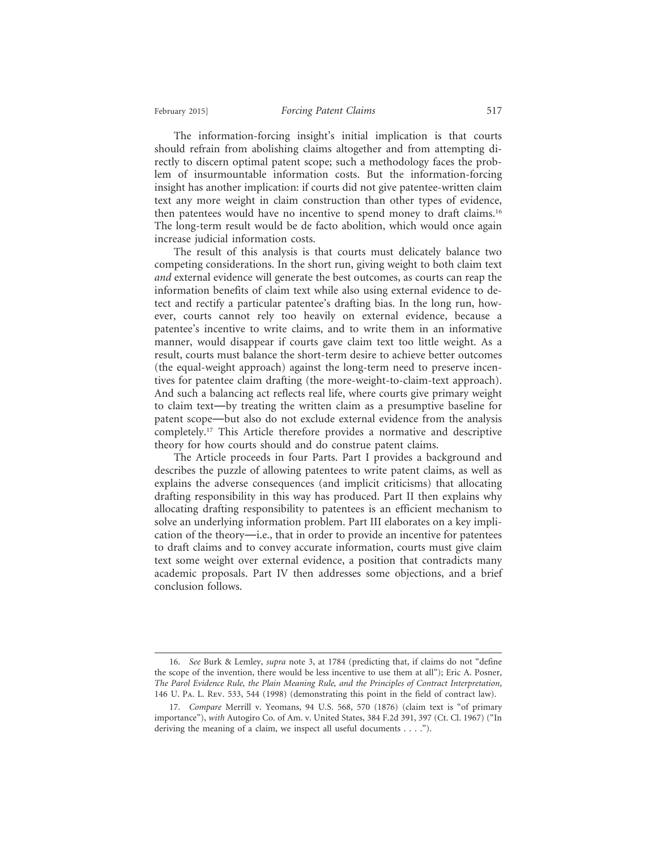The information-forcing insight's initial implication is that courts should refrain from abolishing claims altogether and from attempting directly to discern optimal patent scope; such a methodology faces the problem of insurmountable information costs. But the information-forcing insight has another implication: if courts did not give patentee-written claim text any more weight in claim construction than other types of evidence, then patentees would have no incentive to spend money to draft claims.16 The long-term result would be de facto abolition, which would once again increase judicial information costs.

The result of this analysis is that courts must delicately balance two competing considerations. In the short run, giving weight to both claim text *and* external evidence will generate the best outcomes, as courts can reap the information benefits of claim text while also using external evidence to detect and rectify a particular patentee's drafting bias. In the long run, however, courts cannot rely too heavily on external evidence, because a patentee's incentive to write claims, and to write them in an informative manner, would disappear if courts gave claim text too little weight. As a result, courts must balance the short-term desire to achieve better outcomes (the equal-weight approach) against the long-term need to preserve incentives for patentee claim drafting (the more-weight-to-claim-text approach). And such a balancing act reflects real life, where courts give primary weight to claim text—by treating the written claim as a presumptive baseline for patent scope—but also do not exclude external evidence from the analysis completely.17 This Article therefore provides a normative and descriptive theory for how courts should and do construe patent claims.

The Article proceeds in four Parts. Part I provides a background and describes the puzzle of allowing patentees to write patent claims, as well as explains the adverse consequences (and implicit criticisms) that allocating drafting responsibility in this way has produced. Part II then explains why allocating drafting responsibility to patentees is an efficient mechanism to solve an underlying information problem. Part III elaborates on a key implication of the theory—i.e., that in order to provide an incentive for patentees to draft claims and to convey accurate information, courts must give claim text some weight over external evidence, a position that contradicts many academic proposals. Part IV then addresses some objections, and a brief conclusion follows.

<sup>16.</sup> *See* Burk & Lemley, *supra* note 3, at 1784 (predicting that, if claims do not "define the scope of the invention, there would be less incentive to use them at all"); Eric A. Posner, *The Parol Evidence Rule, the Plain Meaning Rule, and the Principles of Contract Interpretation*, 146 U. Pa. L. Rev. 533, 544 (1998) (demonstrating this point in the field of contract law).

<sup>17.</sup> *Compare* Merrill v. Yeomans, 94 U.S. 568, 570 (1876) (claim text is "of primary importance"), *with* Autogiro Co. of Am. v. United States, 384 F.2d 391, 397 (Ct. Cl. 1967) ("In deriving the meaning of a claim, we inspect all useful documents . . . .").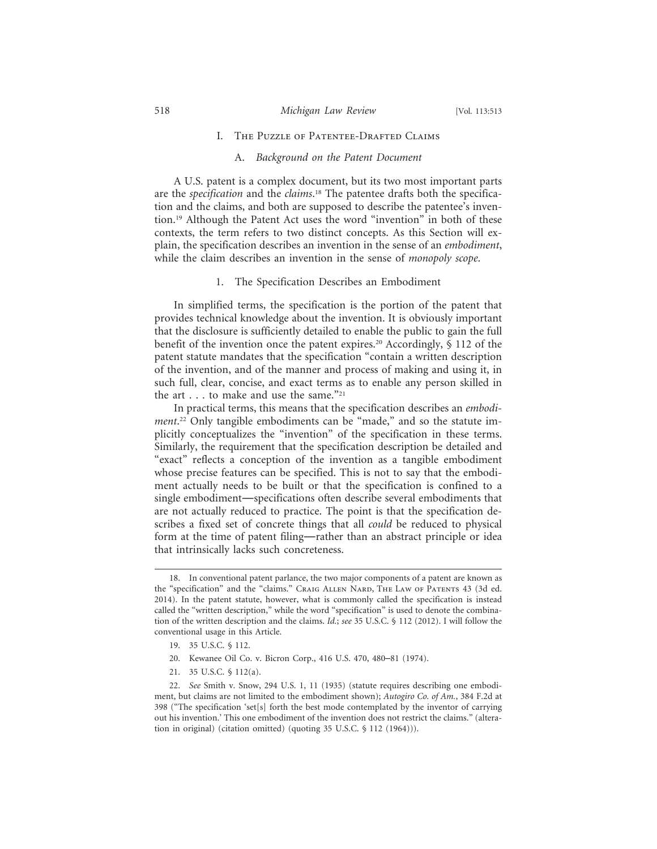#### I. The Puzzle of Patentee-Drafted Claims

#### A. *Background on the Patent Document*

A U.S. patent is a complex document, but its two most important parts are the *specification* and the *claims*. 18 The patentee drafts both the specification and the claims, and both are supposed to describe the patentee's invention.19 Although the Patent Act uses the word "invention" in both of these contexts, the term refers to two distinct concepts. As this Section will explain, the specification describes an invention in the sense of an *embodiment*, while the claim describes an invention in the sense of *monopoly scope*.

## 1. The Specification Describes an Embodiment

In simplified terms, the specification is the portion of the patent that provides technical knowledge about the invention. It is obviously important that the disclosure is sufficiently detailed to enable the public to gain the full benefit of the invention once the patent expires.20 Accordingly, § 112 of the patent statute mandates that the specification "contain a written description of the invention, and of the manner and process of making and using it, in such full, clear, concise, and exact terms as to enable any person skilled in the art . . . to make and use the same."<sup>21</sup>

In practical terms, this means that the specification describes an *embodiment*. 22 Only tangible embodiments can be "made," and so the statute implicitly conceptualizes the "invention" of the specification in these terms. Similarly, the requirement that the specification description be detailed and "exact" reflects a conception of the invention as a tangible embodiment whose precise features can be specified. This is not to say that the embodiment actually needs to be built or that the specification is confined to a single embodiment—specifications often describe several embodiments that are not actually reduced to practice. The point is that the specification describes a fixed set of concrete things that all *could* be reduced to physical form at the time of patent filing—rather than an abstract principle or idea that intrinsically lacks such concreteness.

- 20. Kewanee Oil Co. v. Bicron Corp., 416 U.S. 470, 480–81 (1974).
- 21. 35 U.S.C. § 112(a).

<sup>18.</sup> In conventional patent parlance, the two major components of a patent are known as the "specification" and the "claims." CRAIG ALLEN NARD, THE LAW OF PATENTS 43 (3d ed. 2014). In the patent statute, however, what is commonly called the specification is instead called the "written description," while the word "specification" is used to denote the combination of the written description and the claims. *Id.*; *see* 35 U.S.C. § 112 (2012). I will follow the conventional usage in this Article.

<sup>19. 35</sup> U.S.C. § 112.

<sup>22.</sup> *See* Smith v. Snow, 294 U.S. 1, 11 (1935) (statute requires describing one embodiment, but claims are not limited to the embodiment shown); *Autogiro Co. of Am.*, 384 F.2d at 398 ("The specification 'set[s] forth the best mode contemplated by the inventor of carrying out his invention.' This one embodiment of the invention does not restrict the claims." (alteration in original) (citation omitted) (quoting 35 U.S.C. § 112 (1964))).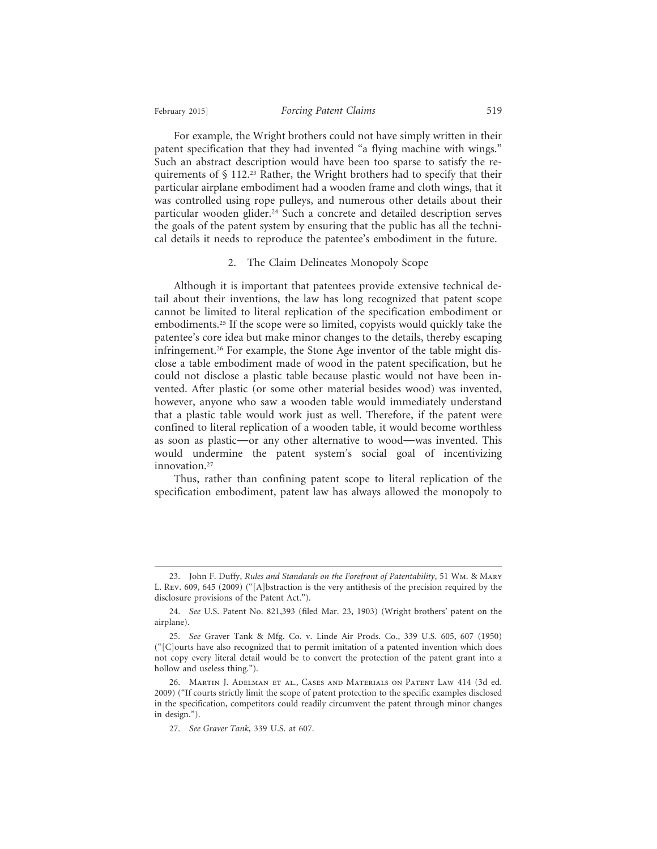For example, the Wright brothers could not have simply written in their patent specification that they had invented "a flying machine with wings." Such an abstract description would have been too sparse to satisfy the requirements of § 112.23 Rather, the Wright brothers had to specify that their particular airplane embodiment had a wooden frame and cloth wings, that it was controlled using rope pulleys, and numerous other details about their particular wooden glider.<sup>24</sup> Such a concrete and detailed description serves the goals of the patent system by ensuring that the public has all the technical details it needs to reproduce the patentee's embodiment in the future.

#### 2. The Claim Delineates Monopoly Scope

Although it is important that patentees provide extensive technical detail about their inventions, the law has long recognized that patent scope cannot be limited to literal replication of the specification embodiment or embodiments.25 If the scope were so limited, copyists would quickly take the patentee's core idea but make minor changes to the details, thereby escaping infringement.26 For example, the Stone Age inventor of the table might disclose a table embodiment made of wood in the patent specification, but he could not disclose a plastic table because plastic would not have been invented. After plastic (or some other material besides wood) was invented, however, anyone who saw a wooden table would immediately understand that a plastic table would work just as well. Therefore, if the patent were confined to literal replication of a wooden table, it would become worthless as soon as plastic—or any other alternative to wood—was invented. This would undermine the patent system's social goal of incentivizing innovation.<sup>27</sup>

Thus, rather than confining patent scope to literal replication of the specification embodiment, patent law has always allowed the monopoly to

<sup>23.</sup> John F. Duffy, *Rules and Standards on the Forefront of Patentability*, 51 Wm. & Mary L. Rev. 609, 645 (2009) ("[A]bstraction is the very antithesis of the precision required by the disclosure provisions of the Patent Act.").

<sup>24.</sup> *See* U.S. Patent No. 821,393 (filed Mar. 23, 1903) (Wright brothers' patent on the airplane).

<sup>25.</sup> *See* Graver Tank & Mfg. Co. v. Linde Air Prods. Co., 339 U.S. 605, 607 (1950) ("[C]ourts have also recognized that to permit imitation of a patented invention which does not copy every literal detail would be to convert the protection of the patent grant into a hollow and useless thing.").

<sup>26.</sup> Martin J. Adelman et al., Cases and Materials on Patent Law 414 (3d ed. 2009) ("If courts strictly limit the scope of patent protection to the specific examples disclosed in the specification, competitors could readily circumvent the patent through minor changes in design.").

<sup>27.</sup> *See Graver Tank*, 339 U.S. at 607.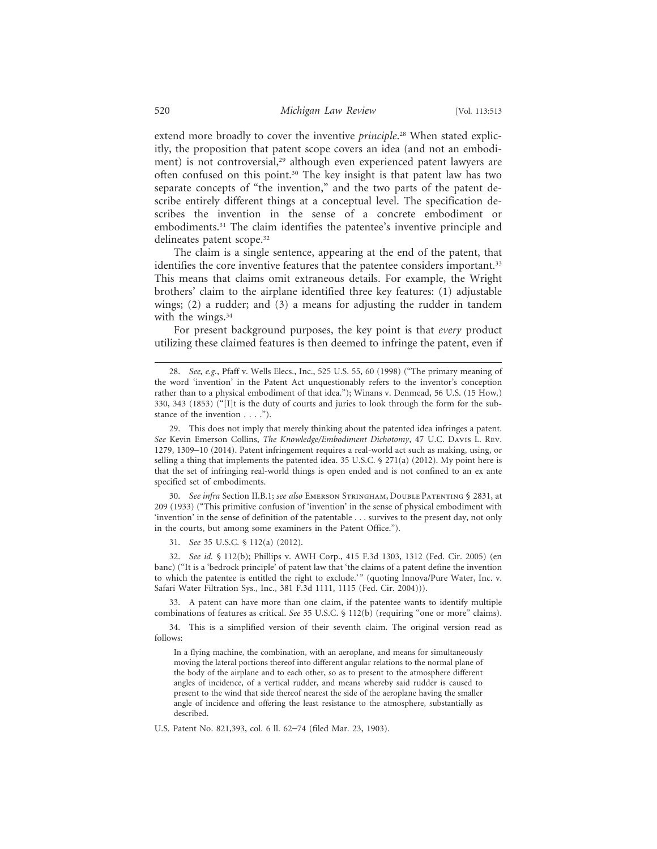extend more broadly to cover the inventive *principle*. 28 When stated explicitly, the proposition that patent scope covers an idea (and not an embodiment) is not controversial,<sup>29</sup> although even experienced patent lawyers are often confused on this point.30 The key insight is that patent law has two separate concepts of "the invention," and the two parts of the patent describe entirely different things at a conceptual level. The specification describes the invention in the sense of a concrete embodiment or embodiments.31 The claim identifies the patentee's inventive principle and delineates patent scope.<sup>32</sup>

The claim is a single sentence, appearing at the end of the patent, that identifies the core inventive features that the patentee considers important.<sup>33</sup> This means that claims omit extraneous details. For example, the Wright brothers' claim to the airplane identified three key features: (1) adjustable wings; (2) a rudder; and (3) a means for adjusting the rudder in tandem with the wings.<sup>34</sup>

For present background purposes, the key point is that *every* product utilizing these claimed features is then deemed to infringe the patent, even if

30. *See infra* Section II.B.1; *see also* Emerson Stringham, Double Patenting § 2831, at 209 (1933) ("This primitive confusion of 'invention' in the sense of physical embodiment with 'invention' in the sense of definition of the patentable . . . survives to the present day, not only in the courts, but among some examiners in the Patent Office.").

31. *See* 35 U.S.C. § 112(a) (2012).

32. *See id.* § 112(b); Phillips v. AWH Corp., 415 F.3d 1303, 1312 (Fed. Cir. 2005) (en banc) ("It is a 'bedrock principle' of patent law that 'the claims of a patent define the invention to which the patentee is entitled the right to exclude.'" (quoting Innova/Pure Water, Inc. v. Safari Water Filtration Sys., Inc., 381 F.3d 1111, 1115 (Fed. Cir. 2004))).

33. A patent can have more than one claim, if the patentee wants to identify multiple combinations of features as critical. *See* 35 U.S.C. § 112(b) (requiring "one or more" claims).

34. This is a simplified version of their seventh claim. The original version read as follows:

In a flying machine, the combination, with an aeroplane, and means for simultaneously moving the lateral portions thereof into different angular relations to the normal plane of the body of the airplane and to each other, so as to present to the atmosphere different angles of incidence, of a vertical rudder, and means whereby said rudder is caused to present to the wind that side thereof nearest the side of the aeroplane having the smaller angle of incidence and offering the least resistance to the atmosphere, substantially as described.

U.S. Patent No. 821,393, col. 6 ll. 62–74 (filed Mar. 23, 1903).

<sup>28.</sup> *See, e.g.*, Pfaff v. Wells Elecs., Inc., 525 U.S. 55, 60 (1998) ("The primary meaning of the word 'invention' in the Patent Act unquestionably refers to the inventor's conception rather than to a physical embodiment of that idea."); Winans v. Denmead, 56 U.S. (15 How.) 330, 343 (1853) ("[I]t is the duty of courts and juries to look through the form for the substance of the invention . . . .").

<sup>29.</sup> This does not imply that merely thinking about the patented idea infringes a patent. *See* Kevin Emerson Collins, *The Knowledge/Embodiment Dichotomy*, 47 U.C. Davis L. Rev. 1279, 1309–10 (2014). Patent infringement requires a real-world act such as making, using, or selling a thing that implements the patented idea. 35 U.S.C.  $\S$  271(a) (2012). My point here is that the set of infringing real-world things is open ended and is not confined to an ex ante specified set of embodiments.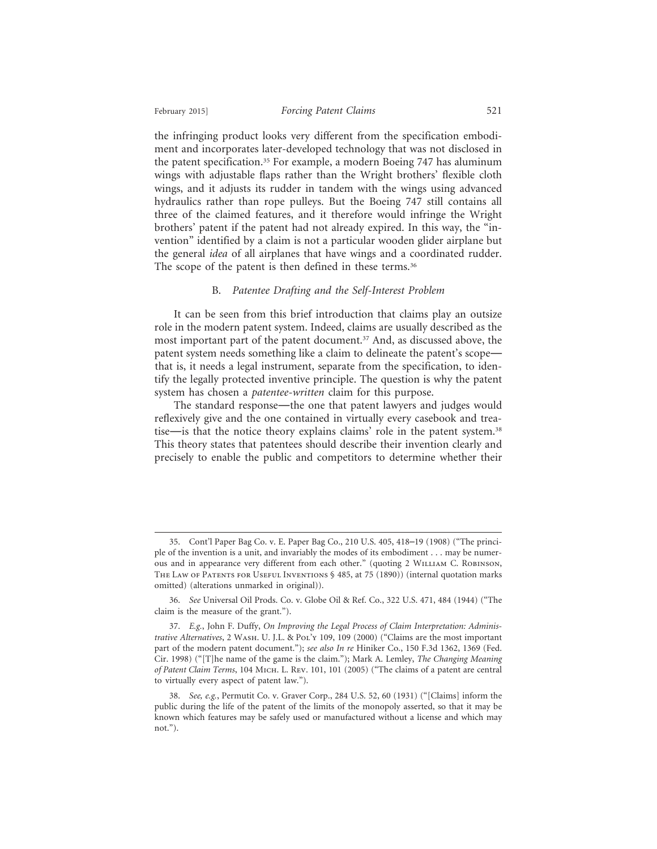the infringing product looks very different from the specification embodiment and incorporates later-developed technology that was not disclosed in the patent specification.35 For example, a modern Boeing 747 has aluminum wings with adjustable flaps rather than the Wright brothers' flexible cloth wings, and it adjusts its rudder in tandem with the wings using advanced hydraulics rather than rope pulleys. But the Boeing 747 still contains all three of the claimed features, and it therefore would infringe the Wright brothers' patent if the patent had not already expired. In this way, the "invention" identified by a claim is not a particular wooden glider airplane but the general *idea* of all airplanes that have wings and a coordinated rudder. The scope of the patent is then defined in these terms.<sup>36</sup>

#### B. *Patentee Drafting and the Self-Interest Problem*

It can be seen from this brief introduction that claims play an outsize role in the modern patent system. Indeed, claims are usually described as the most important part of the patent document.37 And, as discussed above, the patent system needs something like a claim to delineate the patent's scope that is, it needs a legal instrument, separate from the specification, to identify the legally protected inventive principle. The question is why the patent system has chosen a *patentee-written* claim for this purpose.

The standard response—the one that patent lawyers and judges would reflexively give and the one contained in virtually every casebook and treatise—is that the notice theory explains claims' role in the patent system.38 This theory states that patentees should describe their invention clearly and precisely to enable the public and competitors to determine whether their

<sup>35.</sup> Cont'l Paper Bag Co. v. E. Paper Bag Co., 210 U.S. 405, 418–19 (1908) ("The principle of the invention is a unit, and invariably the modes of its embodiment . . . may be numerous and in appearance very different from each other." (quoting 2 William C. Robinson, THE LAW OF PATENTS FOR USEFUL INVENTIONS  $\S$  485, at 75 (1890)) (internal quotation marks omitted) (alterations unmarked in original)).

<sup>36.</sup> *See* Universal Oil Prods. Co. v. Globe Oil & Ref. Co., 322 U.S. 471, 484 (1944) ("The claim is the measure of the grant.").

<sup>37.</sup> *E.g.*, John F. Duffy, *On Improving the Legal Process of Claim Interpretation: Administrative Alternatives*, 2 Wash. U. J.L. & Pol'y 109, 109 (2000) ("Claims are the most important part of the modern patent document."); *see also In re* Hiniker Co., 150 F.3d 1362, 1369 (Fed. Cir. 1998) ("[T]he name of the game is the claim."); Mark A. Lemley, *The Changing Meaning of Patent Claim Terms*, 104 Mich. L. Rev. 101, 101 (2005) ("The claims of a patent are central to virtually every aspect of patent law.").

<sup>38.</sup> *See, e.g.*, Permutit Co. v. Graver Corp., 284 U.S. 52, 60 (1931) ("[Claims] inform the public during the life of the patent of the limits of the monopoly asserted, so that it may be known which features may be safely used or manufactured without a license and which may not.").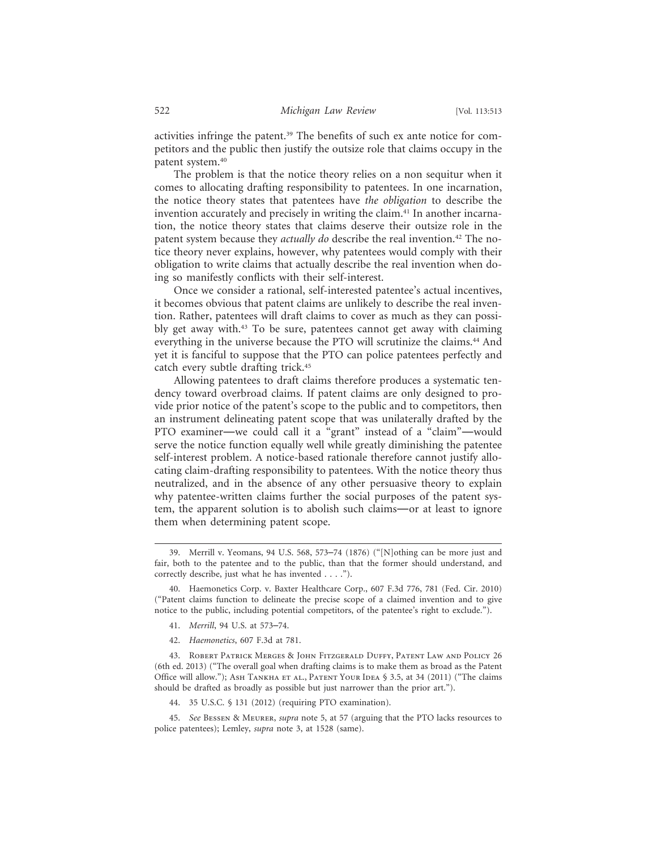activities infringe the patent.39 The benefits of such ex ante notice for competitors and the public then justify the outsize role that claims occupy in the patent system.40

The problem is that the notice theory relies on a non sequitur when it comes to allocating drafting responsibility to patentees. In one incarnation, the notice theory states that patentees have *the obligation* to describe the invention accurately and precisely in writing the claim.<sup>41</sup> In another incarnation, the notice theory states that claims deserve their outsize role in the patent system because they *actually do* describe the real invention.<sup>42</sup> The notice theory never explains, however, why patentees would comply with their obligation to write claims that actually describe the real invention when doing so manifestly conflicts with their self-interest.

Once we consider a rational, self-interested patentee's actual incentives, it becomes obvious that patent claims are unlikely to describe the real invention. Rather, patentees will draft claims to cover as much as they can possibly get away with.43 To be sure, patentees cannot get away with claiming everything in the universe because the PTO will scrutinize the claims.<sup>44</sup> And yet it is fanciful to suppose that the PTO can police patentees perfectly and catch every subtle drafting trick.45

Allowing patentees to draft claims therefore produces a systematic tendency toward overbroad claims. If patent claims are only designed to provide prior notice of the patent's scope to the public and to competitors, then an instrument delineating patent scope that was unilaterally drafted by the PTO examiner—we could call it a "grant" instead of a "claim"—would serve the notice function equally well while greatly diminishing the patentee self-interest problem. A notice-based rationale therefore cannot justify allocating claim-drafting responsibility to patentees. With the notice theory thus neutralized, and in the absence of any other persuasive theory to explain why patentee-written claims further the social purposes of the patent system, the apparent solution is to abolish such claims—or at least to ignore them when determining patent scope.

- 41. *Merrill*, 94 U.S. at 573–74.
- 42. *Haemonetics*, 607 F.3d at 781.

43. Robert Patrick Merges & John Fitzgerald Duffy, Patent Law and Policy 26 (6th ed. 2013) ("The overall goal when drafting claims is to make them as broad as the Patent Office will allow."); ASH TANKHA ET AL., PATENT YOUR IDEA § 3.5, at 34 (2011) ("The claims should be drafted as broadly as possible but just narrower than the prior art.").

44. 35 U.S.C. § 131 (2012) (requiring PTO examination).

45. *See* Bessen & Meurer, *supra* note 5, at 57 (arguing that the PTO lacks resources to police patentees); Lemley, *supra* note 3, at 1528 (same).

<sup>39.</sup> Merrill v. Yeomans, 94 U.S. 568, 573–74 (1876) ("[N]othing can be more just and fair, both to the patentee and to the public, than that the former should understand, and correctly describe, just what he has invented . . . .").

<sup>40.</sup> Haemonetics Corp. v. Baxter Healthcare Corp., 607 F.3d 776, 781 (Fed. Cir. 2010) ("Patent claims function to delineate the precise scope of a claimed invention and to give notice to the public, including potential competitors, of the patentee's right to exclude.").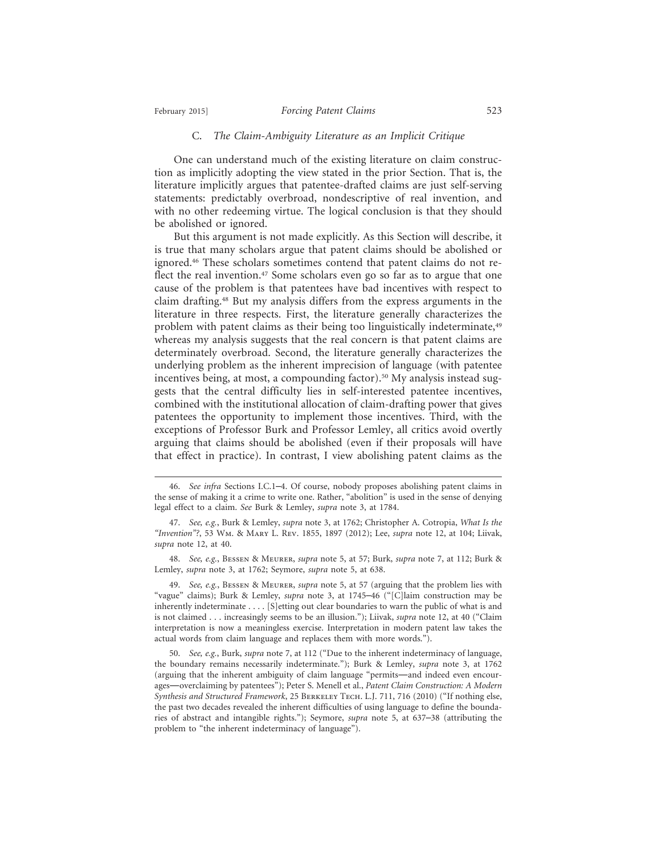## February 2015] *Forcing Patent Claims* 523

#### C. *The Claim-Ambiguity Literature as an Implicit Critique*

One can understand much of the existing literature on claim construction as implicitly adopting the view stated in the prior Section. That is, the literature implicitly argues that patentee-drafted claims are just self-serving statements: predictably overbroad, nondescriptive of real invention, and with no other redeeming virtue. The logical conclusion is that they should be abolished or ignored.

But this argument is not made explicitly. As this Section will describe, it is true that many scholars argue that patent claims should be abolished or ignored.46 These scholars sometimes contend that patent claims do not reflect the real invention.<sup>47</sup> Some scholars even go so far as to argue that one cause of the problem is that patentees have bad incentives with respect to claim drafting.48 But my analysis differs from the express arguments in the literature in three respects. First, the literature generally characterizes the problem with patent claims as their being too linguistically indeterminate,<sup>49</sup> whereas my analysis suggests that the real concern is that patent claims are determinately overbroad. Second, the literature generally characterizes the underlying problem as the inherent imprecision of language (with patentee incentives being, at most, a compounding factor).<sup>50</sup> My analysis instead suggests that the central difficulty lies in self-interested patentee incentives, combined with the institutional allocation of claim-drafting power that gives patentees the opportunity to implement those incentives. Third, with the exceptions of Professor Burk and Professor Lemley, all critics avoid overtly arguing that claims should be abolished (even if their proposals will have that effect in practice). In contrast, I view abolishing patent claims as the

48. *See, e.g.*, Bessen & Meurer, *supra* note 5, at 57; Burk, *supra* note 7, at 112; Burk & Lemley, *supra* note 3, at 1762; Seymore, *supra* note 5, at 638.

49. *See, e.g.*, Bessen & Meurer, *supra* note 5, at 57 (arguing that the problem lies with "vague" claims); Burk & Lemley, *supra* note 3, at 1745–46 ("[C]laim construction may be inherently indeterminate . . . . [S]etting out clear boundaries to warn the public of what is and is not claimed . . . increasingly seems to be an illusion."); Liivak, *supra* note 12, at 40 ("Claim interpretation is now a meaningless exercise. Interpretation in modern patent law takes the actual words from claim language and replaces them with more words.").

<sup>46.</sup> *See infra* Sections I.C.1–4. Of course, nobody proposes abolishing patent claims in the sense of making it a crime to write one. Rather, "abolition" is used in the sense of denying legal effect to a claim. *See* Burk & Lemley, *supra* note 3, at 1784.

<sup>47.</sup> *See, e.g.*, Burk & Lemley, *supra* note 3, at 1762; Christopher A. Cotropia, *What Is the "Invention"?*, 53 Wm. & Mary L. Rev. 1855, 1897 (2012); Lee, *supra* note 12, at 104; Liivak, *supra* note 12, at 40.

<sup>50.</sup> *See, e.g.*, Burk, *supra* note 7, at 112 ("Due to the inherent indeterminacy of language, the boundary remains necessarily indeterminate."); Burk & Lemley, *supra* note 3, at 1762 (arguing that the inherent ambiguity of claim language "permits—and indeed even encourages—overclaiming by patentees"); Peter S. Menell et al., *Patent Claim Construction: A Modern Synthesis and Structured Framework*, 25 Berkeley Tech. L.J. 711, 716 (2010) ("If nothing else, the past two decades revealed the inherent difficulties of using language to define the boundaries of abstract and intangible rights."); Seymore, *supra* note 5, at 637–38 (attributing the problem to "the inherent indeterminacy of language").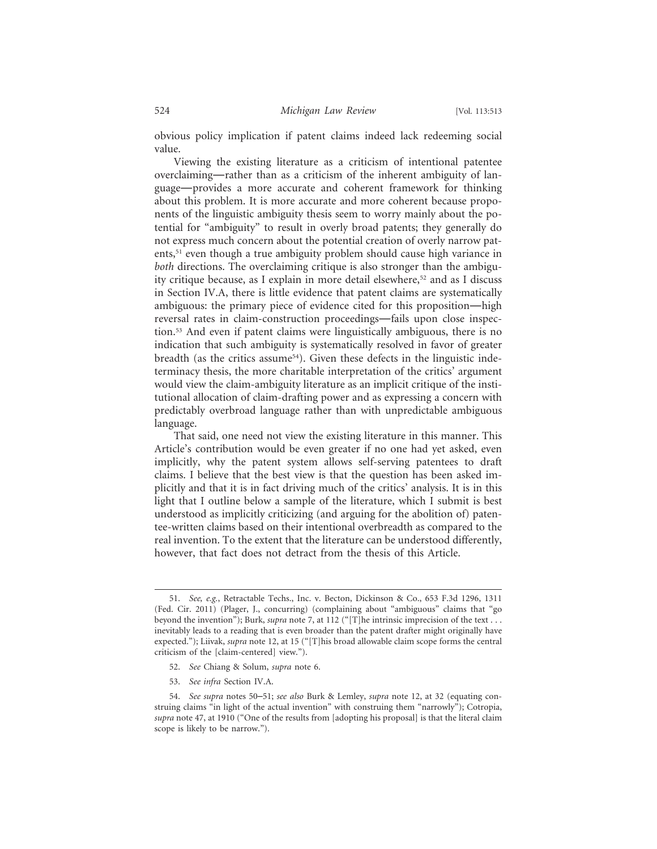obvious policy implication if patent claims indeed lack redeeming social value.

Viewing the existing literature as a criticism of intentional patentee overclaiming—rather than as a criticism of the inherent ambiguity of language—provides a more accurate and coherent framework for thinking about this problem. It is more accurate and more coherent because proponents of the linguistic ambiguity thesis seem to worry mainly about the potential for "ambiguity" to result in overly broad patents; they generally do not express much concern about the potential creation of overly narrow patents,<sup>51</sup> even though a true ambiguity problem should cause high variance in *both* directions. The overclaiming critique is also stronger than the ambiguity critique because, as I explain in more detail elsewhere,<sup>52</sup> and as I discuss in Section IV.A, there is little evidence that patent claims are systematically ambiguous: the primary piece of evidence cited for this proposition—high reversal rates in claim-construction proceedings—fails upon close inspection.53 And even if patent claims were linguistically ambiguous, there is no indication that such ambiguity is systematically resolved in favor of greater breadth (as the critics assume<sup>54</sup>). Given these defects in the linguistic indeterminacy thesis, the more charitable interpretation of the critics' argument would view the claim-ambiguity literature as an implicit critique of the institutional allocation of claim-drafting power and as expressing a concern with predictably overbroad language rather than with unpredictable ambiguous language.

That said, one need not view the existing literature in this manner. This Article's contribution would be even greater if no one had yet asked, even implicitly, why the patent system allows self-serving patentees to draft claims. I believe that the best view is that the question has been asked implicitly and that it is in fact driving much of the critics' analysis. It is in this light that I outline below a sample of the literature, which I submit is best understood as implicitly criticizing (and arguing for the abolition of) patentee-written claims based on their intentional overbreadth as compared to the real invention. To the extent that the literature can be understood differently, however, that fact does not detract from the thesis of this Article.

- 52. *See* Chiang & Solum, *supra* note 6.
- 53. *See infra* Section IV.A.

<sup>51.</sup> *See, e.g.*, Retractable Techs., Inc. v. Becton, Dickinson & Co., 653 F.3d 1296, 1311 (Fed. Cir. 2011) (Plager, J., concurring) (complaining about "ambiguous" claims that "go beyond the invention"); Burk, *supra* note 7, at 112 ("[T]he intrinsic imprecision of the text . . . inevitably leads to a reading that is even broader than the patent drafter might originally have expected."); Liivak, *supra* note 12, at 15 ("[T]his broad allowable claim scope forms the central criticism of the [claim-centered] view.").

<sup>54.</sup> *See supra* notes 50–51; *see also* Burk & Lemley, *supra* note 12, at 32 (equating construing claims "in light of the actual invention" with construing them "narrowly"); Cotropia, *supra* note 47, at 1910 ("One of the results from [adopting his proposal] is that the literal claim scope is likely to be narrow.").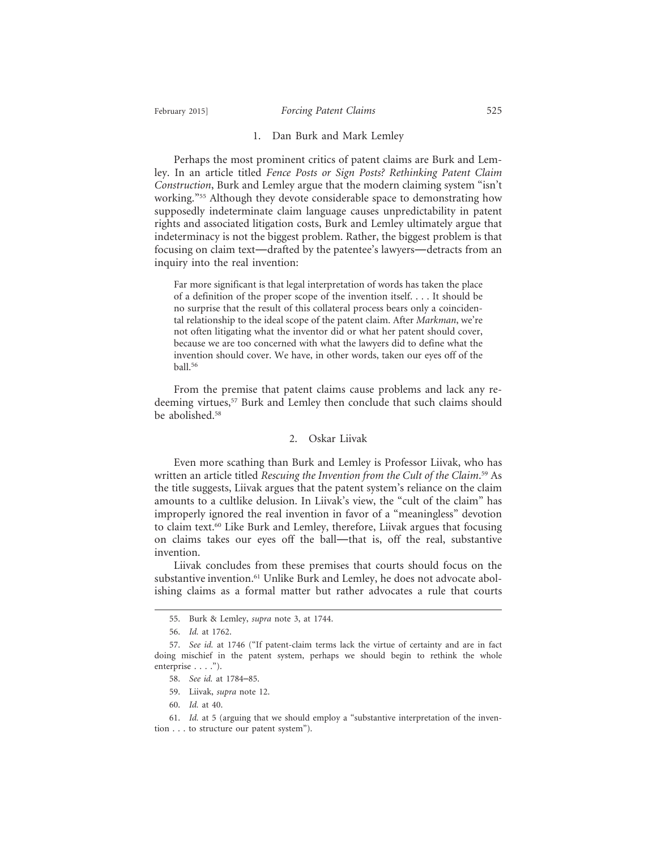## February 2015] *Forcing Patent Claims* 525

#### 1. Dan Burk and Mark Lemley

Perhaps the most prominent critics of patent claims are Burk and Lemley. In an article titled *Fence Posts or Sign Posts? Rethinking Patent Claim Construction*, Burk and Lemley argue that the modern claiming system "isn't working."55 Although they devote considerable space to demonstrating how supposedly indeterminate claim language causes unpredictability in patent rights and associated litigation costs, Burk and Lemley ultimately argue that indeterminacy is not the biggest problem. Rather, the biggest problem is that focusing on claim text—drafted by the patentee's lawyers—detracts from an inquiry into the real invention:

Far more significant is that legal interpretation of words has taken the place of a definition of the proper scope of the invention itself. . . . It should be no surprise that the result of this collateral process bears only a coincidental relationship to the ideal scope of the patent claim. After *Markman*, we're not often litigating what the inventor did or what her patent should cover, because we are too concerned with what the lawyers did to define what the invention should cover. We have, in other words, taken our eyes off of the ball.56

From the premise that patent claims cause problems and lack any redeeming virtues,<sup>57</sup> Burk and Lemley then conclude that such claims should be abolished.<sup>58</sup>

## 2. Oskar Liivak

Even more scathing than Burk and Lemley is Professor Liivak, who has written an article titled *Rescuing the Invention from the Cult of the Claim*. 59 As the title suggests, Liivak argues that the patent system's reliance on the claim amounts to a cultlike delusion. In Liivak's view, the "cult of the claim" has improperly ignored the real invention in favor of a "meaningless" devotion to claim text.<sup>60</sup> Like Burk and Lemley, therefore, Liivak argues that focusing on claims takes our eyes off the ball—that is, off the real, substantive invention.

Liivak concludes from these premises that courts should focus on the substantive invention.<sup>61</sup> Unlike Burk and Lemley, he does not advocate abolishing claims as a formal matter but rather advocates a rule that courts

<sup>55.</sup> Burk & Lemley, *supra* note 3, at 1744.

<sup>56.</sup> *Id.* at 1762.

<sup>57.</sup> *See id.* at 1746 ("If patent-claim terms lack the virtue of certainty and are in fact doing mischief in the patent system, perhaps we should begin to rethink the whole enterprise . . . .").

<sup>58.</sup> *See id.* at 1784–85.

<sup>59.</sup> Liivak, *supra* note 12.

<sup>60.</sup> *Id.* at 40.

<sup>61.</sup> *Id.* at 5 (arguing that we should employ a "substantive interpretation of the invention . . . to structure our patent system").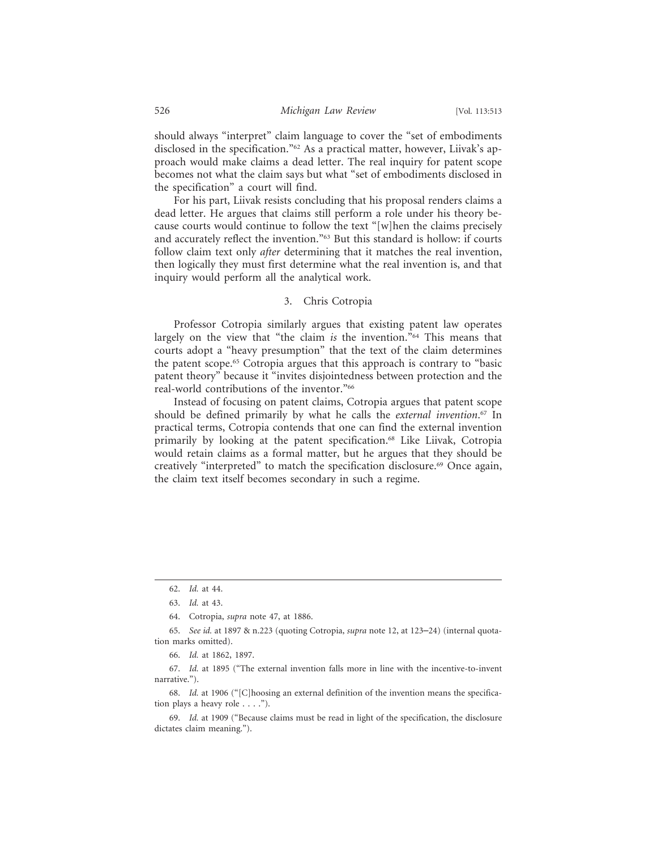should always "interpret" claim language to cover the "set of embodiments disclosed in the specification."62 As a practical matter, however, Liivak's approach would make claims a dead letter. The real inquiry for patent scope becomes not what the claim says but what "set of embodiments disclosed in the specification" a court will find.

For his part, Liivak resists concluding that his proposal renders claims a dead letter. He argues that claims still perform a role under his theory because courts would continue to follow the text "[w]hen the claims precisely and accurately reflect the invention."63 But this standard is hollow: if courts follow claim text only *after* determining that it matches the real invention, then logically they must first determine what the real invention is, and that inquiry would perform all the analytical work.

## 3. Chris Cotropia

Professor Cotropia similarly argues that existing patent law operates largely on the view that "the claim *is* the invention."64 This means that courts adopt a "heavy presumption" that the text of the claim determines the patent scope.65 Cotropia argues that this approach is contrary to "basic patent theory" because it "invites disjointedness between protection and the real-world contributions of the inventor."66

Instead of focusing on patent claims, Cotropia argues that patent scope should be defined primarily by what he calls the *external invention*. 67 In practical terms, Cotropia contends that one can find the external invention primarily by looking at the patent specification.68 Like Liivak, Cotropia would retain claims as a formal matter, but he argues that they should be creatively "interpreted" to match the specification disclosure.<sup>69</sup> Once again, the claim text itself becomes secondary in such a regime.

68. *Id.* at 1906 ("[C]hoosing an external definition of the invention means the specification plays a heavy role . . . .").

<sup>62.</sup> *Id.* at 44.

<sup>63.</sup> *Id.* at 43.

<sup>64.</sup> Cotropia, *supra* note 47, at 1886.

<sup>65.</sup> *See id.* at 1897 & n.223 (quoting Cotropia, *supra* note 12, at 123–24) (internal quotation marks omitted).

<sup>66.</sup> *Id.* at 1862, 1897.

<sup>67.</sup> *Id.* at 1895 ("The external invention falls more in line with the incentive-to-invent narrative.").

<sup>69.</sup> *Id.* at 1909 ("Because claims must be read in light of the specification, the disclosure dictates claim meaning.").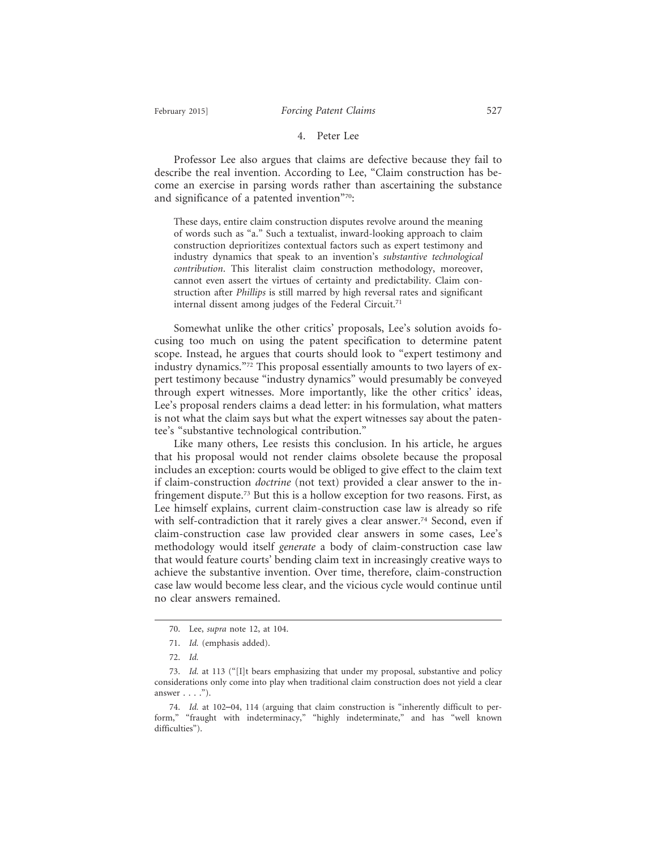#### 4. Peter Lee

Professor Lee also argues that claims are defective because they fail to describe the real invention. According to Lee, "Claim construction has become an exercise in parsing words rather than ascertaining the substance and significance of a patented invention"70:

These days, entire claim construction disputes revolve around the meaning of words such as "a." Such a textualist, inward-looking approach to claim construction deprioritizes contextual factors such as expert testimony and industry dynamics that speak to an invention's *substantive technological contribution*. This literalist claim construction methodology, moreover, cannot even assert the virtues of certainty and predictability. Claim construction after *Phillips* is still marred by high reversal rates and significant internal dissent among judges of the Federal Circuit.<sup>71</sup>

Somewhat unlike the other critics' proposals, Lee's solution avoids focusing too much on using the patent specification to determine patent scope. Instead, he argues that courts should look to "expert testimony and industry dynamics."72 This proposal essentially amounts to two layers of expert testimony because "industry dynamics" would presumably be conveyed through expert witnesses. More importantly, like the other critics' ideas, Lee's proposal renders claims a dead letter: in his formulation, what matters is not what the claim says but what the expert witnesses say about the patentee's "substantive technological contribution."

Like many others, Lee resists this conclusion. In his article, he argues that his proposal would not render claims obsolete because the proposal includes an exception: courts would be obliged to give effect to the claim text if claim-construction *doctrine* (not text) provided a clear answer to the infringement dispute.73 But this is a hollow exception for two reasons. First, as Lee himself explains, current claim-construction case law is already so rife with self-contradiction that it rarely gives a clear answer.<sup>74</sup> Second, even if claim-construction case law provided clear answers in some cases, Lee's methodology would itself *generate* a body of claim-construction case law that would feature courts' bending claim text in increasingly creative ways to achieve the substantive invention. Over time, therefore, claim-construction case law would become less clear, and the vicious cycle would continue until no clear answers remained.

<sup>70.</sup> Lee, *supra* note 12, at 104.

<sup>71.</sup> *Id.* (emphasis added).

<sup>72.</sup> *Id.*

<sup>73.</sup> *Id.* at 113 ("[I]t bears emphasizing that under my proposal, substantive and policy considerations only come into play when traditional claim construction does not yield a clear answer  $\ldots$  .").

<sup>74.</sup> *Id.* at 102–04, 114 (arguing that claim construction is "inherently difficult to perform," "fraught with indeterminacy," "highly indeterminate," and has "well known difficulties").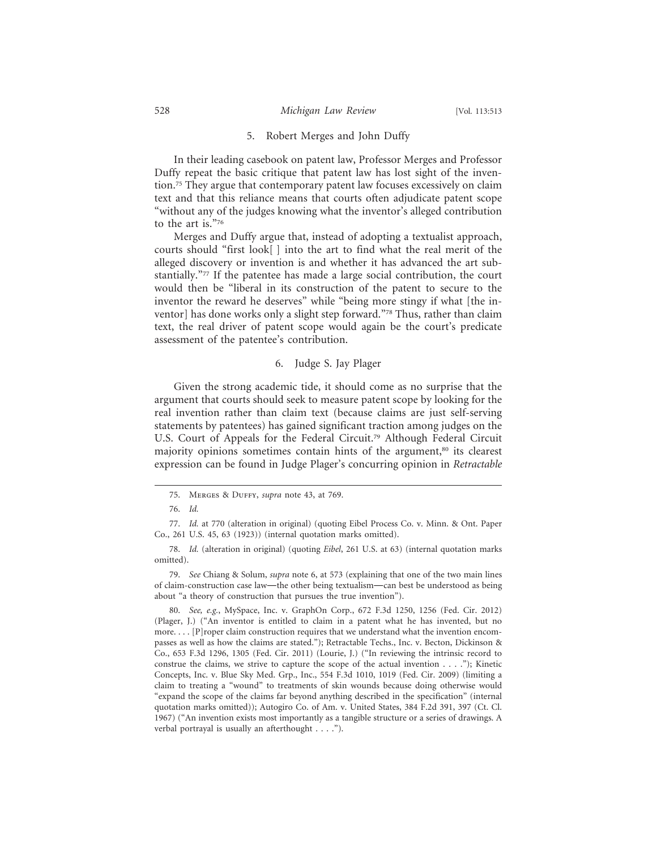#### 5. Robert Merges and John Duffy

In their leading casebook on patent law, Professor Merges and Professor Duffy repeat the basic critique that patent law has lost sight of the invention.75 They argue that contemporary patent law focuses excessively on claim text and that this reliance means that courts often adjudicate patent scope "without any of the judges knowing what the inventor's alleged contribution to the art is."76

Merges and Duffy argue that, instead of adopting a textualist approach, courts should "first look[ ] into the art to find what the real merit of the alleged discovery or invention is and whether it has advanced the art substantially."77 If the patentee has made a large social contribution, the court would then be "liberal in its construction of the patent to secure to the inventor the reward he deserves" while "being more stingy if what [the inventor] has done works only a slight step forward."78 Thus, rather than claim text, the real driver of patent scope would again be the court's predicate assessment of the patentee's contribution.

## 6. Judge S. Jay Plager

Given the strong academic tide, it should come as no surprise that the argument that courts should seek to measure patent scope by looking for the real invention rather than claim text (because claims are just self-serving statements by patentees) has gained significant traction among judges on the U.S. Court of Appeals for the Federal Circuit.79 Although Federal Circuit majority opinions sometimes contain hints of the argument,<sup>80</sup> its clearest expression can be found in Judge Plager's concurring opinion in *Retractable*

<sup>75.</sup> Merges & Duffy, *supra* note 43, at 769.

<sup>76.</sup> *Id.*

<sup>77.</sup> *Id.* at 770 (alteration in original) (quoting Eibel Process Co. v. Minn. & Ont. Paper Co., 261 U.S. 45, 63 (1923)) (internal quotation marks omitted).

<sup>78.</sup> *Id.* (alteration in original) (quoting *Eibel*, 261 U.S. at 63) (internal quotation marks omitted).

<sup>79.</sup> *See* Chiang & Solum, *supra* note 6, at 573 (explaining that one of the two main lines of claim-construction case law—the other being textualism—can best be understood as being about "a theory of construction that pursues the true invention").

<sup>80.</sup> *See, e.g.*, MySpace, Inc. v. GraphOn Corp., 672 F.3d 1250, 1256 (Fed. Cir. 2012) (Plager, J.) ("An inventor is entitled to claim in a patent what he has invented, but no more. . . . [P]roper claim construction requires that we understand what the invention encompasses as well as how the claims are stated."); Retractable Techs., Inc. v. Becton, Dickinson & Co., 653 F.3d 1296, 1305 (Fed. Cir. 2011) (Lourie, J.) ("In reviewing the intrinsic record to construe the claims, we strive to capture the scope of the actual invention . . . ."); Kinetic Concepts, Inc. v. Blue Sky Med. Grp., Inc., 554 F.3d 1010, 1019 (Fed. Cir. 2009) (limiting a claim to treating a "wound" to treatments of skin wounds because doing otherwise would "expand the scope of the claims far beyond anything described in the specification" (internal quotation marks omitted)); Autogiro Co. of Am. v. United States, 384 F.2d 391, 397 (Ct. Cl. 1967) ("An invention exists most importantly as a tangible structure or a series of drawings. A verbal portrayal is usually an afterthought . . . .").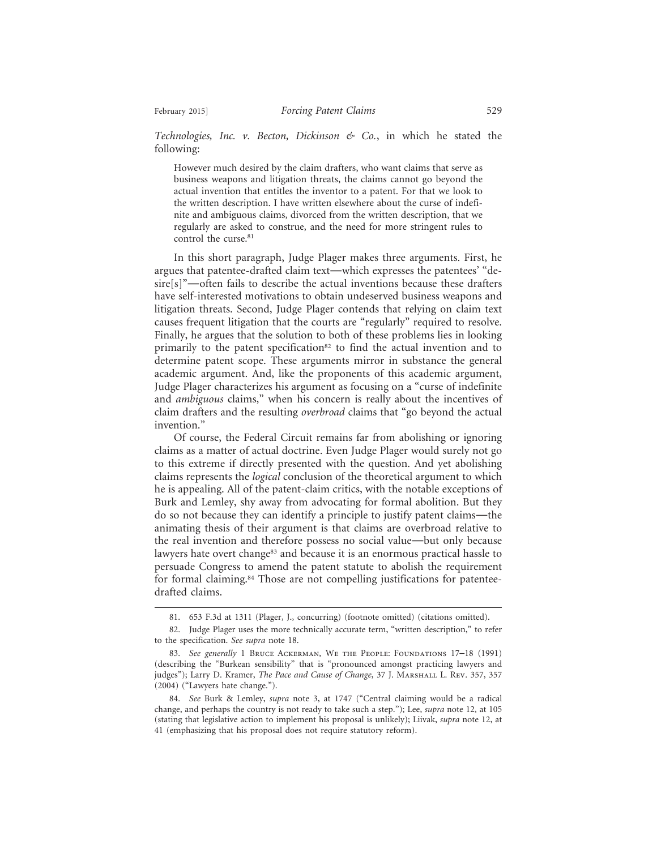*Technologies, Inc. v. Becton, Dickinson & Co.*, in which he stated the following:

However much desired by the claim drafters, who want claims that serve as business weapons and litigation threats, the claims cannot go beyond the actual invention that entitles the inventor to a patent. For that we look to the written description. I have written elsewhere about the curse of indefinite and ambiguous claims, divorced from the written description, that we regularly are asked to construe, and the need for more stringent rules to control the curse.<sup>81</sup>

In this short paragraph, Judge Plager makes three arguments. First, he argues that patentee-drafted claim text—which expresses the patentees' "desire[s]"—often fails to describe the actual inventions because these drafters have self-interested motivations to obtain undeserved business weapons and litigation threats. Second, Judge Plager contends that relying on claim text causes frequent litigation that the courts are "regularly" required to resolve. Finally, he argues that the solution to both of these problems lies in looking primarily to the patent specification<sup>82</sup> to find the actual invention and to determine patent scope. These arguments mirror in substance the general academic argument. And, like the proponents of this academic argument, Judge Plager characterizes his argument as focusing on a "curse of indefinite and *ambiguous* claims," when his concern is really about the incentives of claim drafters and the resulting *overbroad* claims that "go beyond the actual invention."

Of course, the Federal Circuit remains far from abolishing or ignoring claims as a matter of actual doctrine. Even Judge Plager would surely not go to this extreme if directly presented with the question. And yet abolishing claims represents the *logical* conclusion of the theoretical argument to which he is appealing. All of the patent-claim critics, with the notable exceptions of Burk and Lemley, shy away from advocating for formal abolition. But they do so not because they can identify a principle to justify patent claims—the animating thesis of their argument is that claims are overbroad relative to the real invention and therefore possess no social value—but only because lawyers hate overt change<sup>83</sup> and because it is an enormous practical hassle to persuade Congress to amend the patent statute to abolish the requirement for formal claiming.84 Those are not compelling justifications for patenteedrafted claims.

<sup>81. 653</sup> F.3d at 1311 (Plager, J., concurring) (footnote omitted) (citations omitted).

<sup>82.</sup> Judge Plager uses the more technically accurate term, "written description," to refer to the specification. *See supra* note 18.

<sup>83.</sup> See generally 1 BRUCE ACKERMAN, WE THE PEOPLE: FOUNDATIONS 17-18 (1991) (describing the "Burkean sensibility" that is "pronounced amongst practicing lawyers and judges"); Larry D. Kramer, *The Pace and Cause of Change*, 37 J. MARSHALL L. REV. 357, 357 (2004) ("Lawyers hate change.").

<sup>84.</sup> *See* Burk & Lemley, *supra* note 3, at 1747 ("Central claiming would be a radical change, and perhaps the country is not ready to take such a step."); Lee, *supra* note 12, at 105 (stating that legislative action to implement his proposal is unlikely); Liivak, *supra* note 12, at 41 (emphasizing that his proposal does not require statutory reform).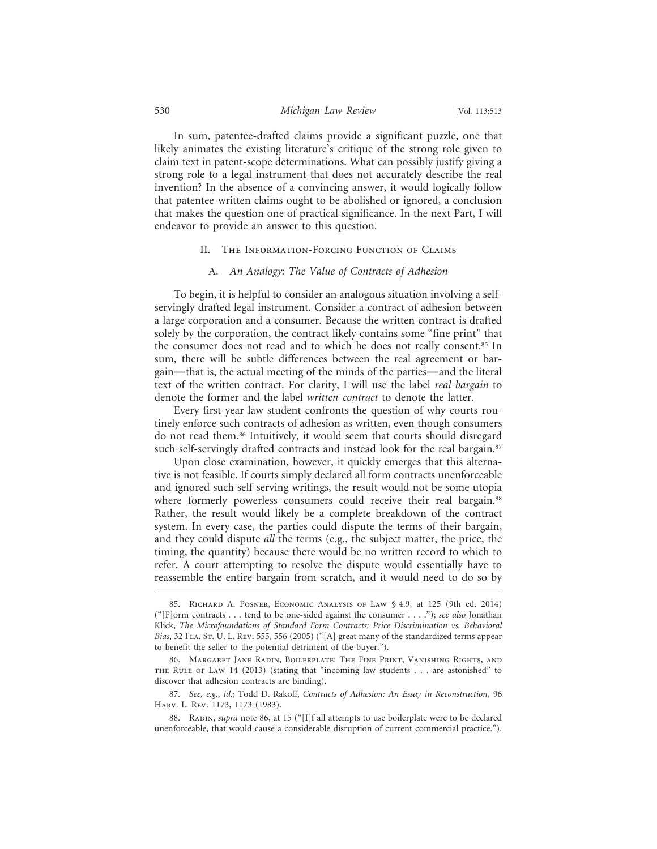## 530 *Michigan Law Review* [Vol. 113:513

In sum, patentee-drafted claims provide a significant puzzle, one that likely animates the existing literature's critique of the strong role given to claim text in patent-scope determinations. What can possibly justify giving a strong role to a legal instrument that does not accurately describe the real invention? In the absence of a convincing answer, it would logically follow that patentee-written claims ought to be abolished or ignored, a conclusion that makes the question one of practical significance. In the next Part, I will endeavor to provide an answer to this question.

### II. The Information-Forcing Function of Claims

## A. *An Analogy: The Value of Contracts of Adhesion*

To begin, it is helpful to consider an analogous situation involving a selfservingly drafted legal instrument. Consider a contract of adhesion between a large corporation and a consumer. Because the written contract is drafted solely by the corporation, the contract likely contains some "fine print" that the consumer does not read and to which he does not really consent.85 In sum, there will be subtle differences between the real agreement or bargain—that is, the actual meeting of the minds of the parties—and the literal text of the written contract. For clarity, I will use the label *real bargain* to denote the former and the label *written contract* to denote the latter.

Every first-year law student confronts the question of why courts routinely enforce such contracts of adhesion as written, even though consumers do not read them.<sup>86</sup> Intuitively, it would seem that courts should disregard such self-servingly drafted contracts and instead look for the real bargain.<sup>87</sup>

Upon close examination, however, it quickly emerges that this alternative is not feasible. If courts simply declared all form contracts unenforceable and ignored such self-serving writings, the result would not be some utopia where formerly powerless consumers could receive their real bargain.<sup>88</sup> Rather, the result would likely be a complete breakdown of the contract system. In every case, the parties could dispute the terms of their bargain, and they could dispute *all* the terms (e.g., the subject matter, the price, the timing, the quantity) because there would be no written record to which to refer. A court attempting to resolve the dispute would essentially have to reassemble the entire bargain from scratch, and it would need to do so by

<sup>85.</sup> Richard A. Posner, Economic Analysis of Law § 4.9, at 125 (9th ed. 2014) ("[F]orm contracts . . . tend to be one-sided against the consumer . . . ."); *see also* Jonathan Klick, *The Microfoundations of Standard Form Contracts: Price Discrimination vs. Behavioral Bias*, 32 FLA. St. U. L. Rev. 555, 556 (2005) ("[A] great many of the standardized terms appear to benefit the seller to the potential detriment of the buyer.").

<sup>86.</sup> Margaret Jane Radin, Boilerplate: The Fine Print, Vanishing Rights, and the Rule of Law 14 (2013) (stating that "incoming law students . . . are astonished" to discover that adhesion contracts are binding).

<sup>87.</sup> *See, e.g.*, *id.*; Todd D. Rakoff, *Contracts of Adhesion: An Essay in Reconstruction*, 96 Harv. L. Rev. 1173, 1173 (1983).

<sup>88.</sup> RADIN, *supra* note 86, at 15 ("[I]f all attempts to use boilerplate were to be declared unenforceable, that would cause a considerable disruption of current commercial practice.").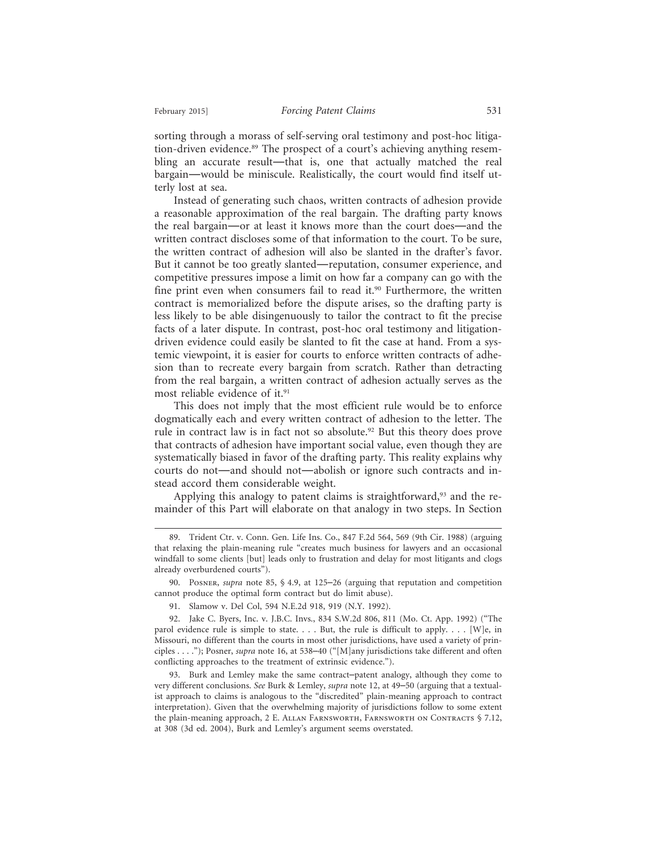February 2015] *Forcing Patent Claims* 531

sorting through a morass of self-serving oral testimony and post-hoc litigation-driven evidence.89 The prospect of a court's achieving anything resembling an accurate result—that is, one that actually matched the real bargain—would be miniscule. Realistically, the court would find itself utterly lost at sea.

Instead of generating such chaos, written contracts of adhesion provide a reasonable approximation of the real bargain. The drafting party knows the real bargain—or at least it knows more than the court does—and the written contract discloses some of that information to the court. To be sure, the written contract of adhesion will also be slanted in the drafter's favor. But it cannot be too greatly slanted—reputation, consumer experience, and competitive pressures impose a limit on how far a company can go with the fine print even when consumers fail to read it.<sup>90</sup> Furthermore, the written contract is memorialized before the dispute arises, so the drafting party is less likely to be able disingenuously to tailor the contract to fit the precise facts of a later dispute. In contrast, post-hoc oral testimony and litigationdriven evidence could easily be slanted to fit the case at hand. From a systemic viewpoint, it is easier for courts to enforce written contracts of adhesion than to recreate every bargain from scratch. Rather than detracting from the real bargain, a written contract of adhesion actually serves as the most reliable evidence of it.<sup>91</sup>

This does not imply that the most efficient rule would be to enforce dogmatically each and every written contract of adhesion to the letter. The rule in contract law is in fact not so absolute.<sup>92</sup> But this theory does prove that contracts of adhesion have important social value, even though they are systematically biased in favor of the drafting party. This reality explains why courts do not—and should not—abolish or ignore such contracts and instead accord them considerable weight.

Applying this analogy to patent claims is straightforward,  $93$  and the remainder of this Part will elaborate on that analogy in two steps. In Section

<sup>89.</sup> Trident Ctr. v. Conn. Gen. Life Ins. Co., 847 F.2d 564, 569 (9th Cir. 1988) (arguing that relaxing the plain-meaning rule "creates much business for lawyers and an occasional windfall to some clients [but] leads only to frustration and delay for most litigants and clogs already overburdened courts").

<sup>90.</sup> Posner, *supra* note 85, § 4.9, at 125–26 (arguing that reputation and competition cannot produce the optimal form contract but do limit abuse).

<sup>91.</sup> Slamow v. Del Col, 594 N.E.2d 918, 919 (N.Y. 1992).

<sup>92.</sup> Jake C. Byers, Inc. v. J.B.C. Invs., 834 S.W.2d 806, 811 (Mo. Ct. App. 1992) ("The parol evidence rule is simple to state. . . . But, the rule is difficult to apply. . . . [W]e, in Missouri, no different than the courts in most other jurisdictions, have used a variety of principles . . . ."); Posner, *supra* note 16, at 538–40 ("[M]any jurisdictions take different and often conflicting approaches to the treatment of extrinsic evidence.").

<sup>93.</sup> Burk and Lemley make the same contract–patent analogy, although they come to very different conclusions. *See* Burk & Lemley, *supra* note 12, at 49–50 (arguing that a textualist approach to claims is analogous to the "discredited" plain-meaning approach to contract interpretation). Given that the overwhelming majority of jurisdictions follow to some extent the plain-meaning approach, 2 E. Allan Farnsworth, Farnsworth on Contracts § 7.12, at 308 (3d ed. 2004), Burk and Lemley's argument seems overstated.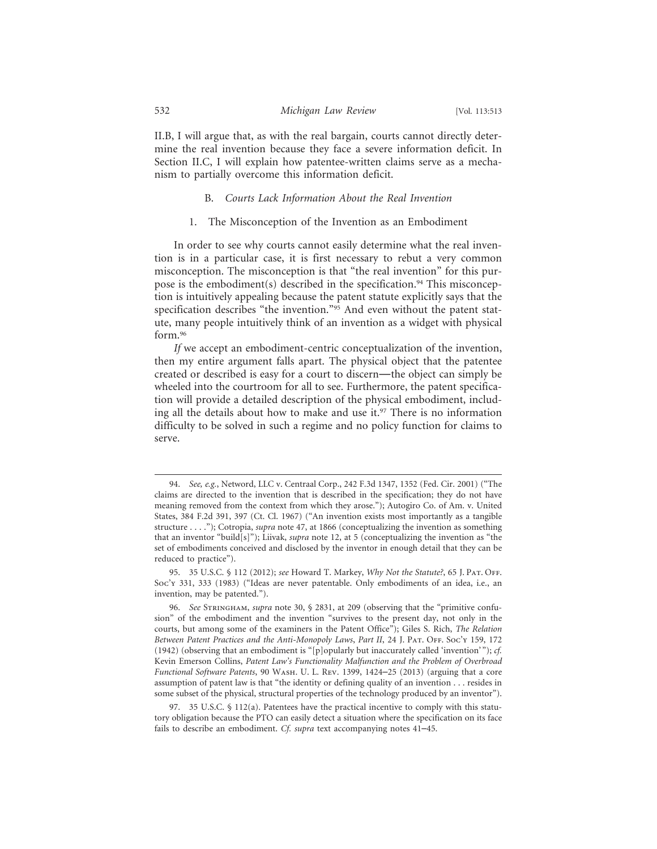II.B, I will argue that, as with the real bargain, courts cannot directly determine the real invention because they face a severe information deficit. In Section II.C, I will explain how patentee-written claims serve as a mechanism to partially overcome this information deficit.

## B. *Courts Lack Information About the Real Invention*

1. The Misconception of the Invention as an Embodiment

In order to see why courts cannot easily determine what the real invention is in a particular case, it is first necessary to rebut a very common misconception. The misconception is that "the real invention" for this purpose is the embodiment(s) described in the specification.<sup>94</sup> This misconception is intuitively appealing because the patent statute explicitly says that the specification describes "the invention."95 And even without the patent statute, many people intuitively think of an invention as a widget with physical form.96

*If* we accept an embodiment-centric conceptualization of the invention, then my entire argument falls apart. The physical object that the patentee created or described is easy for a court to discern—the object can simply be wheeled into the courtroom for all to see. Furthermore, the patent specification will provide a detailed description of the physical embodiment, including all the details about how to make and use it.<sup>97</sup> There is no information difficulty to be solved in such a regime and no policy function for claims to serve.

<sup>94.</sup> *See, e.g.*, Netword, LLC v. Centraal Corp., 242 F.3d 1347, 1352 (Fed. Cir. 2001) ("The claims are directed to the invention that is described in the specification; they do not have meaning removed from the context from which they arose."); Autogiro Co. of Am. v. United States, 384 F.2d 391, 397 (Ct. Cl. 1967) ("An invention exists most importantly as a tangible structure . . . ."); Cotropia, *supra* note 47, at 1866 (conceptualizing the invention as something that an inventor "build[s]"); Liivak, *supra* note 12, at 5 (conceptualizing the invention as "the set of embodiments conceived and disclosed by the inventor in enough detail that they can be reduced to practice").

<sup>95. 35</sup> U.S.C. § 112 (2012); *see* Howard T. Markey, *Why Not the Statute?*, 65 J. Pat. Off. Soc'y 331, 333 (1983) ("Ideas are never patentable. Only embodiments of an idea, i.e., an invention, may be patented.").

<sup>96.</sup> *See* Stringham, *supra* note 30, § 2831, at 209 (observing that the "primitive confusion" of the embodiment and the invention "survives to the present day, not only in the courts, but among some of the examiners in the Patent Office"); Giles S. Rich, *The Relation* Between Patent Practices and the Anti-Monopoly Laws, Part II, 24 J. PAT. OFF. Soc'y 159, 172 (1942) (observing that an embodiment is "[p]opularly but inaccurately called 'invention' "); *cf.* Kevin Emerson Collins, *Patent Law's Functionality Malfunction and the Problem of Overbroad Functional Software Patents*, 90 Wash. U. L. Rev. 1399, 1424–25 (2013) (arguing that a core assumption of patent law is that "the identity or defining quality of an invention . . . resides in some subset of the physical, structural properties of the technology produced by an inventor").

<sup>97. 35</sup> U.S.C. § 112(a). Patentees have the practical incentive to comply with this statutory obligation because the PTO can easily detect a situation where the specification on its face fails to describe an embodiment. *Cf. supra* text accompanying notes 41–45.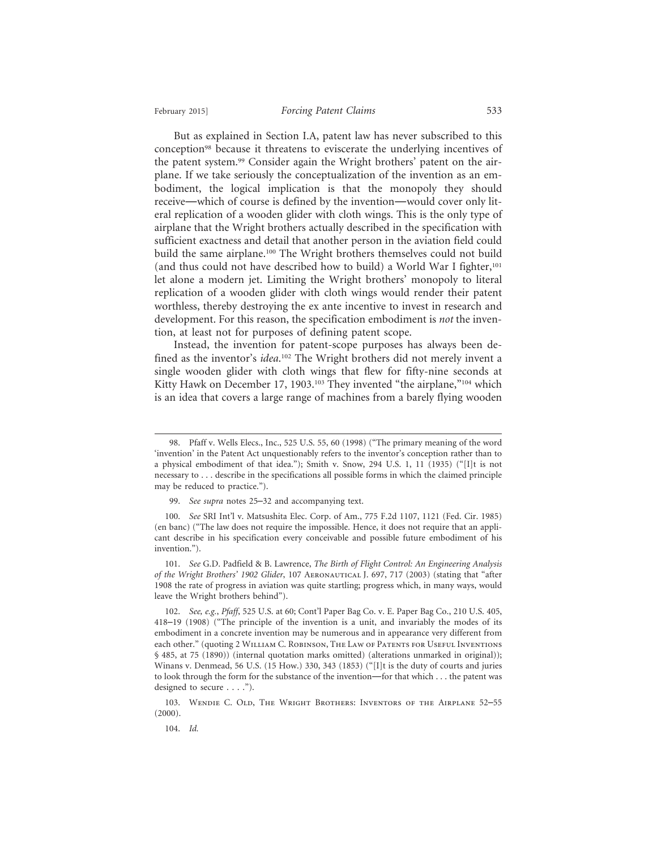But as explained in Section I.A, patent law has never subscribed to this conception98 because it threatens to eviscerate the underlying incentives of the patent system.99 Consider again the Wright brothers' patent on the airplane. If we take seriously the conceptualization of the invention as an embodiment, the logical implication is that the monopoly they should receive—which of course is defined by the invention—would cover only literal replication of a wooden glider with cloth wings. This is the only type of airplane that the Wright brothers actually described in the specification with sufficient exactness and detail that another person in the aviation field could build the same airplane.<sup>100</sup> The Wright brothers themselves could not build (and thus could not have described how to build) a World War I fighter, $101$ let alone a modern jet. Limiting the Wright brothers' monopoly to literal replication of a wooden glider with cloth wings would render their patent worthless, thereby destroying the ex ante incentive to invest in research and development. For this reason, the specification embodiment is *not* the invention, at least not for purposes of defining patent scope.

Instead, the invention for patent-scope purposes has always been defined as the inventor's *idea*. 102 The Wright brothers did not merely invent a single wooden glider with cloth wings that flew for fifty-nine seconds at Kitty Hawk on December 17, 1903.<sup>103</sup> They invented "the airplane,"<sup>104</sup> which is an idea that covers a large range of machines from a barely flying wooden

101. *See* G.D. Padfield & B. Lawrence, *The Birth of Flight Control: An Engineering Analysis of the Wright Brothers' 1902 Glider*, 107 Aeronautical J. 697, 717 (2003) (stating that "after 1908 the rate of progress in aviation was quite startling; progress which, in many ways, would leave the Wright brothers behind").

102. *See, e.g.*, *Pfaff*, 525 U.S. at 60; Cont'l Paper Bag Co. v. E. Paper Bag Co., 210 U.S. 405, 418–19 (1908) ("The principle of the invention is a unit, and invariably the modes of its embodiment in a concrete invention may be numerous and in appearance very different from each other." (quoting 2 William C. Robinson, The Law of Patents for Useful Inventions § 485, at 75 (1890)) (internal quotation marks omitted) (alterations unmarked in original)); Winans v. Denmead, 56 U.S. (15 How.) 330, 343 (1853) ("[I]t is the duty of courts and juries to look through the form for the substance of the invention—for that which . . . the patent was designed to secure . . . .").

103. Wendie C. Old, The Wright Brothers: Inventors of the Airplane 52–55 (2000).

104. *Id.*

<sup>98.</sup> Pfaff v. Wells Elecs., Inc., 525 U.S. 55, 60 (1998) ("The primary meaning of the word 'invention' in the Patent Act unquestionably refers to the inventor's conception rather than to a physical embodiment of that idea."); Smith v. Snow, 294 U.S. 1, 11 (1935) ("[I]t is not necessary to . . . describe in the specifications all possible forms in which the claimed principle may be reduced to practice.").

<sup>99.</sup> *See supra* notes 25–32 and accompanying text.

<sup>100.</sup> *See* SRI Int'l v. Matsushita Elec. Corp. of Am., 775 F.2d 1107, 1121 (Fed. Cir. 1985) (en banc) ("The law does not require the impossible. Hence, it does not require that an applicant describe in his specification every conceivable and possible future embodiment of his invention.").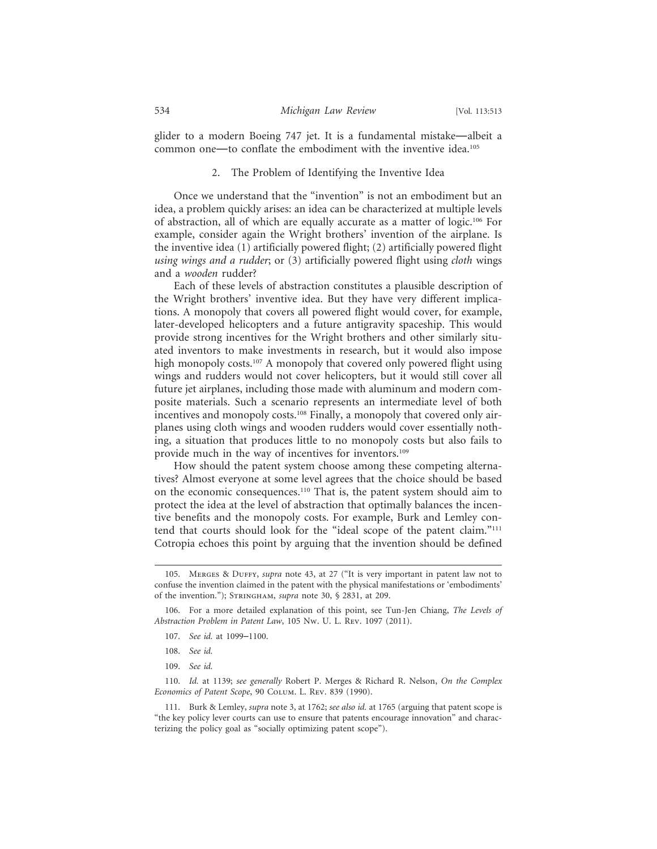glider to a modern Boeing 747 jet. It is a fundamental mistake—albeit a common one—to conflate the embodiment with the inventive idea.105

#### 2. The Problem of Identifying the Inventive Idea

Once we understand that the "invention" is not an embodiment but an idea, a problem quickly arises: an idea can be characterized at multiple levels of abstraction, all of which are equally accurate as a matter of logic.106 For example, consider again the Wright brothers' invention of the airplane. Is the inventive idea (1) artificially powered flight; (2) artificially powered flight *using wings and a rudder*; or (3) artificially powered flight using *cloth* wings and a *wooden* rudder?

Each of these levels of abstraction constitutes a plausible description of the Wright brothers' inventive idea. But they have very different implications. A monopoly that covers all powered flight would cover, for example, later-developed helicopters and a future antigravity spaceship. This would provide strong incentives for the Wright brothers and other similarly situated inventors to make investments in research, but it would also impose high monopoly costs.<sup>107</sup> A monopoly that covered only powered flight using wings and rudders would not cover helicopters, but it would still cover all future jet airplanes, including those made with aluminum and modern composite materials. Such a scenario represents an intermediate level of both incentives and monopoly costs.<sup>108</sup> Finally, a monopoly that covered only airplanes using cloth wings and wooden rudders would cover essentially nothing, a situation that produces little to no monopoly costs but also fails to provide much in the way of incentives for inventors.<sup>109</sup>

How should the patent system choose among these competing alternatives? Almost everyone at some level agrees that the choice should be based on the economic consequences.110 That is, the patent system should aim to protect the idea at the level of abstraction that optimally balances the incentive benefits and the monopoly costs. For example, Burk and Lemley contend that courts should look for the "ideal scope of the patent claim."111 Cotropia echoes this point by arguing that the invention should be defined

- 108. *See id.*
- 109. *See id.*

110. *Id.* at 1139; *see generally* Robert P. Merges & Richard R. Nelson, *On the Complex Economics of Patent Scope*, 90 Colum. L. Rev. 839 (1990).

<sup>105.</sup> Merges & Duffy, *supra* note 43, at 27 ("It is very important in patent law not to confuse the invention claimed in the patent with the physical manifestations or 'embodiments' of the invention."); Stringham, *supra* note 30, § 2831, at 209.

<sup>106.</sup> For a more detailed explanation of this point, see Tun-Jen Chiang, *The Levels of Abstraction Problem in Patent Law*, 105 Nw. U. L. Rev. 1097 (2011).

<sup>107.</sup> *See id.* at 1099–1100.

<sup>111.</sup> Burk & Lemley, *supra* note 3, at 1762; *see also id.* at 1765 (arguing that patent scope is "the key policy lever courts can use to ensure that patents encourage innovation" and characterizing the policy goal as "socially optimizing patent scope").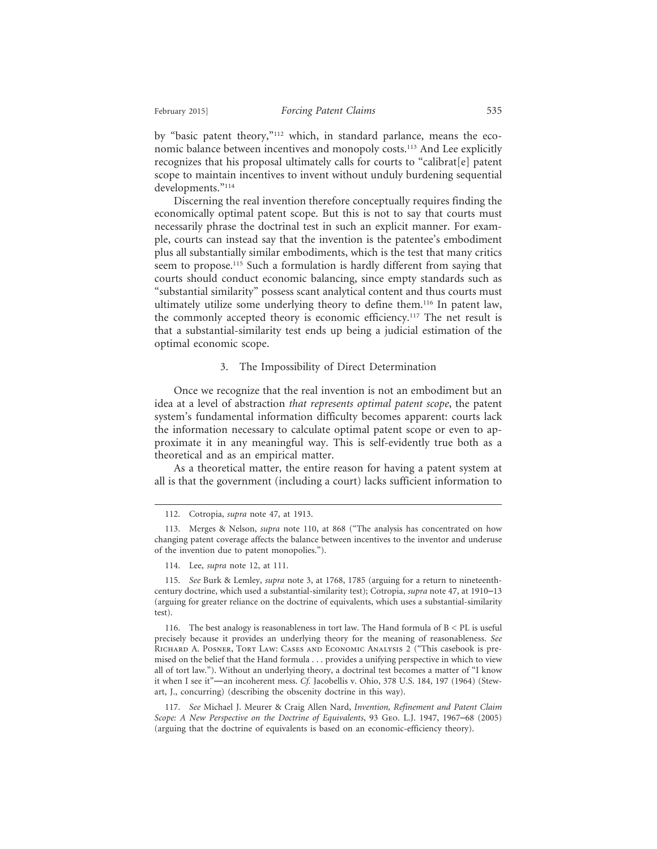by "basic patent theory,"112 which, in standard parlance, means the economic balance between incentives and monopoly costs.113 And Lee explicitly recognizes that his proposal ultimately calls for courts to "calibrat[e] patent scope to maintain incentives to invent without unduly burdening sequential developments."114

Discerning the real invention therefore conceptually requires finding the economically optimal patent scope. But this is not to say that courts must necessarily phrase the doctrinal test in such an explicit manner. For example, courts can instead say that the invention is the patentee's embodiment plus all substantially similar embodiments, which is the test that many critics seem to propose.<sup>115</sup> Such a formulation is hardly different from saying that courts should conduct economic balancing, since empty standards such as "substantial similarity" possess scant analytical content and thus courts must ultimately utilize some underlying theory to define them.116 In patent law, the commonly accepted theory is economic efficiency.117 The net result is that a substantial-similarity test ends up being a judicial estimation of the optimal economic scope.

#### 3. The Impossibility of Direct Determination

Once we recognize that the real invention is not an embodiment but an idea at a level of abstraction *that represents optimal patent scope*, the patent system's fundamental information difficulty becomes apparent: courts lack the information necessary to calculate optimal patent scope or even to approximate it in any meaningful way. This is self-evidently true both as a theoretical and as an empirical matter.

As a theoretical matter, the entire reason for having a patent system at all is that the government (including a court) lacks sufficient information to

<sup>112.</sup> Cotropia, *supra* note 47, at 1913.

<sup>113.</sup> Merges & Nelson, *supra* note 110, at 868 ("The analysis has concentrated on how changing patent coverage affects the balance between incentives to the inventor and underuse of the invention due to patent monopolies.").

<sup>114.</sup> Lee, *supra* note 12, at 111.

<sup>115.</sup> *See* Burk & Lemley, *supra* note 3, at 1768, 1785 (arguing for a return to nineteenthcentury doctrine, which used a substantial-similarity test); Cotropia, *supra* note 47, at 1910–13 (arguing for greater reliance on the doctrine of equivalents, which uses a substantial-similarity test).

<sup>116.</sup> The best analogy is reasonableness in tort law. The Hand formula of B < PL is useful precisely because it provides an underlying theory for the meaning of reasonableness. *See* Richard A. Posner, Tort Law: Cases and Economic Analysis 2 ("This casebook is premised on the belief that the Hand formula . . . provides a unifying perspective in which to view all of tort law."). Without an underlying theory, a doctrinal test becomes a matter of "I know it when I see it"—an incoherent mess. *Cf.* Jacobellis v. Ohio, 378 U.S. 184, 197 (1964) (Stewart, J., concurring) (describing the obscenity doctrine in this way).

<sup>117.</sup> *See* Michael J. Meurer & Craig Allen Nard, *Invention, Refinement and Patent Claim Scope: A New Perspective on the Doctrine of Equivalents*, 93 Geo. L.J. 1947, 1967–68 (2005) (arguing that the doctrine of equivalents is based on an economic-efficiency theory).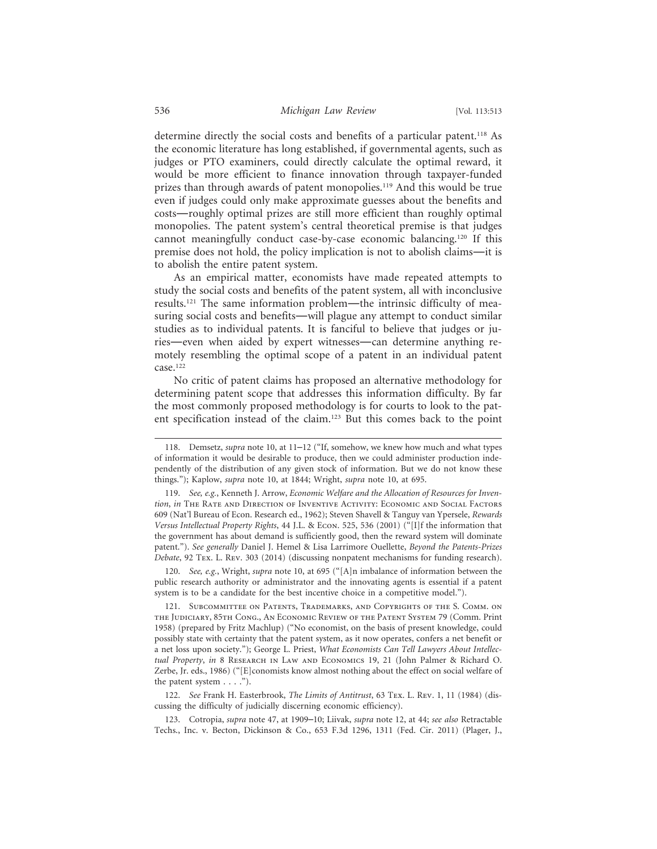determine directly the social costs and benefits of a particular patent.<sup>118</sup> As the economic literature has long established, if governmental agents, such as judges or PTO examiners, could directly calculate the optimal reward, it would be more efficient to finance innovation through taxpayer-funded prizes than through awards of patent monopolies.<sup>119</sup> And this would be true even if judges could only make approximate guesses about the benefits and costs—roughly optimal prizes are still more efficient than roughly optimal monopolies. The patent system's central theoretical premise is that judges cannot meaningfully conduct case-by-case economic balancing.120 If this premise does not hold, the policy implication is not to abolish claims—it is to abolish the entire patent system.

As an empirical matter, economists have made repeated attempts to study the social costs and benefits of the patent system, all with inconclusive results.121 The same information problem—the intrinsic difficulty of measuring social costs and benefits—will plague any attempt to conduct similar studies as to individual patents. It is fanciful to believe that judges or juries—even when aided by expert witnesses—can determine anything remotely resembling the optimal scope of a patent in an individual patent case.122

No critic of patent claims has proposed an alternative methodology for determining patent scope that addresses this information difficulty. By far the most commonly proposed methodology is for courts to look to the patent specification instead of the claim.123 But this comes back to the point

120. *See, e.g.*, Wright, *supra* note 10, at 695 ("[A]n imbalance of information between the public research authority or administrator and the innovating agents is essential if a patent system is to be a candidate for the best incentive choice in a competitive model.").

121. Subcommittee on Patents, Trademarks, and Copyrights of the S. Comm. on the Judiciary, 85th Cong., An Economic Review of the Patent System 79 (Comm. Print 1958) (prepared by Fritz Machlup) ("No economist, on the basis of present knowledge, could possibly state with certainty that the patent system, as it now operates, confers a net benefit or a net loss upon society."); George L. Priest, *What Economists Can Tell Lawyers About Intellectual Property, in* 8 RESEARCH IN LAW AND ECONOMICS 19, 21 (John Palmer & Richard O. Zerbe, Jr. eds., 1986) ("[E]conomists know almost nothing about the effect on social welfare of the patent system . . . .").

122. *See* Frank H. Easterbrook, *The Limits of Antitrust*, 63 Tex. L. Rev. 1, 11 (1984) (discussing the difficulty of judicially discerning economic efficiency).

123. Cotropia, *supra* note 47, at 1909–10; Liivak, *supra* note 12, at 44; *see also* Retractable Techs., Inc. v. Becton, Dickinson & Co., 653 F.3d 1296, 1311 (Fed. Cir. 2011) (Plager, J.,

<sup>118.</sup> Demsetz, *supra* note 10, at 11–12 ("If, somehow, we knew how much and what types of information it would be desirable to produce, then we could administer production independently of the distribution of any given stock of information. But we do not know these things."); Kaplow, *supra* note 10, at 1844; Wright, *supra* note 10, at 695.

<sup>119.</sup> *See, e.g.*, Kenneth J. Arrow, *Economic Welfare and the Allocation of Resources for Invention*, *in* The Rate and Direction of Inventive Activity: Economic and Social Factors 609 (Nat'l Bureau of Econ. Research ed., 1962); Steven Shavell & Tanguy van Ypersele, *Rewards Versus Intellectual Property Rights*, 44 J.L. & Econ. 525, 536 (2001) ("[I]f the information that the government has about demand is sufficiently good, then the reward system will dominate patent."). *See generally* Daniel J. Hemel & Lisa Larrimore Ouellette, *Beyond the Patents-Prizes Debate*, 92 Tex. L. Rev. 303 (2014) (discussing nonpatent mechanisms for funding research).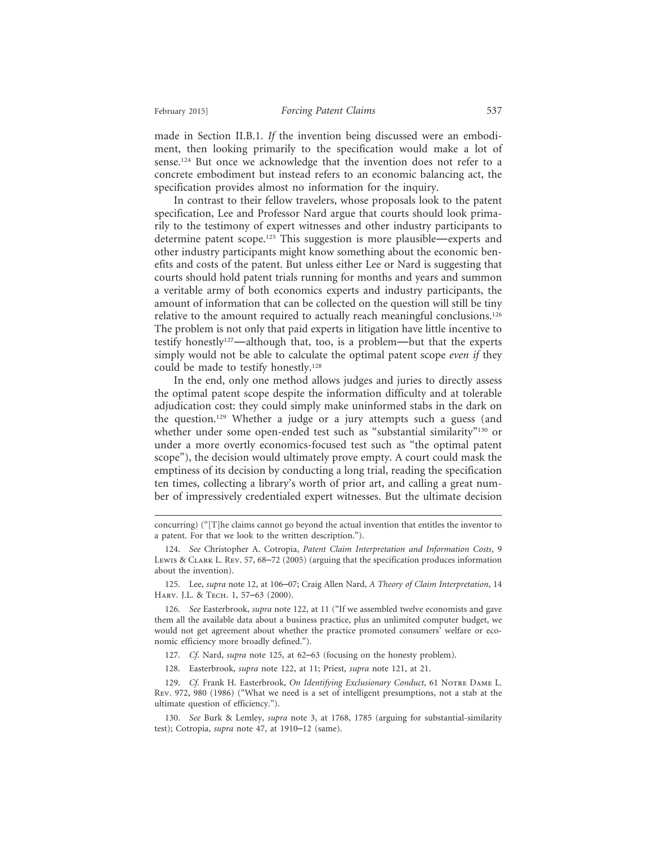made in Section II.B.1. *If* the invention being discussed were an embodiment, then looking primarily to the specification would make a lot of sense.124 But once we acknowledge that the invention does not refer to a concrete embodiment but instead refers to an economic balancing act, the specification provides almost no information for the inquiry.

In contrast to their fellow travelers, whose proposals look to the patent specification, Lee and Professor Nard argue that courts should look primarily to the testimony of expert witnesses and other industry participants to determine patent scope.125 This suggestion is more plausible—experts and other industry participants might know something about the economic benefits and costs of the patent. But unless either Lee or Nard is suggesting that courts should hold patent trials running for months and years and summon a veritable army of both economics experts and industry participants, the amount of information that can be collected on the question will still be tiny relative to the amount required to actually reach meaningful conclusions.126 The problem is not only that paid experts in litigation have little incentive to testify honestly127—although that, too, is a problem—but that the experts simply would not be able to calculate the optimal patent scope *even if* they could be made to testify honestly.128

In the end, only one method allows judges and juries to directly assess the optimal patent scope despite the information difficulty and at tolerable adjudication cost: they could simply make uninformed stabs in the dark on the question.129 Whether a judge or a jury attempts such a guess (and whether under some open-ended test such as "substantial similarity"<sup>130</sup> or under a more overtly economics-focused test such as "the optimal patent scope"), the decision would ultimately prove empty. A court could mask the emptiness of its decision by conducting a long trial, reading the specification ten times, collecting a library's worth of prior art, and calling a great number of impressively credentialed expert witnesses. But the ultimate decision

125. Lee, *supra* note 12, at 106–07; Craig Allen Nard, *A Theory of Claim Interpretation*, 14 Harv. J.L. & Tech. 1, 57–63 (2000).

126. *See* Easterbrook, *supra* note 122, at 11 ("If we assembled twelve economists and gave them all the available data about a business practice, plus an unlimited computer budget, we would not get agreement about whether the practice promoted consumers' welfare or economic efficiency more broadly defined.").

127. *Cf.* Nard, *supra* note 125, at 62–63 (focusing on the honesty problem).

128. Easterbrook, *supra* note 122, at 11; Priest, *supra* note 121, at 21.

129. Cf. Frank H. Easterbrook, On Identifying Exclusionary Conduct, 61 NOTRE DAME L. Rev. 972, 980 (1986) ("What we need is a set of intelligent presumptions, not a stab at the ultimate question of efficiency.").

130. *See* Burk & Lemley, *supra* note 3, at 1768, 1785 (arguing for substantial-similarity test); Cotropia, *supra* note 47, at 1910–12 (same).

concurring) ("[T]he claims cannot go beyond the actual invention that entitles the inventor to a patent. For that we look to the written description.").

<sup>124.</sup> *See* Christopher A. Cotropia, *Patent Claim Interpretation and Information Costs*, 9 Lewis & Clark L. Rev. 57, 68–72 (2005) (arguing that the specification produces information about the invention).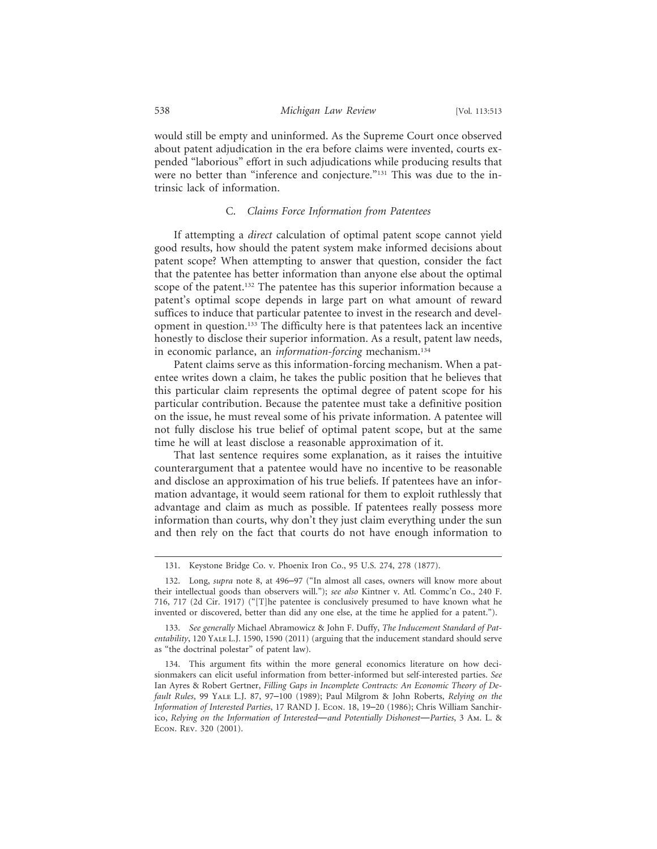would still be empty and uninformed. As the Supreme Court once observed about patent adjudication in the era before claims were invented, courts expended "laborious" effort in such adjudications while producing results that were no better than "inference and conjecture."<sup>131</sup> This was due to the intrinsic lack of information.

## C. *Claims Force Information from Patentees*

If attempting a *direct* calculation of optimal patent scope cannot yield good results, how should the patent system make informed decisions about patent scope? When attempting to answer that question, consider the fact that the patentee has better information than anyone else about the optimal scope of the patent.<sup>132</sup> The patentee has this superior information because a patent's optimal scope depends in large part on what amount of reward suffices to induce that particular patentee to invest in the research and development in question.133 The difficulty here is that patentees lack an incentive honestly to disclose their superior information. As a result, patent law needs, in economic parlance, an *information-forcing* mechanism.134

Patent claims serve as this information-forcing mechanism. When a patentee writes down a claim, he takes the public position that he believes that this particular claim represents the optimal degree of patent scope for his particular contribution. Because the patentee must take a definitive position on the issue, he must reveal some of his private information. A patentee will not fully disclose his true belief of optimal patent scope, but at the same time he will at least disclose a reasonable approximation of it.

That last sentence requires some explanation, as it raises the intuitive counterargument that a patentee would have no incentive to be reasonable and disclose an approximation of his true beliefs. If patentees have an information advantage, it would seem rational for them to exploit ruthlessly that advantage and claim as much as possible. If patentees really possess more information than courts, why don't they just claim everything under the sun and then rely on the fact that courts do not have enough information to

<sup>131.</sup> Keystone Bridge Co. v. Phoenix Iron Co., 95 U.S. 274, 278 (1877).

<sup>132.</sup> Long, *supra* note 8, at 496–97 ("In almost all cases, owners will know more about their intellectual goods than observers will."); *see also* Kintner v. Atl. Commc'n Co., 240 F. 716, 717 (2d Cir. 1917) ("[T]he patentee is conclusively presumed to have known what he invented or discovered, better than did any one else, at the time he applied for a patent.").

<sup>133.</sup> *See generally* Michael Abramowicz & John F. Duffy, *The Inducement Standard of Patentability*, 120 Yale L.J. 1590, 1590 (2011) (arguing that the inducement standard should serve as "the doctrinal polestar" of patent law).

<sup>134.</sup> This argument fits within the more general economics literature on how decisionmakers can elicit useful information from better-informed but self-interested parties. *See* Ian Ayres & Robert Gertner, *Filling Gaps in Incomplete Contracts: An Economic Theory of Default Rules*, 99 Yale L.J. 87, 97–100 (1989); Paul Milgrom & John Roberts, *Relying on the Information of Interested Parties*, 17 RAND J. Econ. 18, 19–20 (1986); Chris William Sanchirico, *Relying on the Information of Interested*—*and Potentially Dishonest*—*Parties*, 3 Am. L. & Econ. Rev. 320 (2001).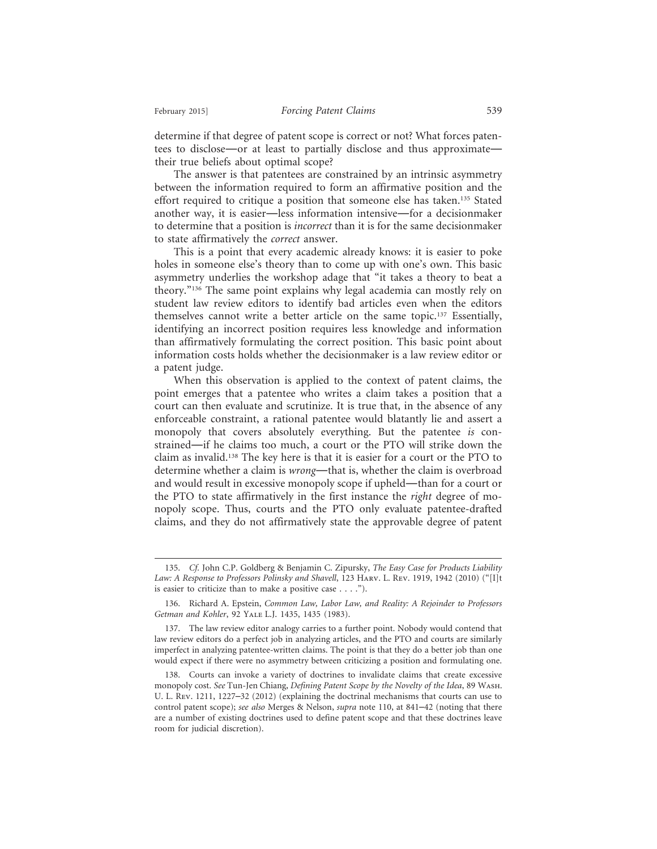determine if that degree of patent scope is correct or not? What forces patentees to disclose—or at least to partially disclose and thus approximate their true beliefs about optimal scope?

The answer is that patentees are constrained by an intrinsic asymmetry between the information required to form an affirmative position and the effort required to critique a position that someone else has taken.<sup>135</sup> Stated another way, it is easier—less information intensive—for a decisionmaker to determine that a position is *incorrect* than it is for the same decisionmaker to state affirmatively the *correct* answer.

This is a point that every academic already knows: it is easier to poke holes in someone else's theory than to come up with one's own. This basic asymmetry underlies the workshop adage that "it takes a theory to beat a theory."136 The same point explains why legal academia can mostly rely on student law review editors to identify bad articles even when the editors themselves cannot write a better article on the same topic.137 Essentially, identifying an incorrect position requires less knowledge and information than affirmatively formulating the correct position. This basic point about information costs holds whether the decisionmaker is a law review editor or a patent judge.

When this observation is applied to the context of patent claims, the point emerges that a patentee who writes a claim takes a position that a court can then evaluate and scrutinize. It is true that, in the absence of any enforceable constraint, a rational patentee would blatantly lie and assert a monopoly that covers absolutely everything. But the patentee *is* constrained—if he claims too much, a court or the PTO will strike down the claim as invalid.138 The key here is that it is easier for a court or the PTO to determine whether a claim is *wrong*—that is, whether the claim is overbroad and would result in excessive monopoly scope if upheld—than for a court or the PTO to state affirmatively in the first instance the *right* degree of monopoly scope. Thus, courts and the PTO only evaluate patentee-drafted claims, and they do not affirmatively state the approvable degree of patent

<sup>135.</sup> *Cf.* John C.P. Goldberg & Benjamin C. Zipursky, *The Easy Case for Products Liability Law: A Response to Professors Polinsky and Shavell*, 123 Harv. L. Rev. 1919, 1942 (2010) ("[I]t is easier to criticize than to make a positive case . . . .").

<sup>136.</sup> Richard A. Epstein, *Common Law, Labor Law, and Reality: A Rejoinder to Professors Getman and Kohler*, 92 Yale L.J. 1435, 1435 (1983).

<sup>137.</sup> The law review editor analogy carries to a further point. Nobody would contend that law review editors do a perfect job in analyzing articles, and the PTO and courts are similarly imperfect in analyzing patentee-written claims. The point is that they do a better job than one would expect if there were no asymmetry between criticizing a position and formulating one.

<sup>138.</sup> Courts can invoke a variety of doctrines to invalidate claims that create excessive monopoly cost. *See* Tun-Jen Chiang, *Defining Patent Scope by the Novelty of the Idea*, 89 Wash. U. L. Rev. 1211, 1227–32 (2012) (explaining the doctrinal mechanisms that courts can use to control patent scope); *see also* Merges & Nelson, *supra* note 110, at 841–42 (noting that there are a number of existing doctrines used to define patent scope and that these doctrines leave room for judicial discretion).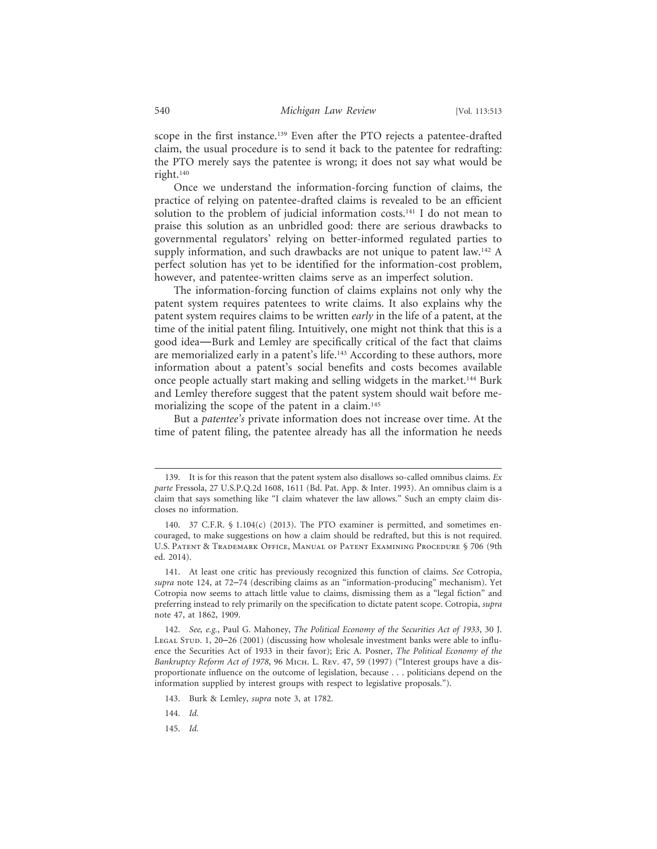scope in the first instance.139 Even after the PTO rejects a patentee-drafted claim, the usual procedure is to send it back to the patentee for redrafting: the PTO merely says the patentee is wrong; it does not say what would be right.140

Once we understand the information-forcing function of claims, the practice of relying on patentee-drafted claims is revealed to be an efficient solution to the problem of judicial information costs.<sup>141</sup> I do not mean to praise this solution as an unbridled good: there are serious drawbacks to governmental regulators' relying on better-informed regulated parties to supply information, and such drawbacks are not unique to patent law.<sup>142</sup> A perfect solution has yet to be identified for the information-cost problem, however, and patentee-written claims serve as an imperfect solution.

The information-forcing function of claims explains not only why the patent system requires patentees to write claims. It also explains why the patent system requires claims to be written *early* in the life of a patent, at the time of the initial patent filing. Intuitively, one might not think that this is a good idea—Burk and Lemley are specifically critical of the fact that claims are memorialized early in a patent's life.<sup>143</sup> According to these authors, more information about a patent's social benefits and costs becomes available once people actually start making and selling widgets in the market.144 Burk and Lemley therefore suggest that the patent system should wait before memorializing the scope of the patent in a claim.<sup>145</sup>

But a *patentee's* private information does not increase over time. At the time of patent filing, the patentee already has all the information he needs

144. *Id.*

145. *Id.*

<sup>139.</sup> It is for this reason that the patent system also disallows so-called omnibus claims. *Ex parte* Fressola, 27 U.S.P.Q.2d 1608, 1611 (Bd. Pat. App. & Inter. 1993). An omnibus claim is a claim that says something like "I claim whatever the law allows." Such an empty claim discloses no information.

<sup>140. 37</sup> C.F.R.  $\oint$  1.104(c) (2013). The PTO examiner is permitted, and sometimes encouraged, to make suggestions on how a claim should be redrafted, but this is not required. U.S. Patent & Trademark Office, Manual of Patent Examining Procedure § 706 (9th ed. 2014).

<sup>141.</sup> At least one critic has previously recognized this function of claims. *See* Cotropia, *supra* note 124, at 72–74 (describing claims as an "information-producing" mechanism). Yet Cotropia now seems to attach little value to claims, dismissing them as a "legal fiction" and preferring instead to rely primarily on the specification to dictate patent scope. Cotropia, *supra* note 47, at 1862, 1909.

<sup>142.</sup> *See, e.g.*, Paul G. Mahoney, *The Political Economy of the Securities Act of 1933*, 30 J. LEGAL STUD. 1, 20–26 (2001) (discussing how wholesale investment banks were able to influence the Securities Act of 1933 in their favor); Eric A. Posner, *The Political Economy of the Bankruptcy Reform Act of 1978*, 96 Mich. L. Rev. 47, 59 (1997) ("Interest groups have a disproportionate influence on the outcome of legislation, because . . . politicians depend on the information supplied by interest groups with respect to legislative proposals.").

<sup>143.</sup> Burk & Lemley, *supra* note 3, at 1782.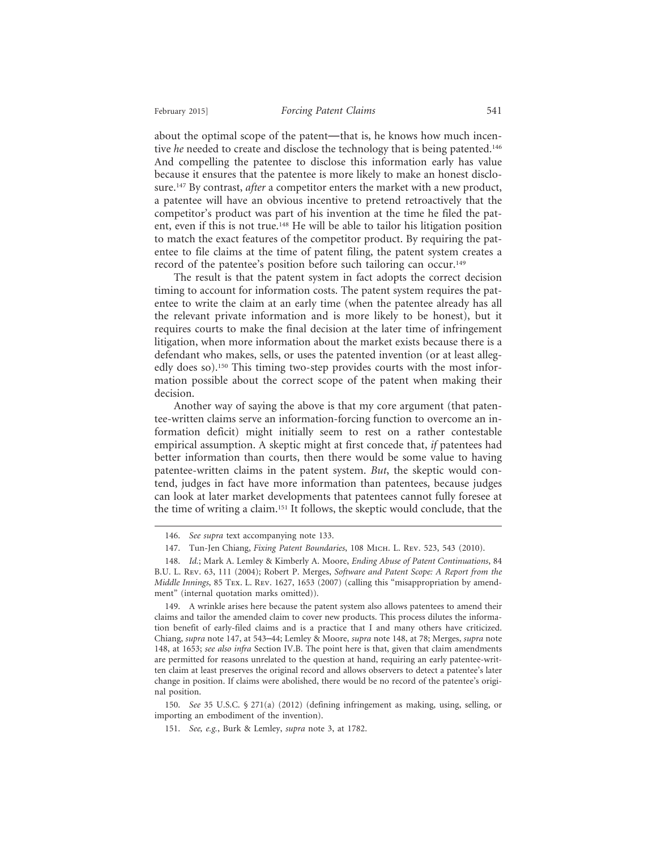about the optimal scope of the patent—that is, he knows how much incentive *he* needed to create and disclose the technology that is being patented.<sup>146</sup> And compelling the patentee to disclose this information early has value because it ensures that the patentee is more likely to make an honest disclosure.147 By contrast, *after* a competitor enters the market with a new product, a patentee will have an obvious incentive to pretend retroactively that the competitor's product was part of his invention at the time he filed the patent, even if this is not true.<sup>148</sup> He will be able to tailor his litigation position to match the exact features of the competitor product. By requiring the patentee to file claims at the time of patent filing, the patent system creates a record of the patentee's position before such tailoring can occur.<sup>149</sup>

The result is that the patent system in fact adopts the correct decision timing to account for information costs. The patent system requires the patentee to write the claim at an early time (when the patentee already has all the relevant private information and is more likely to be honest), but it requires courts to make the final decision at the later time of infringement litigation, when more information about the market exists because there is a defendant who makes, sells, or uses the patented invention (or at least allegedly does so).<sup>150</sup> This timing two-step provides courts with the most information possible about the correct scope of the patent when making their decision.

Another way of saying the above is that my core argument (that patentee-written claims serve an information-forcing function to overcome an information deficit) might initially seem to rest on a rather contestable empirical assumption. A skeptic might at first concede that, *if* patentees had better information than courts, then there would be some value to having patentee-written claims in the patent system. *But*, the skeptic would contend, judges in fact have more information than patentees, because judges can look at later market developments that patentees cannot fully foresee at the time of writing a claim.151 It follows, the skeptic would conclude, that the

150. *See* 35 U.S.C. § 271(a) (2012) (defining infringement as making, using, selling, or importing an embodiment of the invention).

<sup>146.</sup> *See supra* text accompanying note 133.

<sup>147.</sup> Tun-Jen Chiang, *Fixing Patent Boundaries*, 108 Mich. L. Rev. 523, 543 (2010).

<sup>148.</sup> *Id.*; Mark A. Lemley & Kimberly A. Moore, *Ending Abuse of Patent Continuations*, 84 B.U. L. Rev. 63, 111 (2004); Robert P. Merges, *Software and Patent Scope: A Report from the Middle Innings*, 85 Tex. L. Rev. 1627, 1653 (2007) (calling this "misappropriation by amendment" (internal quotation marks omitted)).

<sup>149.</sup> A wrinkle arises here because the patent system also allows patentees to amend their claims and tailor the amended claim to cover new products. This process dilutes the information benefit of early-filed claims and is a practice that I and many others have criticized. Chiang, *supra* note 147, at 543–44; Lemley & Moore, *supra* note 148, at 78; Merges, *supra* note 148, at 1653; *see also infra* Section IV.B. The point here is that, given that claim amendments are permitted for reasons unrelated to the question at hand, requiring an early patentee-written claim at least preserves the original record and allows observers to detect a patentee's later change in position. If claims were abolished, there would be no record of the patentee's original position.

<sup>151.</sup> *See, e.g.*, Burk & Lemley, *supra* note 3, at 1782.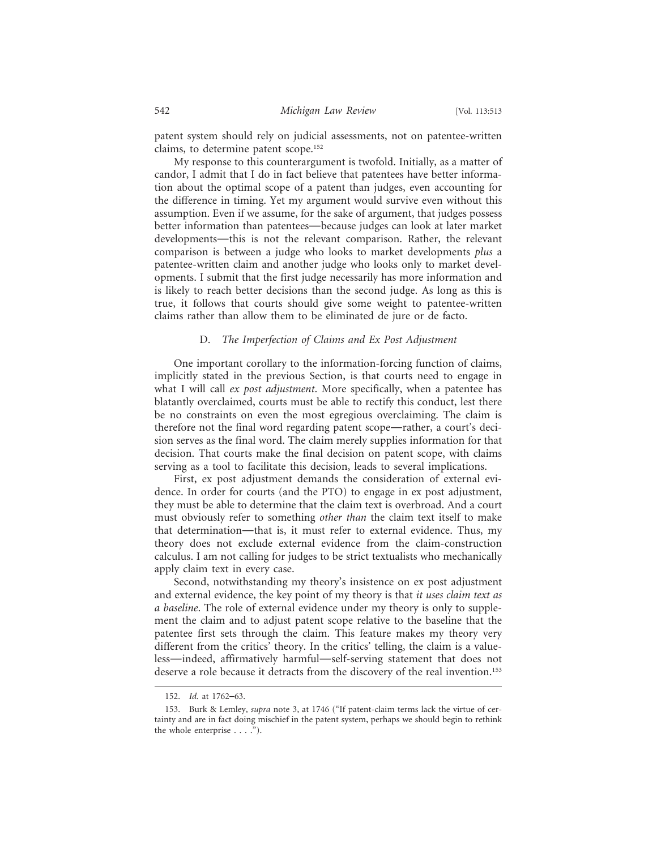patent system should rely on judicial assessments, not on patentee-written claims, to determine patent scope.152

My response to this counterargument is twofold. Initially, as a matter of candor, I admit that I do in fact believe that patentees have better information about the optimal scope of a patent than judges, even accounting for the difference in timing. Yet my argument would survive even without this assumption. Even if we assume, for the sake of argument, that judges possess better information than patentees—because judges can look at later market developments—this is not the relevant comparison. Rather, the relevant comparison is between a judge who looks to market developments *plus* a patentee-written claim and another judge who looks only to market developments. I submit that the first judge necessarily has more information and is likely to reach better decisions than the second judge. As long as this is true, it follows that courts should give some weight to patentee-written claims rather than allow them to be eliminated de jure or de facto.

## D. *The Imperfection of Claims and Ex Post Adjustment*

One important corollary to the information-forcing function of claims, implicitly stated in the previous Section, is that courts need to engage in what I will call *ex post adjustment*. More specifically, when a patentee has blatantly overclaimed, courts must be able to rectify this conduct, lest there be no constraints on even the most egregious overclaiming. The claim is therefore not the final word regarding patent scope—rather, a court's decision serves as the final word. The claim merely supplies information for that decision. That courts make the final decision on patent scope, with claims serving as a tool to facilitate this decision, leads to several implications.

First, ex post adjustment demands the consideration of external evidence. In order for courts (and the PTO) to engage in ex post adjustment, they must be able to determine that the claim text is overbroad. And a court must obviously refer to something *other than* the claim text itself to make that determination—that is, it must refer to external evidence. Thus, my theory does not exclude external evidence from the claim-construction calculus. I am not calling for judges to be strict textualists who mechanically apply claim text in every case.

Second, notwithstanding my theory's insistence on ex post adjustment and external evidence, the key point of my theory is that *it uses claim text as a baseline*. The role of external evidence under my theory is only to supplement the claim and to adjust patent scope relative to the baseline that the patentee first sets through the claim. This feature makes my theory very different from the critics' theory. In the critics' telling, the claim is a valueless—indeed, affirmatively harmful—self-serving statement that does not deserve a role because it detracts from the discovery of the real invention.<sup>153</sup>

<sup>152.</sup> *Id.* at 1762–63.

<sup>153.</sup> Burk & Lemley, *supra* note 3, at 1746 ("If patent-claim terms lack the virtue of certainty and are in fact doing mischief in the patent system, perhaps we should begin to rethink the whole enterprise . . . .").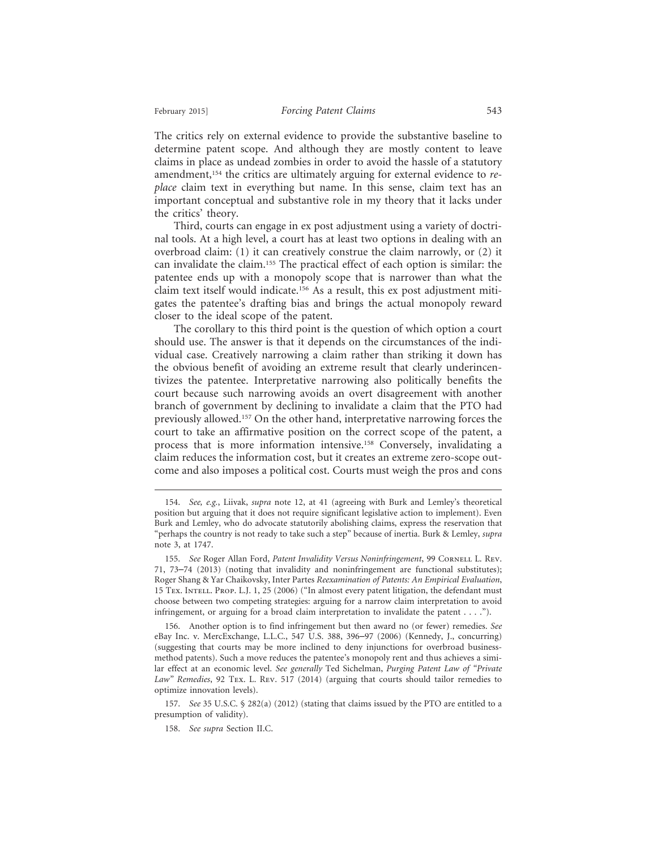The critics rely on external evidence to provide the substantive baseline to determine patent scope. And although they are mostly content to leave claims in place as undead zombies in order to avoid the hassle of a statutory amendment,154 the critics are ultimately arguing for external evidence to *replace* claim text in everything but name. In this sense, claim text has an important conceptual and substantive role in my theory that it lacks under the critics' theory.

Third, courts can engage in ex post adjustment using a variety of doctrinal tools. At a high level, a court has at least two options in dealing with an overbroad claim: (1) it can creatively construe the claim narrowly, or (2) it can invalidate the claim.155 The practical effect of each option is similar: the patentee ends up with a monopoly scope that is narrower than what the claim text itself would indicate.156 As a result, this ex post adjustment mitigates the patentee's drafting bias and brings the actual monopoly reward closer to the ideal scope of the patent.

The corollary to this third point is the question of which option a court should use. The answer is that it depends on the circumstances of the individual case. Creatively narrowing a claim rather than striking it down has the obvious benefit of avoiding an extreme result that clearly underincentivizes the patentee. Interpretative narrowing also politically benefits the court because such narrowing avoids an overt disagreement with another branch of government by declining to invalidate a claim that the PTO had previously allowed.157 On the other hand, interpretative narrowing forces the court to take an affirmative position on the correct scope of the patent, a process that is more information intensive.158 Conversely, invalidating a claim reduces the information cost, but it creates an extreme zero-scope outcome and also imposes a political cost. Courts must weigh the pros and cons

156. Another option is to find infringement but then award no (or fewer) remedies. *See* eBay Inc. v. MercExchange, L.L.C., 547 U.S. 388, 396–97 (2006) (Kennedy, J., concurring) (suggesting that courts may be more inclined to deny injunctions for overbroad businessmethod patents). Such a move reduces the patentee's monopoly rent and thus achieves a similar effect at an economic level. *See generally* Ted Sichelman, *Purging Patent Law of "Private Law" Remedies*, 92 Tex. L. Rev. 517 (2014) (arguing that courts should tailor remedies to optimize innovation levels).

157. *See* 35 U.S.C. § 282(a) (2012) (stating that claims issued by the PTO are entitled to a presumption of validity).

158. *See supra* Section II.C.

<sup>154.</sup> *See, e.g.*, Liivak, *supra* note 12, at 41 (agreeing with Burk and Lemley's theoretical position but arguing that it does not require significant legislative action to implement). Even Burk and Lemley, who do advocate statutorily abolishing claims, express the reservation that "perhaps the country is not ready to take such a step" because of inertia. Burk & Lemley, *supra* note 3, at 1747.

<sup>155.</sup> See Roger Allan Ford, *Patent Invalidity Versus Noninfringement*, 99 CORNELL L. REV. 71, 73–74 (2013) (noting that invalidity and noninfringement are functional substitutes); Roger Shang & Yar Chaikovsky, Inter Partes *Reexamination of Patents: An Empirical Evaluation*, 15 Tex. Intell. Prop. L.J. 1, 25 (2006) ("In almost every patent litigation, the defendant must choose between two competing strategies: arguing for a narrow claim interpretation to avoid infringement, or arguing for a broad claim interpretation to invalidate the patent . . . .").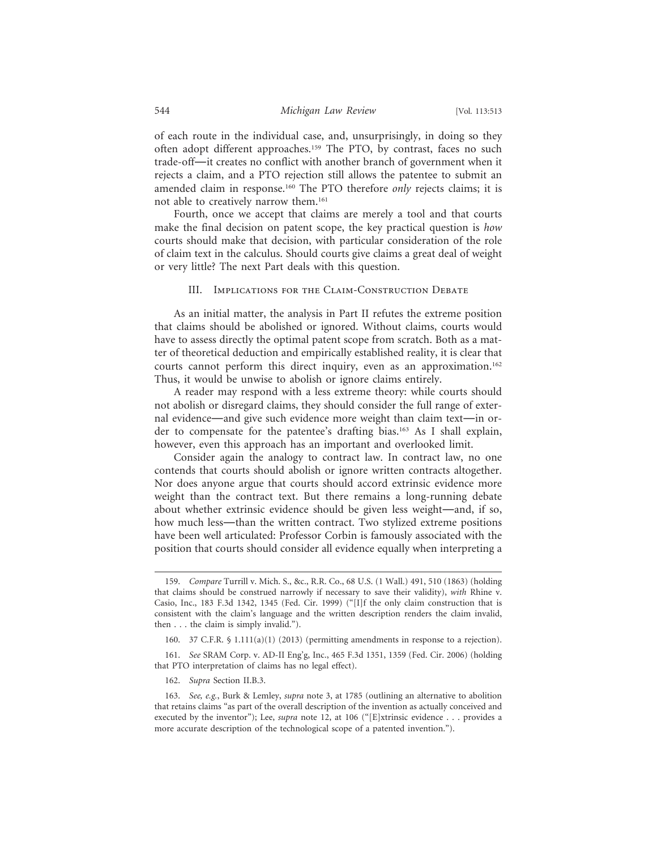of each route in the individual case, and, unsurprisingly, in doing so they often adopt different approaches.159 The PTO, by contrast, faces no such trade-off—it creates no conflict with another branch of government when it rejects a claim, and a PTO rejection still allows the patentee to submit an amended claim in response.160 The PTO therefore *only* rejects claims; it is not able to creatively narrow them.161

Fourth, once we accept that claims are merely a tool and that courts make the final decision on patent scope, the key practical question is *how* courts should make that decision, with particular consideration of the role of claim text in the calculus. Should courts give claims a great deal of weight or very little? The next Part deals with this question.

#### III. IMPLICATIONS FOR THE CLAIM-CONSTRUCTION DEBATE

As an initial matter, the analysis in Part II refutes the extreme position that claims should be abolished or ignored. Without claims, courts would have to assess directly the optimal patent scope from scratch. Both as a matter of theoretical deduction and empirically established reality, it is clear that courts cannot perform this direct inquiry, even as an approximation.<sup>162</sup> Thus, it would be unwise to abolish or ignore claims entirely.

A reader may respond with a less extreme theory: while courts should not abolish or disregard claims, they should consider the full range of external evidence—and give such evidence more weight than claim text—in order to compensate for the patentee's drafting bias.163 As I shall explain, however, even this approach has an important and overlooked limit.

Consider again the analogy to contract law. In contract law, no one contends that courts should abolish or ignore written contracts altogether. Nor does anyone argue that courts should accord extrinsic evidence more weight than the contract text. But there remains a long-running debate about whether extrinsic evidence should be given less weight—and, if so, how much less—than the written contract. Two stylized extreme positions have been well articulated: Professor Corbin is famously associated with the position that courts should consider all evidence equally when interpreting a

<sup>159.</sup> *Compare* Turrill v. Mich. S., &c., R.R. Co., 68 U.S. (1 Wall.) 491, 510 (1863) (holding that claims should be construed narrowly if necessary to save their validity), *with* Rhine v. Casio, Inc., 183 F.3d 1342, 1345 (Fed. Cir. 1999) ("[I]f the only claim construction that is consistent with the claim's language and the written description renders the claim invalid, then . . . the claim is simply invalid.").

<sup>160. 37</sup> C.F.R. § 1.111(a)(1) (2013) (permitting amendments in response to a rejection).

<sup>161.</sup> *See* SRAM Corp. v. AD-II Eng'g, Inc., 465 F.3d 1351, 1359 (Fed. Cir. 2006) (holding that PTO interpretation of claims has no legal effect).

<sup>162.</sup> *Supra* Section II.B.3.

<sup>163.</sup> *See, e.g.*, Burk & Lemley, *supra* note 3, at 1785 (outlining an alternative to abolition that retains claims "as part of the overall description of the invention as actually conceived and executed by the inventor"); Lee, *supra* note 12, at 106 ("[E]xtrinsic evidence . . . provides a more accurate description of the technological scope of a patented invention.").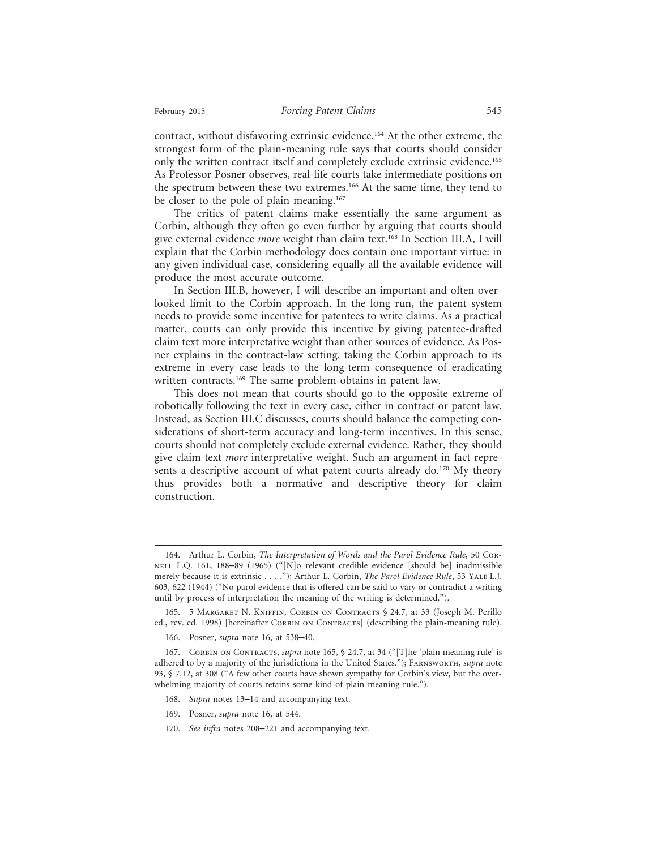contract, without disfavoring extrinsic evidence.164 At the other extreme, the strongest form of the plain-meaning rule says that courts should consider only the written contract itself and completely exclude extrinsic evidence.165 As Professor Posner observes, real-life courts take intermediate positions on the spectrum between these two extremes.<sup>166</sup> At the same time, they tend to be closer to the pole of plain meaning.<sup>167</sup>

The critics of patent claims make essentially the same argument as Corbin, although they often go even further by arguing that courts should give external evidence *more* weight than claim text.168 In Section III.A, I will explain that the Corbin methodology does contain one important virtue: in any given individual case, considering equally all the available evidence will produce the most accurate outcome.

In Section III.B, however, I will describe an important and often overlooked limit to the Corbin approach. In the long run, the patent system needs to provide some incentive for patentees to write claims. As a practical matter, courts can only provide this incentive by giving patentee-drafted claim text more interpretative weight than other sources of evidence. As Posner explains in the contract-law setting, taking the Corbin approach to its extreme in every case leads to the long-term consequence of eradicating written contracts.<sup>169</sup> The same problem obtains in patent law.

This does not mean that courts should go to the opposite extreme of robotically following the text in every case, either in contract or patent law. Instead, as Section III.C discusses, courts should balance the competing considerations of short-term accuracy and long-term incentives. In this sense, courts should not completely exclude external evidence. Rather, they should give claim text *more* interpretative weight. Such an argument in fact represents a descriptive account of what patent courts already do.<sup>170</sup> My theory thus provides both a normative and descriptive theory for claim construction.

- 168. *Supra* notes 13–14 and accompanying text.
- 169. Posner, *supra* note 16, at 544.
- 170. *See infra* notes 208–221 and accompanying text.

<sup>164.</sup> Arthur L. Corbin, *The Interpretation of Words and the Parol Evidence Rule*, 50 Cornell L.Q. 161, 188–89 (1965) ("[N]o relevant credible evidence [should be] inadmissible merely because it is extrinsic . . . ."); Arthur L. Corbin, *The Parol Evidence Rule*, 53 Yale L.J. 603, 622 (1944) ("No parol evidence that is offered can be said to vary or contradict a writing until by process of interpretation the meaning of the writing is determined.").

<sup>165. 5</sup> Margaret N. Kniffin, Corbin on Contracts § 24.7, at 33 (Joseph M. Perillo ed., rev. ed. 1998) [hereinafter CORBIN ON CONTRACTS] (describing the plain-meaning rule).

<sup>166.</sup> Posner, *supra* note 16, at 538–40.

<sup>167.</sup> CORBIN ON CONTRACTS, *supra* note 165, § 24.7, at 34 ("[T]he 'plain meaning rule' is adhered to by a majority of the jurisdictions in the United States."); Farnsworth, *supra* note 93, § 7.12, at 308 ("A few other courts have shown sympathy for Corbin's view, but the overwhelming majority of courts retains some kind of plain meaning rule.").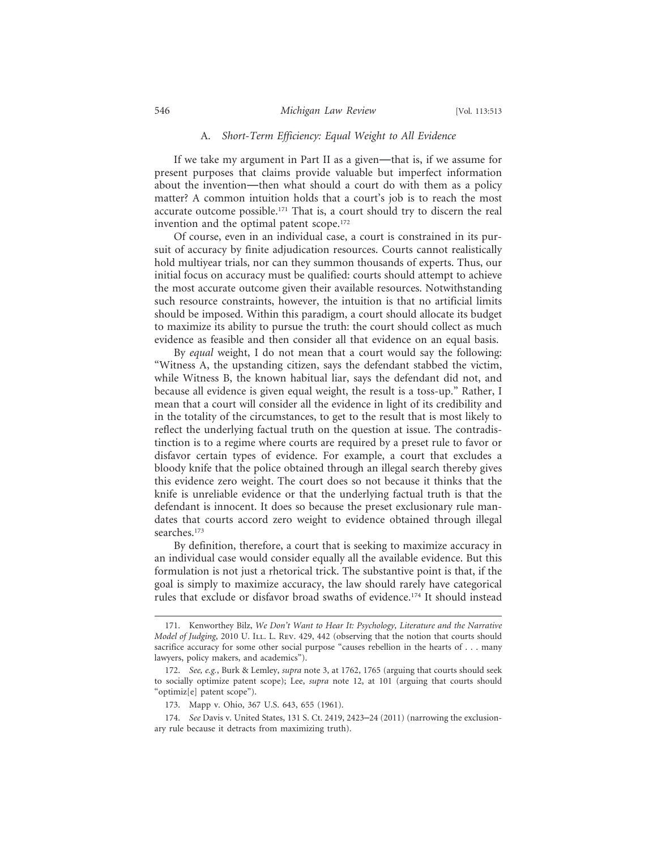## A. *Short-Term Efficiency: Equal Weight to All Evidence*

If we take my argument in Part II as a given—that is, if we assume for present purposes that claims provide valuable but imperfect information about the invention—then what should a court do with them as a policy matter? A common intuition holds that a court's job is to reach the most accurate outcome possible.171 That is, a court should try to discern the real invention and the optimal patent scope.<sup>172</sup>

Of course, even in an individual case, a court is constrained in its pursuit of accuracy by finite adjudication resources. Courts cannot realistically hold multiyear trials, nor can they summon thousands of experts. Thus, our initial focus on accuracy must be qualified: courts should attempt to achieve the most accurate outcome given their available resources. Notwithstanding such resource constraints, however, the intuition is that no artificial limits should be imposed. Within this paradigm, a court should allocate its budget to maximize its ability to pursue the truth: the court should collect as much evidence as feasible and then consider all that evidence on an equal basis.

By *equal* weight, I do not mean that a court would say the following: "Witness A, the upstanding citizen, says the defendant stabbed the victim, while Witness B, the known habitual liar, says the defendant did not, and because all evidence is given equal weight, the result is a toss-up." Rather, I mean that a court will consider all the evidence in light of its credibility and in the totality of the circumstances, to get to the result that is most likely to reflect the underlying factual truth on the question at issue. The contradistinction is to a regime where courts are required by a preset rule to favor or disfavor certain types of evidence. For example, a court that excludes a bloody knife that the police obtained through an illegal search thereby gives this evidence zero weight. The court does so not because it thinks that the knife is unreliable evidence or that the underlying factual truth is that the defendant is innocent. It does so because the preset exclusionary rule mandates that courts accord zero weight to evidence obtained through illegal searches.<sup>173</sup>

By definition, therefore, a court that is seeking to maximize accuracy in an individual case would consider equally all the available evidence. But this formulation is not just a rhetorical trick. The substantive point is that, if the goal is simply to maximize accuracy, the law should rarely have categorical rules that exclude or disfavor broad swaths of evidence.174 It should instead

<sup>171.</sup> Kenworthey Bilz, *We Don't Want to Hear It: Psychology, Literature and the Narrative Model of Judging*, 2010 U. ILL. L. Rev. 429, 442 (observing that the notion that courts should sacrifice accuracy for some other social purpose "causes rebellion in the hearts of . . . many lawyers, policy makers, and academics").

<sup>172.</sup> *See, e.g.*, Burk & Lemley, *supra* note 3, at 1762, 1765 (arguing that courts should seek to socially optimize patent scope); Lee, *supra* note 12, at 101 (arguing that courts should "optimiz[e] patent scope").

<sup>173.</sup> Mapp v. Ohio, 367 U.S. 643, 655 (1961).

<sup>174.</sup> *See* Davis v. United States, 131 S. Ct. 2419, 2423–24 (2011) (narrowing the exclusionary rule because it detracts from maximizing truth).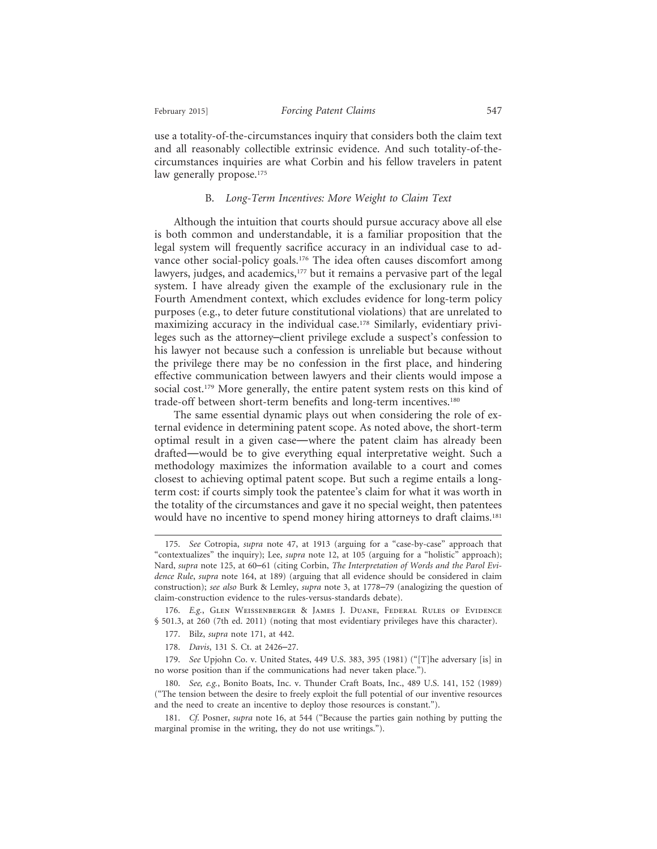use a totality-of-the-circumstances inquiry that considers both the claim text and all reasonably collectible extrinsic evidence. And such totality-of-thecircumstances inquiries are what Corbin and his fellow travelers in patent law generally propose.<sup>175</sup>

## B. *Long-Term Incentives: More Weight to Claim Text*

Although the intuition that courts should pursue accuracy above all else is both common and understandable, it is a familiar proposition that the legal system will frequently sacrifice accuracy in an individual case to advance other social-policy goals.<sup>176</sup> The idea often causes discomfort among lawyers, judges, and academics,<sup>177</sup> but it remains a pervasive part of the legal system. I have already given the example of the exclusionary rule in the Fourth Amendment context, which excludes evidence for long-term policy purposes (e.g., to deter future constitutional violations) that are unrelated to maximizing accuracy in the individual case.178 Similarly, evidentiary privileges such as the attorney–client privilege exclude a suspect's confession to his lawyer not because such a confession is unreliable but because without the privilege there may be no confession in the first place, and hindering effective communication between lawyers and their clients would impose a social cost.<sup>179</sup> More generally, the entire patent system rests on this kind of trade-off between short-term benefits and long-term incentives.<sup>180</sup>

The same essential dynamic plays out when considering the role of external evidence in determining patent scope. As noted above, the short-term optimal result in a given case—where the patent claim has already been drafted—would be to give everything equal interpretative weight. Such a methodology maximizes the information available to a court and comes closest to achieving optimal patent scope. But such a regime entails a longterm cost: if courts simply took the patentee's claim for what it was worth in the totality of the circumstances and gave it no special weight, then patentees would have no incentive to spend money hiring attorneys to draft claims.<sup>181</sup>

178. *Davis*, 131 S. Ct. at 2426–27.

<sup>175.</sup> *See* Cotropia, *supra* note 47, at 1913 (arguing for a "case-by-case" approach that "contextualizes" the inquiry); Lee, *supra* note 12, at 105 (arguing for a "holistic" approach); Nard, *supra* note 125, at 60–61 (citing Corbin, *The Interpretation of Words and the Parol Evidence Rule*, *supra* note 164, at 189) (arguing that all evidence should be considered in claim construction); *see also* Burk & Lemley, *supra* note 3, at 1778–79 (analogizing the question of claim-construction evidence to the rules-versus-standards debate).

<sup>176.</sup> *E.g.*, Glen Weissenberger & James J. Duane, Federal Rules of Evidence § 501.3, at 260 (7th ed. 2011) (noting that most evidentiary privileges have this character).

<sup>177.</sup> Bilz, *supra* note 171, at 442.

<sup>179.</sup> *See* Upjohn Co. v. United States, 449 U.S. 383, 395 (1981) ("[T]he adversary [is] in no worse position than if the communications had never taken place.").

<sup>180.</sup> *See, e.g.*, Bonito Boats, Inc. v. Thunder Craft Boats, Inc., 489 U.S. 141, 152 (1989) ("The tension between the desire to freely exploit the full potential of our inventive resources and the need to create an incentive to deploy those resources is constant.").

<sup>181.</sup> *Cf.* Posner, *supra* note 16, at 544 ("Because the parties gain nothing by putting the marginal promise in the writing, they do not use writings.").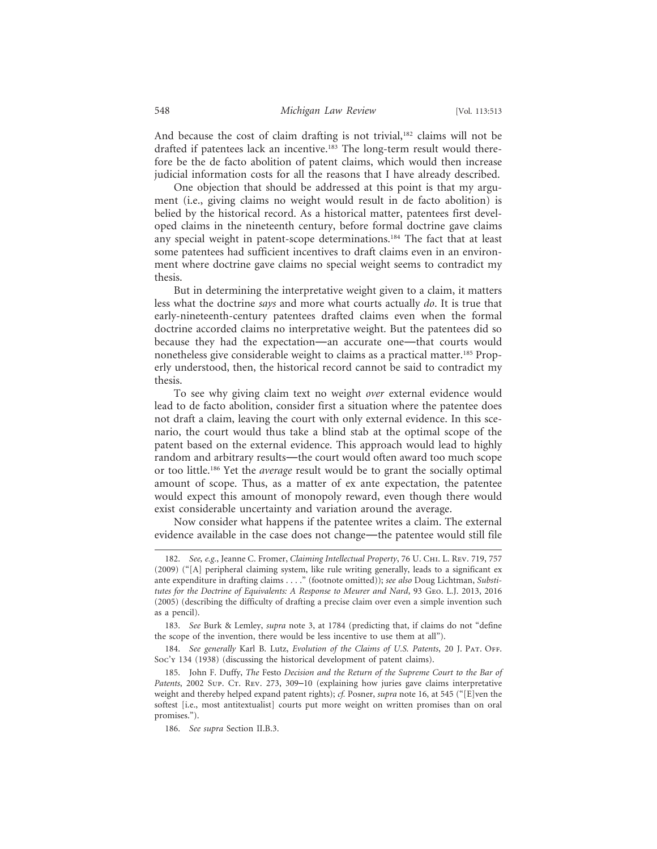And because the cost of claim drafting is not trivial,<sup>182</sup> claims will not be drafted if patentees lack an incentive.183 The long-term result would therefore be the de facto abolition of patent claims, which would then increase judicial information costs for all the reasons that I have already described.

One objection that should be addressed at this point is that my argument (i.e., giving claims no weight would result in de facto abolition) is belied by the historical record. As a historical matter, patentees first developed claims in the nineteenth century, before formal doctrine gave claims any special weight in patent-scope determinations.<sup>184</sup> The fact that at least some patentees had sufficient incentives to draft claims even in an environment where doctrine gave claims no special weight seems to contradict my thesis.

But in determining the interpretative weight given to a claim, it matters less what the doctrine *says* and more what courts actually *do*. It is true that early-nineteenth-century patentees drafted claims even when the formal doctrine accorded claims no interpretative weight. But the patentees did so because they had the expectation—an accurate one—that courts would nonetheless give considerable weight to claims as a practical matter.<sup>185</sup> Properly understood, then, the historical record cannot be said to contradict my thesis.

To see why giving claim text no weight *over* external evidence would lead to de facto abolition, consider first a situation where the patentee does not draft a claim, leaving the court with only external evidence. In this scenario, the court would thus take a blind stab at the optimal scope of the patent based on the external evidence. This approach would lead to highly random and arbitrary results—the court would often award too much scope or too little.186 Yet the *average* result would be to grant the socially optimal amount of scope. Thus, as a matter of ex ante expectation, the patentee would expect this amount of monopoly reward, even though there would exist considerable uncertainty and variation around the average.

Now consider what happens if the patentee writes a claim. The external evidence available in the case does not change—the patentee would still file

<sup>182.</sup> *See, e.g.*, Jeanne C. Fromer, *Claiming Intellectual Property*, 76 U. Chi. L. Rev. 719, 757 (2009) ("[A] peripheral claiming system, like rule writing generally, leads to a significant ex ante expenditure in drafting claims . . . ." (footnote omitted)); *see also* Doug Lichtman, *Substitutes for the Doctrine of Equivalents: A Response to Meurer and Nard*, 93 Geo. L.J. 2013, 2016 (2005) (describing the difficulty of drafting a precise claim over even a simple invention such as a pencil).

<sup>183.</sup> *See* Burk & Lemley, *supra* note 3, at 1784 (predicting that, if claims do not "define the scope of the invention, there would be less incentive to use them at all").

<sup>184.</sup> See generally Karl B. Lutz, *Evolution of the Claims of U.S. Patents*, 20 J. PAT. OFF. Soc'y 134 (1938) (discussing the historical development of patent claims).

<sup>185.</sup> John F. Duffy, *The* Festo *Decision and the Return of the Supreme Court to the Bar of* Patents, 2002 Sup. Cr. Rev. 273, 309-10 (explaining how juries gave claims interpretative weight and thereby helped expand patent rights); *cf.* Posner, *supra* note 16, at 545 ("[E]ven the softest [i.e., most antitextualist] courts put more weight on written promises than on oral promises.").

<sup>186.</sup> *See supra* Section II.B.3.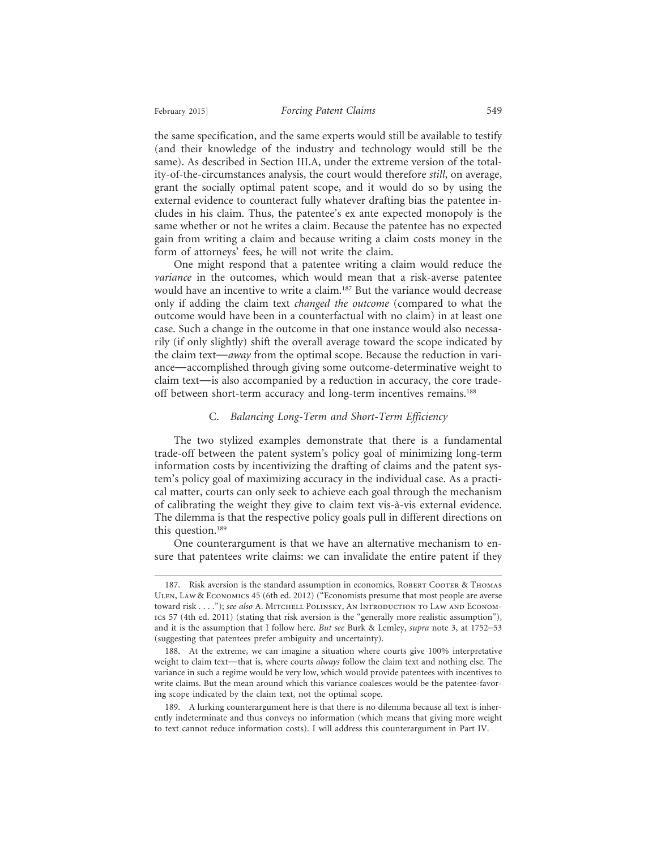the same specification, and the same experts would still be available to testify (and their knowledge of the industry and technology would still be the same). As described in Section III.A, under the extreme version of the totality-of-the-circumstances analysis, the court would therefore *still*, on average, grant the socially optimal patent scope, and it would do so by using the external evidence to counteract fully whatever drafting bias the patentee includes in his claim. Thus, the patentee's ex ante expected monopoly is the same whether or not he writes a claim. Because the patentee has no expected gain from writing a claim and because writing a claim costs money in the form of attorneys' fees, he will not write the claim.

One might respond that a patentee writing a claim would reduce the *variance* in the outcomes, which would mean that a risk-averse patentee would have an incentive to write a claim.187 But the variance would decrease only if adding the claim text *changed the outcome* (compared to what the outcome would have been in a counterfactual with no claim) in at least one case. Such a change in the outcome in that one instance would also necessarily (if only slightly) shift the overall average toward the scope indicated by the claim text—*away* from the optimal scope. Because the reduction in variance—accomplished through giving some outcome-determinative weight to claim text—is also accompanied by a reduction in accuracy, the core tradeoff between short-term accuracy and long-term incentives remains.<sup>188</sup>

## C. *Balancing Long-Term and Short-Term Efficiency*

The two stylized examples demonstrate that there is a fundamental trade-off between the patent system's policy goal of minimizing long-term information costs by incentivizing the drafting of claims and the patent system's policy goal of maximizing accuracy in the individual case. As a practical matter, courts can only seek to achieve each goal through the mechanism of calibrating the weight they give to claim text vis-à-vis external evidence. The dilemma is that the respective policy goals pull in different directions on this question.<sup>189</sup>

One counterargument is that we have an alternative mechanism to ensure that patentees write claims: we can invalidate the entire patent if they

<sup>187.</sup> Risk aversion is the standard assumption in economics, ROBERT COOTER & THOMAS Ulen, Law & Economics 45 (6th ed. 2012) ("Economists presume that most people are averse toward risk . . . ."); *see also* A. Mitchell Polinsky, An Introduction to Law and Economics 57 (4th ed. 2011) (stating that risk aversion is the "generally more realistic assumption"), and it is the assumption that I follow here. *But see* Burk & Lemley, *supra* note 3, at 1752–53 (suggesting that patentees prefer ambiguity and uncertainty).

<sup>188.</sup> At the extreme, we can imagine a situation where courts give 100% interpretative weight to claim text—that is, where courts *always* follow the claim text and nothing else. The variance in such a regime would be very low, which would provide patentees with incentives to write claims. But the mean around which this variance coalesces would be the patentee-favoring scope indicated by the claim text, not the optimal scope.

<sup>189.</sup> A lurking counterargument here is that there is no dilemma because all text is inherently indeterminate and thus conveys no information (which means that giving more weight to text cannot reduce information costs). I will address this counterargument in Part IV.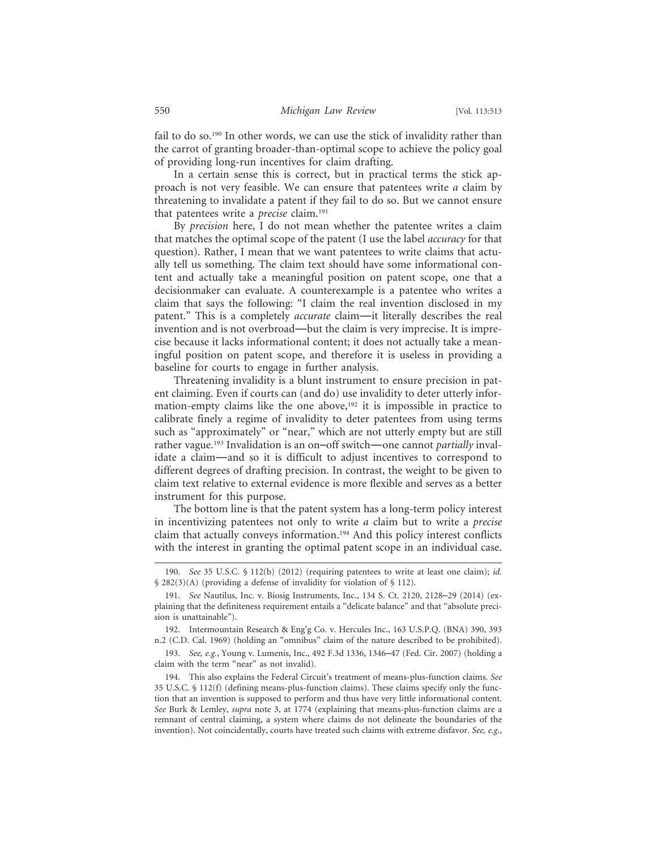fail to do so.<sup>190</sup> In other words, we can use the stick of invalidity rather than the carrot of granting broader-than-optimal scope to achieve the policy goal of providing long-run incentives for claim drafting.

In a certain sense this is correct, but in practical terms the stick approach is not very feasible. We can ensure that patentees write *a* claim by threatening to invalidate a patent if they fail to do so. But we cannot ensure that patentees write a *precise* claim.191

By *precision* here, I do not mean whether the patentee writes a claim that matches the optimal scope of the patent (I use the label *accuracy* for that question). Rather, I mean that we want patentees to write claims that actually tell us something. The claim text should have some informational content and actually take a meaningful position on patent scope, one that a decisionmaker can evaluate. A counterexample is a patentee who writes a claim that says the following: "I claim the real invention disclosed in my patent." This is a completely *accurate* claim—it literally describes the real invention and is not overbroad—but the claim is very imprecise. It is imprecise because it lacks informational content; it does not actually take a meaningful position on patent scope, and therefore it is useless in providing a baseline for courts to engage in further analysis.

Threatening invalidity is a blunt instrument to ensure precision in patent claiming. Even if courts can (and do) use invalidity to deter utterly information-empty claims like the one above,<sup>192</sup> it is impossible in practice to calibrate finely a regime of invalidity to deter patentees from using terms such as "approximately" or "near," which are not utterly empty but are still rather vague.193 Invalidation is an on–off switch—one cannot *partially* invalidate a claim—and so it is difficult to adjust incentives to correspond to different degrees of drafting precision. In contrast, the weight to be given to claim text relative to external evidence is more flexible and serves as a better instrument for this purpose.

The bottom line is that the patent system has a long-term policy interest in incentivizing patentees not only to write *a* claim but to write a *precise* claim that actually conveys information.194 And this policy interest conflicts with the interest in granting the optimal patent scope in an individual case.

192. Intermountain Research & Eng'g Co. v. Hercules Inc., 163 U.S.P.Q. (BNA) 390, 393 n.2 (C.D. Cal. 1969) (holding an "omnibus" claim of the nature described to be prohibited).

193. *See, e.g.*, Young v. Lumenis, Inc., 492 F.3d 1336, 1346–47 (Fed. Cir. 2007) (holding a claim with the term "near" as not invalid).

194. This also explains the Federal Circuit's treatment of means-plus-function claims. *See* 35 U.S.C. § 112(f) (defining means-plus-function claims). These claims specify only the function that an invention is supposed to perform and thus have very little informational content. *See* Burk & Lemley, *supra* note 3, at 1774 (explaining that means-plus-function claims are a remnant of central claiming, a system where claims do not delineate the boundaries of the invention). Not coincidentally, courts have treated such claims with extreme disfavor. *See, e.g.*,

<sup>190.</sup> *See* 35 U.S.C. § 112(b) (2012) (requiring patentees to write at least one claim); *id.* § 282(3)(A) (providing a defense of invalidity for violation of § 112).

<sup>191.</sup> *See* Nautilus, Inc. v. Biosig Instruments, Inc., 134 S. Ct. 2120, 2128–29 (2014) (explaining that the definiteness requirement entails a "delicate balance" and that "absolute precision is unattainable").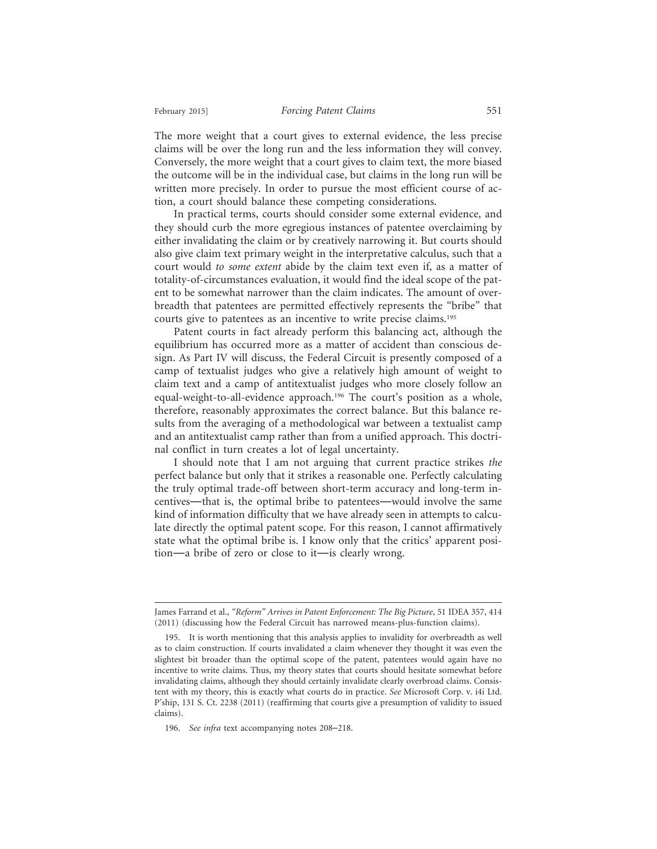The more weight that a court gives to external evidence, the less precise claims will be over the long run and the less information they will convey. Conversely, the more weight that a court gives to claim text, the more biased the outcome will be in the individual case, but claims in the long run will be written more precisely. In order to pursue the most efficient course of action, a court should balance these competing considerations.

In practical terms, courts should consider some external evidence, and they should curb the more egregious instances of patentee overclaiming by either invalidating the claim or by creatively narrowing it. But courts should also give claim text primary weight in the interpretative calculus, such that a court would *to some extent* abide by the claim text even if, as a matter of totality-of-circumstances evaluation, it would find the ideal scope of the patent to be somewhat narrower than the claim indicates. The amount of overbreadth that patentees are permitted effectively represents the "bribe" that courts give to patentees as an incentive to write precise claims.195

Patent courts in fact already perform this balancing act, although the equilibrium has occurred more as a matter of accident than conscious design. As Part IV will discuss, the Federal Circuit is presently composed of a camp of textualist judges who give a relatively high amount of weight to claim text and a camp of antitextualist judges who more closely follow an equal-weight-to-all-evidence approach.<sup>196</sup> The court's position as a whole, therefore, reasonably approximates the correct balance. But this balance results from the averaging of a methodological war between a textualist camp and an antitextualist camp rather than from a unified approach. This doctrinal conflict in turn creates a lot of legal uncertainty.

I should note that I am not arguing that current practice strikes *the* perfect balance but only that it strikes a reasonable one. Perfectly calculating the truly optimal trade-off between short-term accuracy and long-term incentives—that is, the optimal bribe to patentees—would involve the same kind of information difficulty that we have already seen in attempts to calculate directly the optimal patent scope. For this reason, I cannot affirmatively state what the optimal bribe is. I know only that the critics' apparent position—a bribe of zero or close to it—is clearly wrong.

James Farrand et al., *"Reform" Arrives in Patent Enforcement: The Big Picture*, 51 IDEA 357, 414 (2011) (discussing how the Federal Circuit has narrowed means-plus-function claims).

<sup>195.</sup> It is worth mentioning that this analysis applies to invalidity for overbreadth as well as to claim construction. If courts invalidated a claim whenever they thought it was even the slightest bit broader than the optimal scope of the patent, patentees would again have no incentive to write claims. Thus, my theory states that courts should hesitate somewhat before invalidating claims, although they should certainly invalidate clearly overbroad claims. Consistent with my theory, this is exactly what courts do in practice. *See* Microsoft Corp. v. i4i Ltd. P'ship, 131 S. Ct. 2238 (2011) (reaffirming that courts give a presumption of validity to issued claims).

<sup>196.</sup> *See infra* text accompanying notes 208–218.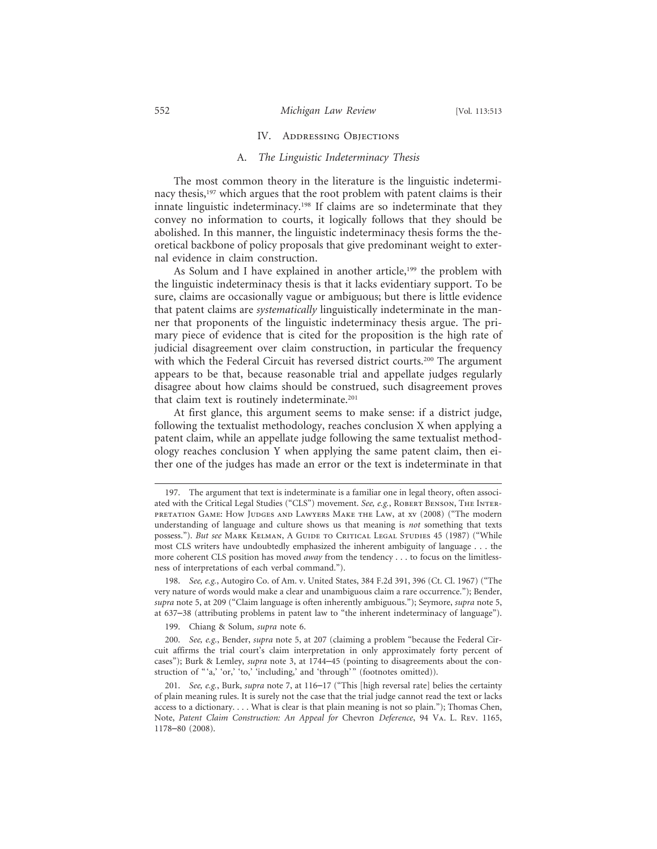#### IV. ADDRESSING OBJECTIONS

### A. *The Linguistic Indeterminacy Thesis*

The most common theory in the literature is the linguistic indeterminacy thesis,<sup>197</sup> which argues that the root problem with patent claims is their innate linguistic indeterminacy.<sup>198</sup> If claims are so indeterminate that they convey no information to courts, it logically follows that they should be abolished. In this manner, the linguistic indeterminacy thesis forms the theoretical backbone of policy proposals that give predominant weight to external evidence in claim construction.

As Solum and I have explained in another article,<sup>199</sup> the problem with the linguistic indeterminacy thesis is that it lacks evidentiary support. To be sure, claims are occasionally vague or ambiguous; but there is little evidence that patent claims are *systematically* linguistically indeterminate in the manner that proponents of the linguistic indeterminacy thesis argue. The primary piece of evidence that is cited for the proposition is the high rate of judicial disagreement over claim construction, in particular the frequency with which the Federal Circuit has reversed district courts.<sup>200</sup> The argument appears to be that, because reasonable trial and appellate judges regularly disagree about how claims should be construed, such disagreement proves that claim text is routinely indeterminate.<sup>201</sup>

At first glance, this argument seems to make sense: if a district judge, following the textualist methodology, reaches conclusion X when applying a patent claim, while an appellate judge following the same textualist methodology reaches conclusion Y when applying the same patent claim, then either one of the judges has made an error or the text is indeterminate in that

199. Chiang & Solum, *supra* note 6.

<sup>197.</sup> The argument that text is indeterminate is a familiar one in legal theory, often associated with the Critical Legal Studies ("CLS") movement. See, e.g., ROBERT BENSON, THE INTERpretation Game: How Judges and Lawyers Make the Law, at xv (2008) ("The modern understanding of language and culture shows us that meaning is *not* something that texts possess."). *But see* MARK KELMAN, A GUIDE TO CRITICAL LEGAL STUDIES 45 (1987) ("While most CLS writers have undoubtedly emphasized the inherent ambiguity of language . . . the more coherent CLS position has moved *away* from the tendency . . . to focus on the limitlessness of interpretations of each verbal command.").

<sup>198.</sup> *See, e.g.*, Autogiro Co. of Am. v. United States, 384 F.2d 391, 396 (Ct. Cl. 1967) ("The very nature of words would make a clear and unambiguous claim a rare occurrence."); Bender, *supra* note 5, at 209 ("Claim language is often inherently ambiguous."); Seymore, *supra* note 5, at 637–38 (attributing problems in patent law to "the inherent indeterminacy of language").

<sup>200.</sup> *See, e.g.*, Bender, *supra* note 5, at 207 (claiming a problem "because the Federal Circuit affirms the trial court's claim interpretation in only approximately forty percent of cases"); Burk & Lemley, *supra* note 3, at 1744–45 (pointing to disagreements about the construction of "'a,' 'or,' 'to,' 'including,' and 'through'" (footnotes omitted)).

<sup>201.</sup> *See, e.g.*, Burk, *supra* note 7, at 116–17 ("This [high reversal rate] belies the certainty of plain meaning rules. It is surely not the case that the trial judge cannot read the text or lacks access to a dictionary. . . . What is clear is that plain meaning is not so plain."); Thomas Chen, Note, *Patent Claim Construction: An Appeal for* Chevron *Deference*, 94 Va. L. Rev. 1165, 1178–80 (2008).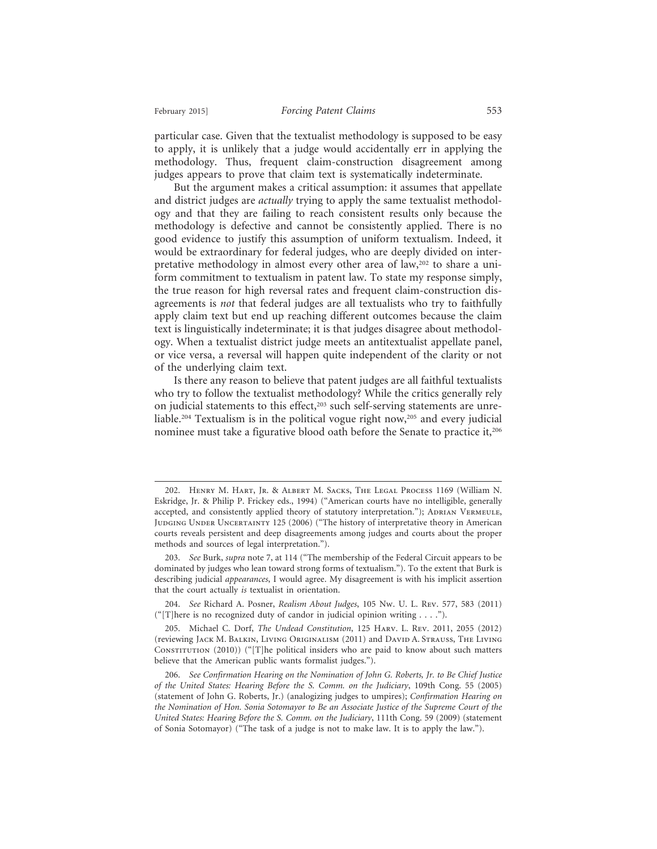particular case. Given that the textualist methodology is supposed to be easy to apply, it is unlikely that a judge would accidentally err in applying the methodology. Thus, frequent claim-construction disagreement among judges appears to prove that claim text is systematically indeterminate.

But the argument makes a critical assumption: it assumes that appellate and district judges are *actually* trying to apply the same textualist methodology and that they are failing to reach consistent results only because the methodology is defective and cannot be consistently applied. There is no good evidence to justify this assumption of uniform textualism. Indeed, it would be extraordinary for federal judges, who are deeply divided on interpretative methodology in almost every other area of law,<sup>202</sup> to share a uniform commitment to textualism in patent law. To state my response simply, the true reason for high reversal rates and frequent claim-construction disagreements is *not* that federal judges are all textualists who try to faithfully apply claim text but end up reaching different outcomes because the claim text is linguistically indeterminate; it is that judges disagree about methodology. When a textualist district judge meets an antitextualist appellate panel, or vice versa, a reversal will happen quite independent of the clarity or not of the underlying claim text.

Is there any reason to believe that patent judges are all faithful textualists who try to follow the textualist methodology? While the critics generally rely on judicial statements to this effect,<sup>203</sup> such self-serving statements are unreliable.204 Textualism is in the political vogue right now,205 and every judicial nominee must take a figurative blood oath before the Senate to practice it,<sup>206</sup>

<sup>202.</sup> Henry M. Hart, Jr. & Albert M. Sacks, The Legal Process 1169 (William N. Eskridge, Jr. & Philip P. Frickey eds., 1994) ("American courts have no intelligible, generally accepted, and consistently applied theory of statutory interpretation."); ADRIAN VERMEULE, JUDGING UNDER UNCERTAINTY 125 (2006) ("The history of interpretative theory in American courts reveals persistent and deep disagreements among judges and courts about the proper methods and sources of legal interpretation.").

<sup>203.</sup> *See* Burk, *supra* note 7, at 114 ("The membership of the Federal Circuit appears to be dominated by judges who lean toward strong forms of textualism."). To the extent that Burk is describing judicial *appearances*, I would agree. My disagreement is with his implicit assertion that the court actually *is* textualist in orientation.

<sup>204.</sup> *See* Richard A. Posner, *Realism About Judges*, 105 Nw. U. L. Rev. 577, 583 (2011) ("[T]here is no recognized duty of candor in judicial opinion writing . . . .").

<sup>205.</sup> Michael C. Dorf, *The Undead Constitution*, 125 Harv. L. Rev. 2011, 2055 (2012) (reviewing Jack M. Balkin, Living Originalism (2011) and David A. Strauss, The Living CONSTITUTION  $(2010)$ ) ("[T]he political insiders who are paid to know about such matters believe that the American public wants formalist judges.").

<sup>206.</sup> *See Confirmation Hearing on the Nomination of John G. Roberts, Jr. to Be Chief Justice of the United States: Hearing Before the S. Comm. on the Judiciary*, 109th Cong. 55 (2005) (statement of John G. Roberts, Jr.) (analogizing judges to umpires); *Confirmation Hearing on the Nomination of Hon. Sonia Sotomayor to Be an Associate Justice of the Supreme Court of the United States: Hearing Before the S. Comm. on the Judiciary*, 111th Cong. 59 (2009) (statement of Sonia Sotomayor) ("The task of a judge is not to make law. It is to apply the law.").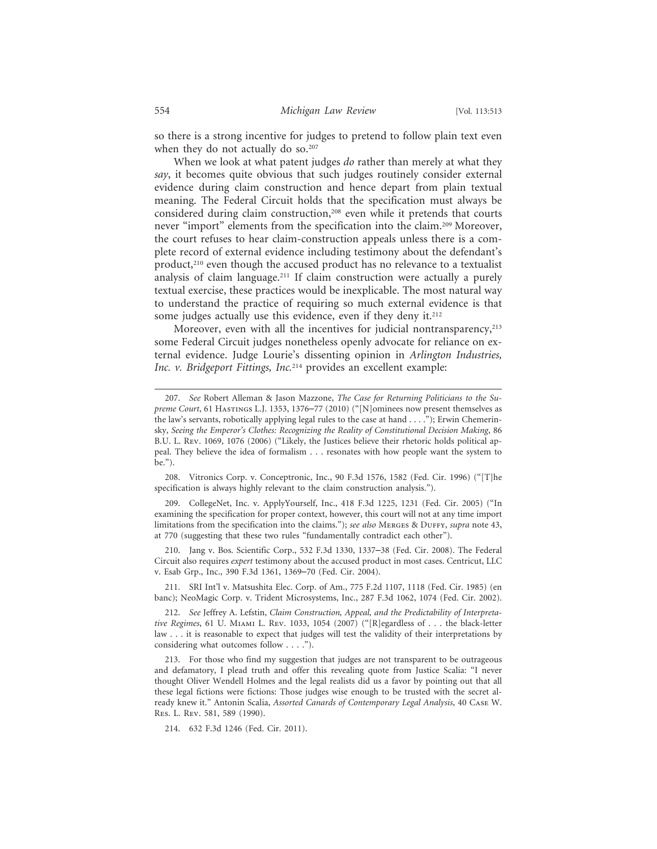so there is a strong incentive for judges to pretend to follow plain text even when they do not actually do so.<sup>207</sup>

When we look at what patent judges *do* rather than merely at what they *say*, it becomes quite obvious that such judges routinely consider external evidence during claim construction and hence depart from plain textual meaning. The Federal Circuit holds that the specification must always be considered during claim construction,<sup>208</sup> even while it pretends that courts never "import" elements from the specification into the claim.209 Moreover, the court refuses to hear claim-construction appeals unless there is a complete record of external evidence including testimony about the defendant's product,<sup>210</sup> even though the accused product has no relevance to a textualist analysis of claim language.<sup>211</sup> If claim construction were actually a purely textual exercise, these practices would be inexplicable. The most natural way to understand the practice of requiring so much external evidence is that some judges actually use this evidence, even if they deny it.<sup>212</sup>

Moreover, even with all the incentives for judicial nontransparency,<sup>213</sup> some Federal Circuit judges nonetheless openly advocate for reliance on external evidence. Judge Lourie's dissenting opinion in *Arlington Industries, Inc. v. Bridgeport Fittings, Inc.*<sup>214</sup> provides an excellent example:

208. Vitronics Corp. v. Conceptronic, Inc., 90 F.3d 1576, 1582 (Fed. Cir. 1996) ("[T]he specification is always highly relevant to the claim construction analysis.").

209. CollegeNet, Inc. v. ApplyYourself, Inc., 418 F.3d 1225, 1231 (Fed. Cir. 2005) ("In examining the specification for proper context, however, this court will not at any time import limitations from the specification into the claims."); *see also* MERGES & DUFFY, *supra* note 43, at 770 (suggesting that these two rules "fundamentally contradict each other").

210. Jang v. Bos. Scientific Corp., 532 F.3d 1330, 1337–38 (Fed. Cir. 2008). The Federal Circuit also requires *expert* testimony about the accused product in most cases. Centricut, LLC v. Esab Grp., Inc., 390 F.3d 1361, 1369–70 (Fed. Cir. 2004).

211. SRI Int'l v. Matsushita Elec. Corp. of Am., 775 F.2d 1107, 1118 (Fed. Cir. 1985) (en banc); NeoMagic Corp. v. Trident Microsystems, Inc., 287 F.3d 1062, 1074 (Fed. Cir. 2002).

212. *See* Jeffrey A. Lefstin, *Claim Construction, Appeal, and the Predictability of Interpretative Regimes*, 61 U. Miami L. Rev. 1033, 1054 (2007) ("[R]egardless of . . . the black-letter law . . . it is reasonable to expect that judges will test the validity of their interpretations by considering what outcomes follow . . . .").

213. For those who find my suggestion that judges are not transparent to be outrageous and defamatory, I plead truth and offer this revealing quote from Justice Scalia: "I never thought Oliver Wendell Holmes and the legal realists did us a favor by pointing out that all these legal fictions were fictions: Those judges wise enough to be trusted with the secret already knew it." Antonin Scalia, *Assorted Canards of Contemporary Legal Analysis*, 40 Case W. Res. L. Rev. 581, 589 (1990).

214. 632 F.3d 1246 (Fed. Cir. 2011).

<sup>207.</sup> *See* Robert Alleman & Jason Mazzone, *The Case for Returning Politicians to the Supreme Court*, 61 Hastings L.J. 1353, 1376–77 (2010) ("[N]ominees now present themselves as the law's servants, robotically applying legal rules to the case at hand . . . ."); Erwin Chemerinsky, *Seeing the Emperor's Clothes: Recognizing the Reality of Constitutional Decision Making*, 86 B.U. L. Rev. 1069, 1076 (2006) ("Likely, the Justices believe their rhetoric holds political appeal. They believe the idea of formalism . . . resonates with how people want the system to be.").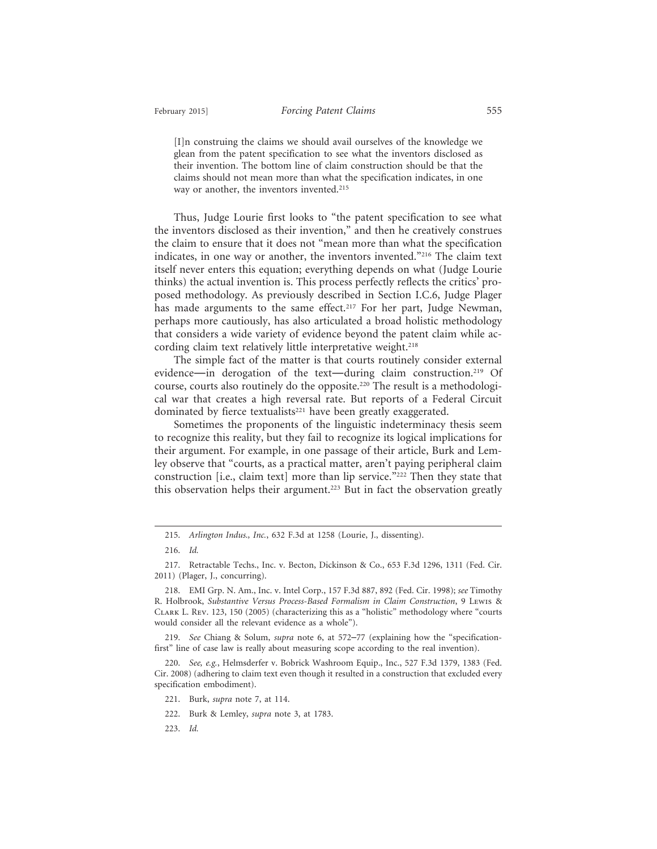[I]n construing the claims we should avail ourselves of the knowledge we glean from the patent specification to see what the inventors disclosed as their invention. The bottom line of claim construction should be that the claims should not mean more than what the specification indicates, in one way or another, the inventors invented.<sup>215</sup>

Thus, Judge Lourie first looks to "the patent specification to see what the inventors disclosed as their invention," and then he creatively construes the claim to ensure that it does not "mean more than what the specification indicates, in one way or another, the inventors invented."216 The claim text itself never enters this equation; everything depends on what (Judge Lourie thinks) the actual invention is. This process perfectly reflects the critics' proposed methodology. As previously described in Section I.C.6, Judge Plager has made arguments to the same effect.<sup>217</sup> For her part, Judge Newman, perhaps more cautiously, has also articulated a broad holistic methodology that considers a wide variety of evidence beyond the patent claim while according claim text relatively little interpretative weight.<sup>218</sup>

The simple fact of the matter is that courts routinely consider external evidence—in derogation of the text—during claim construction.219 Of course, courts also routinely do the opposite.<sup>220</sup> The result is a methodological war that creates a high reversal rate. But reports of a Federal Circuit dominated by fierce textualists<sup>221</sup> have been greatly exaggerated.

Sometimes the proponents of the linguistic indeterminacy thesis seem to recognize this reality, but they fail to recognize its logical implications for their argument. For example, in one passage of their article, Burk and Lemley observe that "courts, as a practical matter, aren't paying peripheral claim construction [i.e., claim text] more than lip service."<sup>222</sup> Then they state that this observation helps their argument.<sup>223</sup> But in fact the observation greatly

219. *See* Chiang & Solum, *supra* note 6, at 572–77 (explaining how the "specificationfirst" line of case law is really about measuring scope according to the real invention).

220. *See, e.g.*, Helmsderfer v. Bobrick Washroom Equip., Inc., 527 F.3d 1379, 1383 (Fed. Cir. 2008) (adhering to claim text even though it resulted in a construction that excluded every specification embodiment).

- 221. Burk, *supra* note 7, at 114.
- 222. Burk & Lemley, *supra* note 3, at 1783.
- 223. *Id.*

<sup>215.</sup> *Arlington Indus., Inc.*, 632 F.3d at 1258 (Lourie, J., dissenting).

<sup>216.</sup> *Id.*

<sup>217.</sup> Retractable Techs., Inc. v. Becton, Dickinson & Co., 653 F.3d 1296, 1311 (Fed. Cir. 2011) (Plager, J., concurring).

<sup>218.</sup> EMI Grp. N. Am., Inc. v. Intel Corp., 157 F.3d 887, 892 (Fed. Cir. 1998); *see* Timothy R. Holbrook, *Substantive Versus Process-Based Formalism in Claim Construction*, 9 Lewis & Clark L. Rev. 123, 150 (2005) (characterizing this as a "holistic" methodology where "courts would consider all the relevant evidence as a whole").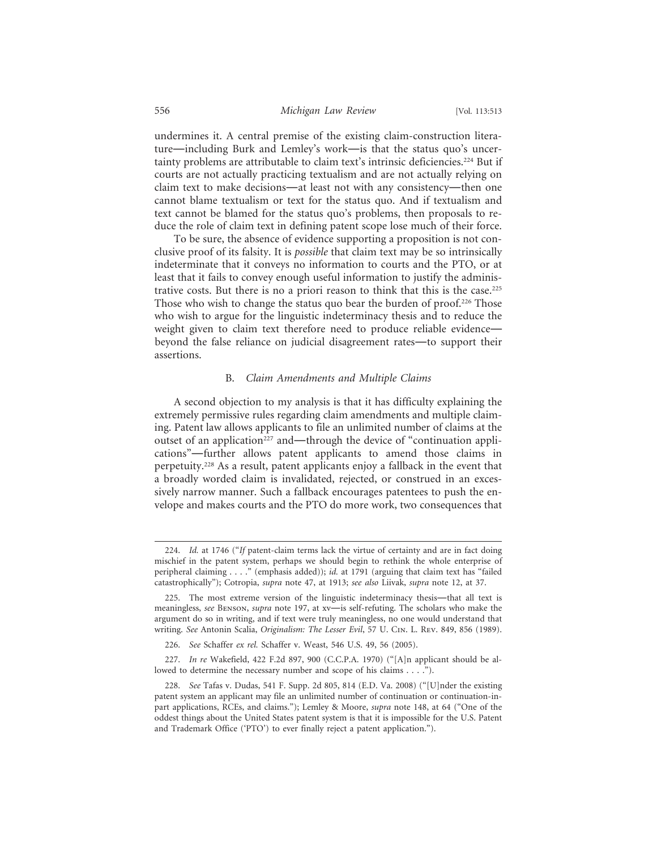undermines it. A central premise of the existing claim-construction literature—including Burk and Lemley's work—is that the status quo's uncertainty problems are attributable to claim text's intrinsic deficiencies.<sup>224</sup> But if courts are not actually practicing textualism and are not actually relying on claim text to make decisions—at least not with any consistency—then one cannot blame textualism or text for the status quo. And if textualism and text cannot be blamed for the status quo's problems, then proposals to reduce the role of claim text in defining patent scope lose much of their force.

To be sure, the absence of evidence supporting a proposition is not conclusive proof of its falsity. It is *possible* that claim text may be so intrinsically indeterminate that it conveys no information to courts and the PTO, or at least that it fails to convey enough useful information to justify the administrative costs. But there is no a priori reason to think that this is the case.225 Those who wish to change the status quo bear the burden of proof.<sup>226</sup> Those who wish to argue for the linguistic indeterminacy thesis and to reduce the weight given to claim text therefore need to produce reliable evidence beyond the false reliance on judicial disagreement rates—to support their assertions.

#### B. *Claim Amendments and Multiple Claims*

A second objection to my analysis is that it has difficulty explaining the extremely permissive rules regarding claim amendments and multiple claiming. Patent law allows applicants to file an unlimited number of claims at the outset of an application<sup>227</sup> and—through the device of "continuation applications"—further allows patent applicants to amend those claims in perpetuity.228 As a result, patent applicants enjoy a fallback in the event that a broadly worded claim is invalidated, rejected, or construed in an excessively narrow manner. Such a fallback encourages patentees to push the envelope and makes courts and the PTO do more work, two consequences that

<sup>224.</sup> *Id.* at 1746 ("*If* patent-claim terms lack the virtue of certainty and are in fact doing mischief in the patent system, perhaps we should begin to rethink the whole enterprise of peripheral claiming . . . ." (emphasis added)); *id.* at 1791 (arguing that claim text has "failed catastrophically"); Cotropia, *supra* note 47, at 1913; *see also* Liivak, *supra* note 12, at 37.

<sup>225.</sup> The most extreme version of the linguistic indeterminacy thesis—that all text is meaningless, *see* Benson, *supra* note 197, at xv—is self-refuting. The scholars who make the argument do so in writing, and if text were truly meaningless, no one would understand that writing. *See* Antonin Scalia, *Originalism: The Lesser Evil*, 57 U. Cin. L. Rev. 849, 856 (1989).

<sup>226.</sup> *See* Schaffer *ex rel.* Schaffer v. Weast, 546 U.S. 49, 56 (2005).

<sup>227.</sup> *In re* Wakefield, 422 F.2d 897, 900 (C.C.P.A. 1970) ("[A]n applicant should be allowed to determine the necessary number and scope of his claims . . . .").

<sup>228.</sup> *See* Tafas v. Dudas, 541 F. Supp. 2d 805, 814 (E.D. Va. 2008) ("[U]nder the existing patent system an applicant may file an unlimited number of continuation or continuation-inpart applications, RCEs, and claims."); Lemley & Moore, *supra* note 148, at 64 ("One of the oddest things about the United States patent system is that it is impossible for the U.S. Patent and Trademark Office ('PTO') to ever finally reject a patent application.").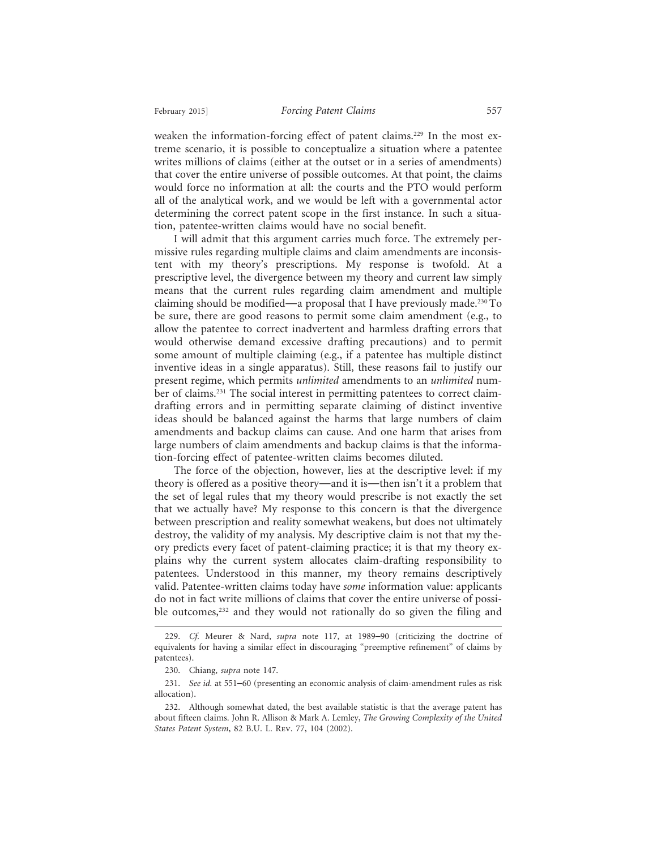weaken the information-forcing effect of patent claims.<sup>229</sup> In the most extreme scenario, it is possible to conceptualize a situation where a patentee writes millions of claims (either at the outset or in a series of amendments) that cover the entire universe of possible outcomes. At that point, the claims would force no information at all: the courts and the PTO would perform all of the analytical work, and we would be left with a governmental actor determining the correct patent scope in the first instance. In such a situation, patentee-written claims would have no social benefit.

I will admit that this argument carries much force. The extremely permissive rules regarding multiple claims and claim amendments are inconsistent with my theory's prescriptions. My response is twofold. At a prescriptive level, the divergence between my theory and current law simply means that the current rules regarding claim amendment and multiple claiming should be modified—a proposal that I have previously made.230 To be sure, there are good reasons to permit some claim amendment (e.g., to allow the patentee to correct inadvertent and harmless drafting errors that would otherwise demand excessive drafting precautions) and to permit some amount of multiple claiming (e.g., if a patentee has multiple distinct inventive ideas in a single apparatus). Still, these reasons fail to justify our present regime, which permits *unlimited* amendments to an *unlimited* number of claims.<sup>231</sup> The social interest in permitting patentees to correct claimdrafting errors and in permitting separate claiming of distinct inventive ideas should be balanced against the harms that large numbers of claim amendments and backup claims can cause. And one harm that arises from large numbers of claim amendments and backup claims is that the information-forcing effect of patentee-written claims becomes diluted.

The force of the objection, however, lies at the descriptive level: if my theory is offered as a positive theory—and it is—then isn't it a problem that the set of legal rules that my theory would prescribe is not exactly the set that we actually have? My response to this concern is that the divergence between prescription and reality somewhat weakens, but does not ultimately destroy, the validity of my analysis. My descriptive claim is not that my theory predicts every facet of patent-claiming practice; it is that my theory explains why the current system allocates claim-drafting responsibility to patentees. Understood in this manner, my theory remains descriptively valid. Patentee-written claims today have *some* information value: applicants do not in fact write millions of claims that cover the entire universe of possible outcomes,<sup>232</sup> and they would not rationally do so given the filing and

<sup>229.</sup> *Cf.* Meurer & Nard, *supra* note 117, at 1989–90 (criticizing the doctrine of equivalents for having a similar effect in discouraging "preemptive refinement" of claims by patentees).

<sup>230.</sup> Chiang, *supra* note 147.

<sup>231.</sup> *See id.* at 551–60 (presenting an economic analysis of claim-amendment rules as risk allocation).

<sup>232.</sup> Although somewhat dated, the best available statistic is that the average patent has about fifteen claims. John R. Allison & Mark A. Lemley, *The Growing Complexity of the United States Patent System*, 82 B.U. L. Rev. 77, 104 (2002).